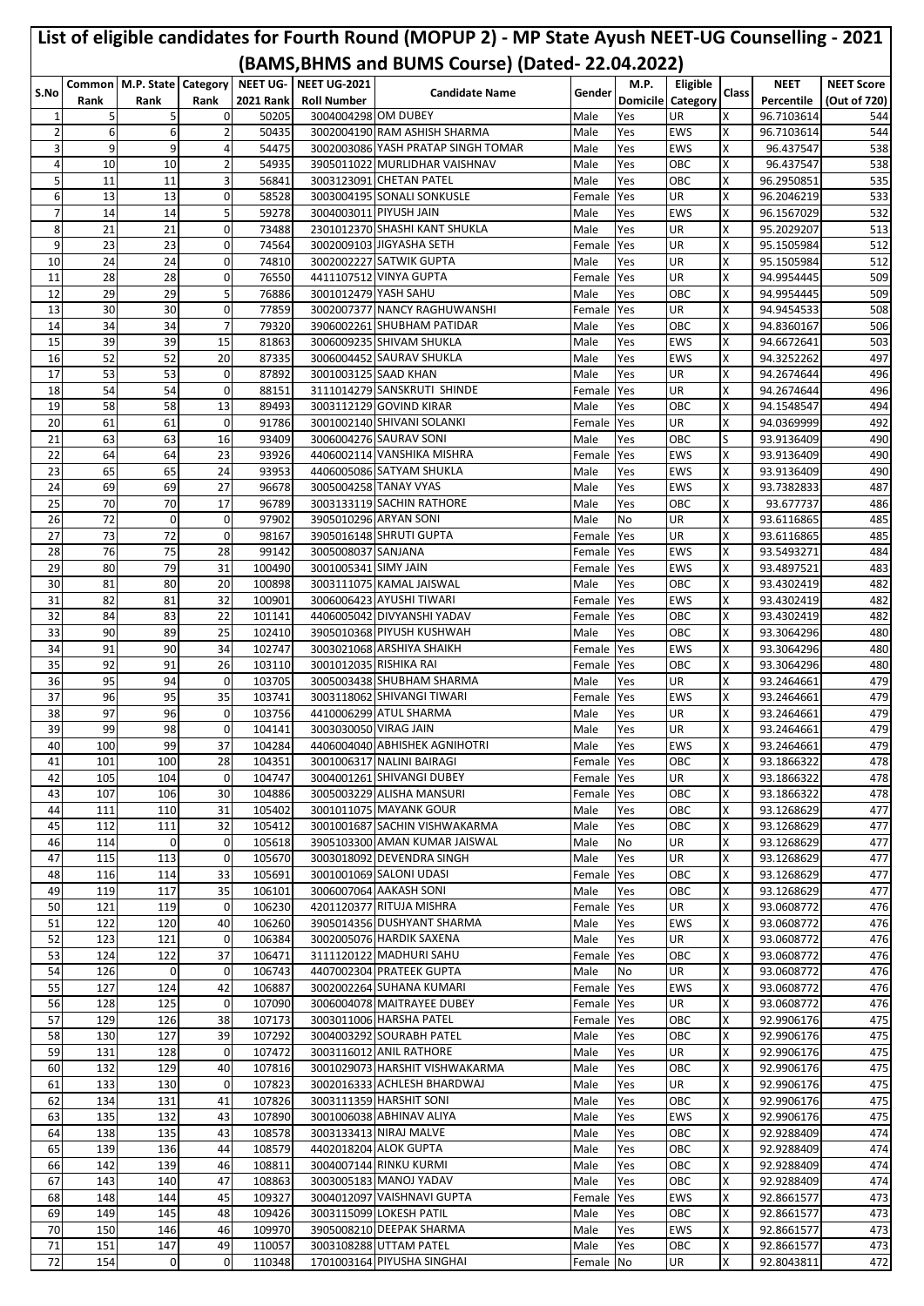|                     |            | Common   M.P. State   Category |                      |                  | NEET UG- NEET UG-2021  | (BAMS, BHMS and BUMS Course) (Dated-22.04.2022)           |                      | M.P.       | Eligible                 |        | <b>NEET</b>              | <b>NEET Score</b> |
|---------------------|------------|--------------------------------|----------------------|------------------|------------------------|-----------------------------------------------------------|----------------------|------------|--------------------------|--------|--------------------------|-------------------|
| S.No                | Rank       | Rank                           | Rank                 | <b>2021 Rank</b> | <b>Roll Number</b>     | <b>Candidate Name</b>                                     | Gender               |            | <b>Domicile Category</b> | Class  | Percentile               | (Out of 720)      |
| 1                   | 5          | 5                              | 0                    | 50205            | 3004004298 OM DUBEY    |                                                           | Male                 | Yes        | UR                       | Χ      | 96.7103614               | 544               |
| $\overline{2}$      | 6          | 6                              | $\overline{2}$       | 50435            |                        | 3002004190 RAM ASHISH SHARMA                              | Male                 | Yes        | <b>EWS</b>               | Χ      | 96.7103614               | 544               |
| 3                   | 9          | 9                              | 4                    | 54475            |                        | 3002003086 YASH PRATAP SINGH TOMAR                        | Male                 | Yes        | <b>EWS</b>               | X      | 96.437547                | 538               |
| 4                   | 10         | 10                             | $\overline{2}$       | 54935            |                        | 3905011022 MURLIDHAR VAISHNAV                             | Male                 | Yes        | OBC                      | Χ      | 96.437547                | 538               |
| 5                   | 11         | 11                             | 3                    | 56841            |                        | 3003123091 CHETAN PATEL                                   | Male                 | Yes        | OBC                      | Χ      | 96.2950851               | 535               |
| 6<br>$\overline{7}$ | 13<br>14   | 13<br>14                       | $\mathbf{O}$<br>5    | 58528<br>59278   |                        | 3003004195 SONALI SONKUSLE<br>3004003011 PIYUSH JAIN      | Female<br>Male       | Yes<br>Yes | UR<br><b>EWS</b>         | X<br>X | 96.2046219<br>96.1567029 | 533<br>532        |
| 8                   | 21         | 21                             | $\overline{0}$       | 73488            |                        | 2301012370 SHASHI KANT SHUKLA                             | Male                 | Yes        | UR                       | Χ      | 95.2029207               | 513               |
| 9                   | 23         | 23                             | $\overline{0}$       | 74564            |                        | 3002009103 JIGYASHA SETH                                  | Female               | Yes        | UR                       | X      | 95.1505984               | 512               |
| 10                  | 24         | 24                             | $\mathbf{O}$         | 74810            |                        | 3002002227 SATWIK GUPTA                                   | Male                 | Yes        | UR                       | X      | 95.1505984               | 512               |
| 11                  | 28         | 28                             | $\overline{0}$       | 76550            |                        | 4411107512 VINYA GUPTA                                    | Female               | Yes        | UR                       | X      | 94.9954445               | 509               |
| 12                  | 29         | 29                             | 5 <sup>1</sup>       | 76886            | 3001012479 YASH SAHU   |                                                           | Male                 | Yes        | OBC                      | Χ      | 94.9954445               | 509               |
| 13                  | 30         | 30                             | $\overline{0}$       | 77859            |                        | 3002007377 NANCY RAGHUWANSHI                              | Female               | Yes        | UR                       | X      | 94.9454533               | 508               |
| 14<br>15            | 34         | 34                             | $\overline{7}$<br>15 | 79320            |                        | 3906002261 SHUBHAM PATIDAR<br>3006009235 SHIVAM SHUKLA    | Male                 | Yes        | OBC                      | X<br>X | 94.8360167               | 506               |
| 16                  | 39<br>52   | 39<br>52                       | 20                   | 81863<br>87335   |                        | 3006004452 SAURAV SHUKLA                                  | Male<br>Male         | Yes<br>Yes | <b>EWS</b><br><b>EWS</b> | Χ      | 94.6672641<br>94.3252262 | 503<br>497        |
| 17                  | 53         | 53                             | $\mathbf 0$          | 87892            | 3001003125 SAAD KHAN   |                                                           | Male                 | Yes        | UR                       | X      | 94.2674644               | 496               |
| 18                  | 54         | 54                             | $\mathbf{0}$         | 88151            |                        | 3111014279 SANSKRUTI SHINDE                               | Female               | Yes        | UR                       | X      | 94.2674644               | 496               |
| 19                  | 58         | 58                             | 13                   | 89493            |                        | 3003112129 GOVIND KIRAR                                   | Male                 | Yes        | OBC                      | Χ      | 94.1548547               | 494               |
| 20                  | 61         | 61                             | $\overline{0}$       | 91786            |                        | 3001002140 SHIVANI SOLANKI                                | Female               | Yes        | UR                       | Χ      | 94.0369999               | 492               |
| 21                  | 63         | 63                             | 16                   | 93409            |                        | 3006004276 SAURAV SONI                                    | Male                 | Yes        | OBC                      | S      | 93.9136409               | 490               |
| 22                  | 64         | 64                             | 23                   | 93926            |                        | 4406002114 VANSHIKA MISHRA                                | Female               | Yes        | <b>EWS</b>               | X      | 93.9136409               | 490               |
| 23                  | 65         | 65                             | 24                   | 93953            |                        | 4406005086 SATYAM SHUKLA                                  | Male                 | Yes        | <b>EWS</b>               | Χ      | 93.9136409               | 490               |
| 24<br>25            | 69<br>70   | 69<br>70                       | 27<br>17             | 96678<br>96789   |                        | 3005004258 TANAY VYAS<br>3003133119 SACHIN RATHORE        | Male<br>Male         | Yes<br>Yes | EWS<br>OBC               | χ<br>X | 93.7382833<br>93.677737  | 487<br>486        |
| 26                  | 72         | 0                              | $\overline{0}$       | 97902            |                        | 3905010296 ARYAN SONI                                     | Male                 | No         | <b>UR</b>                | X      | 93.6116865               | 485               |
| 27                  | 73         | 72                             | $\mathbf 0$          | 98167            |                        | 3905016148 SHRUTI GUPTA                                   | Female               | Yes        | UR                       | Χ      | 93.6116865               | 485               |
| 28                  | 76         | 75                             | 28                   | 99142            | 3005008037 SANJANA     |                                                           | Female               | Yes        | <b>EWS</b>               | X      | 93.5493271               | 484               |
| 29                  | 80         | 79                             | 31                   | 100490           | 3001005341 SIMY JAIN   |                                                           | Female               | Yes        | EWS                      | x      | 93.4897521               | 483               |
| 30                  | 81         | 80                             | 20                   | 100898           |                        | 3003111075 KAMAL JAISWAL                                  | Male                 | Yes        | OBC                      | X      | 93.4302419               | 482               |
| 31                  | 82         | 81                             | 32                   | 100901           |                        | 3006006423 AYUSHI TIWARI                                  | Female               | Yes        | <b>EWS</b>               | Χ      | 93.4302419               | 482               |
| 32                  | 84         | 83                             | 22                   | 101141<br>102410 |                        | 4406005042 DIVYANSHI YADAV                                | Female               | Yes        | OBC                      | X      | 93.4302419               | 482               |
| 33<br>34            | 90<br>91   | 89<br>90                       | 25<br>34             | 102747           |                        | 3905010368 PIYUSH KUSHWAH<br>3003021068 ARSHIYA SHAIKH    | Male<br>Female       | Yes<br>Yes | OBC<br><b>EWS</b>        | X<br>Χ | 93.3064296<br>93.3064296 | 480<br>480        |
| 35                  | 92         | 91                             | 26                   | 103110           | 3001012035 RISHIKA RAI |                                                           | Female               | Yes        | ОВС                      | Χ      | 93.3064296               | 480               |
| 36                  | 95         | 94                             | 0                    | 103705           |                        | 3005003438 SHUBHAM SHARMA                                 | Male                 | Yes        | UR                       | Χ      | 93.2464661               | 479               |
| 37                  | 96         | 95                             | 35                   | 103741           |                        | 3003118062 SHIVANGI TIWARI                                | Female               | Yes        | <b>EWS</b>               | X      | 93.2464661               | 479               |
| 38                  | 97         | 96                             | $\Omega$             | 103756           |                        | 4410006299 ATUL SHARMA                                    | Male                 | Yes        | UR                       | X      | 93.2464661               | 479               |
| 39                  | 99         | 98                             | $\mathbf{0}$         | 104141           | 3003030050 VIRAG JAIN  |                                                           | Male                 | Yes        | IUR.                     | ΙX     | 93.2464661               | 479               |
| 40                  | 100        | 99                             | 37                   | 104284           |                        | 4406004040 ABHISHEK AGNIHOTRI                             | Male                 | Yes        | <b>EWS</b>               | Χ      | 93.2464661               | 479               |
| 41<br>42            | 101<br>105 | 100<br>104                     | 28<br>$\overline{0}$ | 104351<br>104747 |                        | 3001006317 NALINI BAIRAGI<br>3004001261 SHIVANGI DUBEY    | Female               | Yes        | OBC<br>UR                | X<br>Χ | 93.1866322<br>93.1866322 | 478               |
| 43                  | 107        | 106                            | 30                   | 104886           |                        | 3005003229 ALISHA MANSURI                                 | Female Yes<br>Female | Yes        | OBC                      | X      | 93.1866322               | 478<br>478        |
| 44                  | 111        | 110                            | 31                   | 105402           |                        | 3001011075 MAYANK GOUR                                    | Male                 | Yes        | OBC                      | X      | 93.1268629               | 477               |
| 45                  | 112        | 111                            | 32                   | 105412           |                        | 3001001687 SACHIN VISHWAKARMA                             | Male                 | Yes        | <b>OBC</b>               | X      | 93.1268629               | 477               |
| 46                  | 114        | 0                              | $\overline{0}$       | 105618           |                        | 3905103300 AMAN KUMAR JAISWAL                             | Male                 | No         | UR                       | Χ      | 93.1268629               | 477               |
| 47                  | 115        | 113                            | $\overline{0}$       | 105670           |                        | 3003018092 DEVENDRA SINGH                                 | Male                 | Yes        | UR                       | X      | 93.1268629               | 477               |
| 48                  | 116        | 114                            | 33                   | 105691           |                        | 3001001069 SALONI UDASI                                   | Female               | Yes        | OBC                      | X      | 93.1268629               | 477               |
| 49                  | 119        | 117                            | 35                   | 106101           |                        | 3006007064 AAKASH SONI                                    | Male                 | Yes        | <b>OBC</b>               | x      | 93.1268629               | 477               |
| 50<br>51            | 121        | 119<br>120                     | $\overline{0}$<br>40 | 106230<br>106260 |                        | 4201120377 RITUJA MISHRA<br>3905014356 DUSHYANT SHARMA    | Female               | Yes<br>Yes | UR<br><b>EWS</b>         | Χ<br>X | 93.0608772               | 476               |
| 52                  | 122<br>123 | 121                            | $\overline{0}$       | 106384           |                        | 3002005076 HARDIK SAXENA                                  | Male<br>Male         | Yes        | UR                       | X      | 93.0608772<br>93.0608772 | 476<br>476        |
| 53                  | 124        | 122                            | 37                   | 106471           |                        | 3111120122 MADHURI SAHU                                   | Female               | Yes        | OBC                      | x      | 93.0608772               | 476               |
| 54                  | 126        | 0                              | $\mathbf{0}$         | 106743           |                        | 4407002304 PRATEEK GUPTA                                  | Male                 | No         | UR                       | Χ      | 93.0608772               | 476               |
| 55                  | 127        | 124                            | 42                   | 106887           |                        | 3002002264 SUHANA KUMARI                                  | Female Yes           |            | <b>EWS</b>               | X      | 93.0608772               | 476               |
| 56                  | 128        | 125                            | $\mathbf{0}$         | 107090           |                        | 3006004078 MAITRAYEE DUBEY                                | Female               | Yes        | UR                       | X      | 93.0608772               | 476               |
| 57                  | 129        | 126                            | 38                   | 107173           |                        | 3003011006 HARSHA PATEL                                   | Female Yes           |            | OBC                      | Χ      | 92.9906176               | 475               |
| 58                  | 130        | 127                            | 39                   | 107292           |                        | 3004003292 SOURABH PATEL                                  | Male                 | Yes        | OBC                      | X      | 92.9906176               | 475               |
| 59                  | 131        | 128                            | $\mathbf{0}$         | 107472           |                        | 3003116012 ANIL RATHORE<br>3001029073 HARSHIT VISHWAKARMA | Male                 | Yes        | UR                       | Χ      | 92.9906176               | 475               |
| 60<br>61            | 132<br>133 | 129<br>130                     | 40<br>$\mathbf 0$    | 107816<br>107823 |                        | 3002016333 ACHLESH BHARDWAJ                               | Male<br>Male         | Yes<br>Yes | OBC<br>UR                | x<br>Χ | 92.9906176<br>92.9906176 | 475<br>475        |
| 62                  | 134        | 131                            | 41                   | 107826           |                        | 3003111359 HARSHIT SONI                                   | Male                 | Yes        | OBC                      | X      | 92.9906176               | 475               |
| 63                  | 135        | 132                            | 43                   | 107890           |                        | 3001006038 ABHINAV ALIYA                                  | Male                 | Yes        | <b>EWS</b>               | Χ      | 92.9906176               | 475               |
| 64                  | 138        | 135                            | 43                   | 108578           |                        | 3003133413 NIRAJ MALVE                                    | Male                 | Yes        | OBC                      | x      | 92.9288409               | 474               |
| 65                  | 139        | 136                            | 44                   | 108579           |                        | 4402018204 ALOK GUPTA                                     | Male                 | Yes        | OBC                      | Χ      | 92.9288409               | 474               |
| 66                  | 142        | 139                            | 46                   | 108811           |                        | 3004007144 RINKU KURMI                                    | Male                 | Yes        | OBC                      | X      | 92.9288409               | 474               |
| 67                  | 143        | 140                            | 47                   | 108863           |                        | 3003005183 MANOJ YADAV                                    | Male                 | Yes        | OBC                      | X      | 92.9288409               | 474               |
| 68                  | 148        | 144                            | 45                   | 109327           |                        | 3004012097 VAISHNAVI GUPTA                                | Female               | Yes        | <b>EWS</b>               | x      | 92.8661577               | 473               |
| 69                  | 149        | 145                            | 48                   | 109426           |                        | 3003115099 LOKESH PATIL<br>3905008210 DEEPAK SHARMA       | Male                 | Yes        | OBC                      | Χ      | 92.8661577               | 473               |
| 70<br>71            | 150<br>151 | 146<br>147                     | 46<br>49             | 109970<br>110057 |                        | 3003108288 UTTAM PATEL                                    | Male<br>Male         | Yes<br>Yes | <b>EWS</b><br>OBC        | Χ<br>X | 92.8661577<br>92.8661577 | 473<br>473        |
| $72\,$              | 154        | $\pmb{0}$                      | $\mathbf{0}$         | 110348           |                        | 1701003164 PIYUSHA SINGHAI                                | Female No            |            | UR                       | X      | 92.8043811               | 472               |
|                     |            |                                |                      |                  |                        |                                                           |                      |            |                          |        |                          |                   |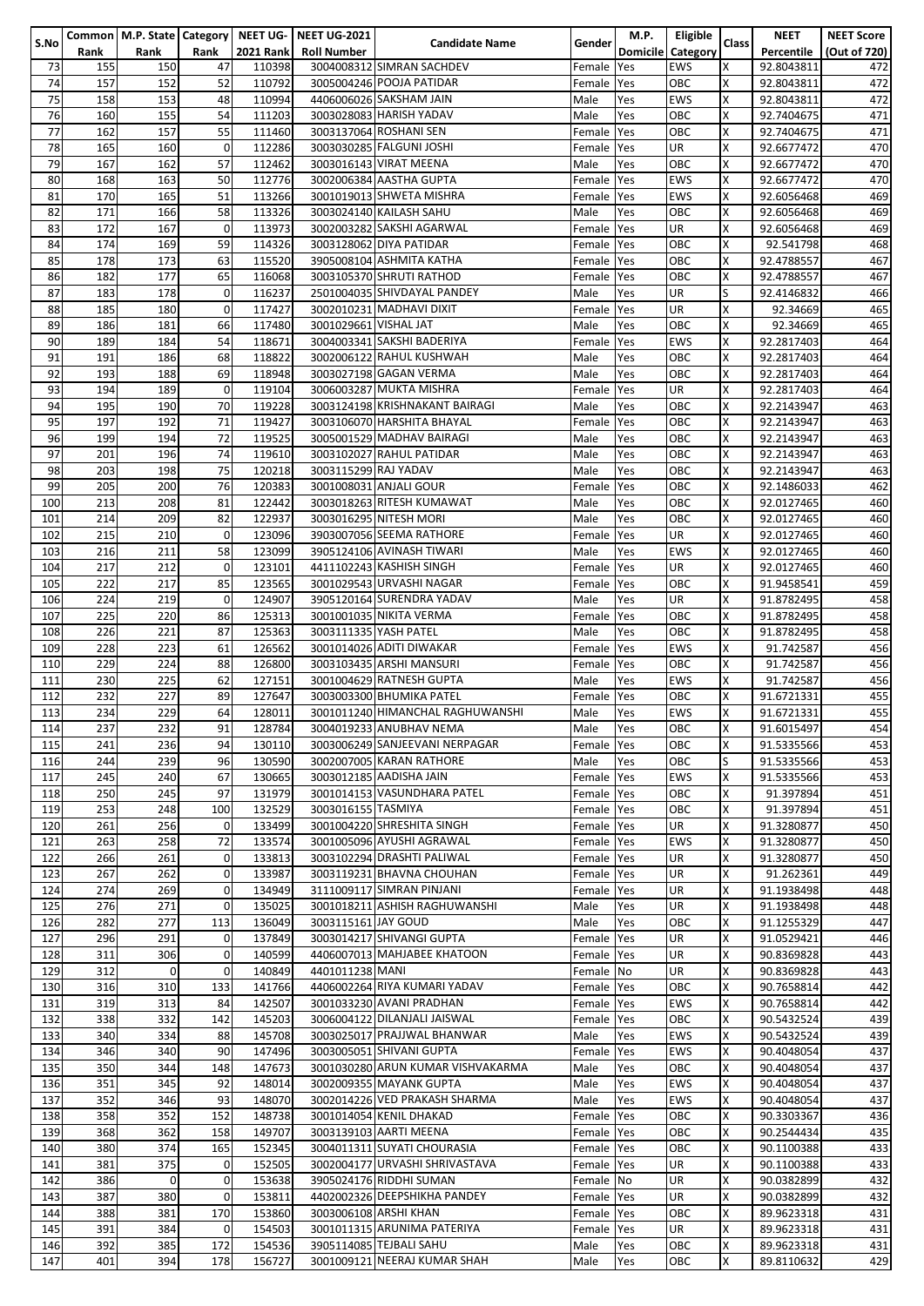|      |      |             |             |                  | Common   M.P. State   Category   NEET UG-   NEET UG-2021 |                                   |               | M.P.              | Eligible   |              | <b>NEET</b> | <b>NEET Score</b> |
|------|------|-------------|-------------|------------------|----------------------------------------------------------|-----------------------------------|---------------|-------------------|------------|--------------|-------------|-------------------|
| S.No | Rank | Rank        | Rank        | <b>2021 Rank</b> | <b>Roll Number</b>                                       | <b>Candidate Name</b>             | <b>Gender</b> | Domicile Category |            | <b>Class</b> | Percentile  | (Out of 720)      |
|      |      |             |             |                  |                                                          |                                   |               |                   |            |              |             |                   |
| 73   | 155  | 150         | 47          | 110398           |                                                          | 3004008312 SIMRAN SACHDEV         | Female Yes    |                   | <b>EWS</b> | х            | 92.8043811  | 472               |
| 74   | 157  | 152         | 52          | 110792           |                                                          | 3005004246 POOJA PATIDAR          | Female Yes    |                   | OBC        | X            | 92.8043811  | 472               |
| 75   | 158  | 153         | 48          | 110994           |                                                          | 4406006026 SAKSHAM JAIN           | Male          | Yes               | <b>EWS</b> | X            | 92.8043811  | 472               |
| 76   | 160  | 155         | 54          | 111203           |                                                          | 3003028083 HARISH YADAV           | Male          | Yes               | OBC        | Χ            | 92.7404675  | 471               |
| 77   | 162  | 157         | 55          | 111460           |                                                          | 3003137064 ROSHANI SEN            | Female Yes    |                   | OBC        | X            | 92.7404675  | 471               |
| 78   | 165  | 160         | $\mathbf 0$ | 112286           |                                                          | 3003030285 FALGUNI JOSHI          | Female Yes    |                   | <b>UR</b>  | X            | 92.6677472  | 470               |
|      |      |             |             |                  |                                                          |                                   |               |                   |            |              |             |                   |
| 79   | 167  | 162         | 57          | 112462           |                                                          | 3003016143 VIRAT MEENA            | Male          | Yes               | OBC        | X            | 92.6677472  | 470               |
| 80   | 168  | 163         | 50          | 112776           |                                                          | 3002006384 AASTHA GUPTA           | Female Yes    |                   | <b>EWS</b> | X            | 92.6677472  | 470               |
| 81   | 170  | 165         | 51          | 113266           |                                                          | 3001019013 SHWETA MISHRA          | Female Yes    |                   | <b>EWS</b> | X            | 92.6056468  | 469               |
| 82   | 171  | 166         | 58          | 113326           |                                                          | 3003024140 KAILASH SAHU           | Male          | Yes               | OBC        | X            | 92.6056468  | 469               |
|      | 172  | 167         | 0           | 113973           |                                                          | 3002003282 SAKSHI AGARWAL         |               |                   | <b>UR</b>  | X            |             |                   |
| 83   |      |             |             |                  |                                                          |                                   | Female Yes    |                   |            |              | 92.6056468  | 469               |
| 84   | 174  | 169         | 59          | 114326           |                                                          | 3003128062 DIYA PATIDAR           | Female Yes    |                   | OBC        | X            | 92.541798   | 468               |
| 85   | 178  | 173         | 63          | 115520           |                                                          | 3905008104 ASHMITA KATHA          | Female Yes    |                   | OBC        | X            | 92.4788557  | 467               |
| 86   | 182  | 177         | 65          | 116068           |                                                          | 3003105370 SHRUTI RATHOD          | Female Yes    |                   | OBC        | X            | 92.4788557  | 467               |
| 87   | 183  | 178         | 0           | 116237           |                                                          | 2501004035 SHIVDAYAL PANDEY       | Male          | Yes               | <b>UR</b>  | S            | 92.4146832  | 466               |
| 88   | 185  | 180         | $\mathbf 0$ | 117427           |                                                          | 3002010231 MADHAVI DIXIT          | Female Yes    |                   | <b>UR</b>  | χ            | 92.34669    | 465               |
|      |      |             |             |                  |                                                          |                                   |               |                   |            |              |             |                   |
| 89   | 186  | 181         | 66          | 117480           | 3001029661 VISHAL JAT                                    |                                   | Male          | Yes               | OBC        | X            | 92.34669    | 465               |
| 90   | 189  | 184         | 54          | 118671           |                                                          | 3004003341 SAKSHI BADERIYA        | Female Yes    |                   | <b>EWS</b> | X            | 92.2817403  | 464               |
| 91   | 191  | 186         | 68          | 118822           |                                                          | 3002006122 RAHUL KUSHWAH          | Male          | Yes               | OBC        | Χ            | 92.2817403  | 464               |
| 92   | 193  | 188         | 69          | 118948           |                                                          | 3003027198 GAGAN VERMA            | Male          | Yes               | OBC        | X            | 92.2817403  | 464               |
| 93   | 194  | 189         | $\mathbf 0$ | 119104           |                                                          | 3006003287 MUKTA MISHRA           | Female Yes    |                   | <b>UR</b>  | X            | 92.2817403  | 464               |
|      |      |             |             |                  |                                                          |                                   |               |                   |            |              |             |                   |
| 94   | 195  | 190         | 70          | 119228           |                                                          | 3003124198 KRISHNAKANT BAIRAGI    | Male          | Yes               | OBC        | X            | 92.2143947  | 463               |
| 95   | 197  | 192         | 71          | 119427           |                                                          | 3003106070 HARSHITA BHAYAL        | Female Yes    |                   | OBC        | X            | 92.2143947  | 463               |
| 96   | 199  | 194         | 72          | 119525           |                                                          | 3005001529 MADHAV BAIRAGI         | Male          | Yes               | OBC        | X            | 92.2143947  | 463               |
| 97   | 201  | 196         | 74          | 119610           |                                                          | 3003102027 RAHUL PATIDAR          | Male          | Yes               | OBC        | X            | 92.2143947  | 463               |
| 98   | 203  | 198         | 75          | 120218           | 3003115299 RAJ YADAV                                     |                                   | Male          | Yes               | OBC        | X            | 92.2143947  | 463               |
|      |      |             |             |                  |                                                          |                                   |               |                   |            |              |             |                   |
| 99   | 205  | 200         | 76          | 120383           |                                                          | 3001008031 ANJALI GOUR            | Female Yes    |                   | OBC        | X            | 92.1486033  | 462               |
| 100  | 213  | 208         | 81          | 122442           |                                                          | 3003018263 RITESH KUMAWAT         | Male          | Yes               | OBC        | X            | 92.0127465  | 460               |
| 101  | 214  | 209         | 82          | 122937           |                                                          | 3003016295 NITESH MORI            | Male          | Yes               | OBC        | X            | 92.0127465  | 460               |
| 102  | 215  | 210         | $\mathbf 0$ | 123096           |                                                          | 3903007056 SEEMA RATHORE          | Female Yes    |                   | <b>UR</b>  | X            | 92.0127465  | 460               |
| 103  | 216  | 211         | 58          | 123099           |                                                          | 3905124106 AVINASH TIWARI         |               |                   | <b>EWS</b> | X            | 92.0127465  | 460               |
|      |      |             |             |                  |                                                          |                                   | Male          | Yes               |            |              |             |                   |
| 104  | 217  | 212         | $\mathbf 0$ | 123101           |                                                          | 4411102243 KASHISH SINGH          | Female Yes    |                   | <b>UR</b>  | X            | 92.0127465  | 460               |
| 105  | 222  | 217         | 85          | 123565           |                                                          | 3001029543 URVASHI NAGAR          | Female Yes    |                   | OBC        | X            | 91.9458541  | 459               |
| 106  | 224  | 219         | $\mathbf 0$ | 124907           |                                                          | 3905120164 SURENDRA YADAV         | Male          | Yes               | <b>UR</b>  | Χ            | 91.8782495  | 458               |
| 107  | 225  | 220         | 86          | 125313           |                                                          | 3001001035 NIKITA VERMA           | Female Yes    |                   | OBC        | X            | 91.8782495  | 458               |
|      |      |             |             |                  |                                                          |                                   |               |                   |            | X            |             |                   |
| 108  | 226  | 221         | 87          | 125363           | 3003111335 YASH PATEL                                    |                                   | Male          | Yes               | OBC        |              | 91.8782495  | 458               |
| 109  | 228  | 223         | 61          | 126562           |                                                          | 3001014026 ADITI DIWAKAR          | Female Yes    |                   | <b>EWS</b> | X            | 91.742587   | 456               |
| 110  | 229  | 224         | 88          | 126800           |                                                          | 3003103435 ARSHI MANSURI          | Female Yes    |                   | OBC        | X            | 91.742587   | 456               |
| 111  | 230  | 225         | 62          | 127151           |                                                          | 3001004629 RATNESH GUPTA          | Male          | Yes               | <b>EWS</b> | X            | 91.742587   | 456               |
| 112  | 232  | 227         | 89          | 127647           |                                                          | 3003003300 BHUMIKA PATEL          | Female Yes    |                   | OBC        | X            | 91.6721331  | 455               |
|      | 234  | 229         | 64          | 128011           |                                                          | 3001011240 HIMANCHAL RAGHUWANSHI  |               |                   | <b>EWS</b> | Χ            |             |                   |
| 113  |      |             |             |                  |                                                          |                                   | Male          | Yes               |            |              | 91.6721331  | 455               |
| 114  | 237  | 232         | 91          | 128784           |                                                          | 3004019233 ANUBHAV NEMA           | Male          | Yes               | OBC        | х            | 91.6015497  | 454               |
| 115  | 241  | 236         | 94          | 130110           |                                                          | 3003006249 SANJEEVANI NERPAGAR    | Female Yes    |                   | OBC        | X            | 91.5335566  | 453               |
| 116  | 244  | 239         | 96          | 130590           |                                                          | 3002007005 KARAN RATHORE          | Male          | Yes               | OBC        | S            | 91.5335566  | 453               |
| 117  | 245  | 240         | 67          | 130665           |                                                          | 3003012185 AADISHA JAIN           | Female Yes    |                   | <b>EWS</b> | X            | 91.5335566  | 453               |
|      |      |             |             |                  |                                                          |                                   |               |                   |            |              |             |                   |
| 118  | 250  | 245         | 97          | 131979           |                                                          | 3001014153 VASUNDHARA PATEL       | Female Yes    |                   | OBC        | X            | 91.397894   | 451               |
| 119  | 253  | 248         | 100         | 132529           | 3003016155 TASMIYA                                       |                                   | Female Yes    |                   | OBC        | X            | 91.397894   | 451               |
| 120  | 261  | 256         | $\mathbf 0$ | 133499           |                                                          | 3001004220 SHRESHITA SINGH        | Female Yes    |                   | <b>UR</b>  | X            | 91.3280877  | 450               |
| 121  | 263  | 258         | 72          | 133574           |                                                          | 3001005096 AYUSHI AGRAWAL         | Female Yes    |                   | <b>EWS</b> | X            | 91.3280877  | 450               |
| 122  | 266  | 261         | $\mathbf 0$ | 133813           |                                                          | 3003102294 DRASHTI PALIWAL        | Female Yes    |                   | <b>UR</b>  | X            | 91.3280877  | 450               |
|      | 267  | 262         | $\mathbf 0$ | 133987           |                                                          | 3003119231 BHAVNA CHOUHAN         |               |                   | <b>UR</b>  | X            | 91.262361   | 449               |
| 123  |      |             |             |                  |                                                          |                                   | Female Yes    |                   |            |              |             |                   |
| 124  | 274  | 269         | $\mathbf 0$ | 134949           |                                                          | 3111009117 SIMRAN PINJANI         | Female Yes    |                   | <b>UR</b>  | X            | 91.1938498  | 448               |
| 125  | 276  | 271         | 0           | 135025           |                                                          | 3001018211 ASHISH RAGHUWANSHI     | Male          | Yes               | <b>UR</b>  | X            | 91.1938498  | 448               |
| 126  | 282  | 277         | 113         | 136049           | 3003115161 JAY GOUD                                      |                                   | Male          | Yes               | OBC        | X            | 91.1255329  | 447               |
| 127  | 296  | 291         | 0           | 137849           |                                                          | 3003014217 SHIVANGI GUPTA         | Female Yes    |                   | <b>UR</b>  | X            | 91.0529421  | 446               |
| 128  | 311  | 306         | 0           | 140599           |                                                          | 4406007013 MAHJABEE KHATOON       | Female Yes    |                   | <b>UR</b>  | X            | 90.8369828  | 443               |
|      |      |             |             |                  |                                                          |                                   |               |                   |            |              |             |                   |
| 129  | 312  | $\mathbf 0$ | $\mathbf 0$ | 140849           | 4401011238 MANI                                          |                                   | Female No     |                   | <b>UR</b>  | X            | 90.8369828  | 443               |
| 130  | 316  | 310         | 133         | 141766           |                                                          | 4406002264 RIYA KUMARI YADAV      | Female Yes    |                   | OBC        | X            | 90.7658814  | 442               |
| 131  | 319  | 313         | 84          | 142507           |                                                          | 3001033230 AVANI PRADHAN          | Female Yes    |                   | <b>EWS</b> | x            | 90.7658814  | 442               |
| 132  | 338  | 332         | 142         | 145203           |                                                          | 3006004122 DILANJALI JAISWAL      | Female Yes    |                   | OBC        | X            | 90.5432524  | 439               |
| 133  | 340  | 334         | 88          | 145708           |                                                          | 3003025017 PRAJJWAL BHANWAR       | Male          | Yes               | <b>EWS</b> | X            | 90.5432524  | 439               |
|      |      | 340         | 90          | 147496           |                                                          | 3003005051 SHIVANI GUPTA          |               |                   | <b>EWS</b> | X            |             |                   |
| 134  | 346  |             |             |                  |                                                          |                                   | Female Yes    |                   |            |              | 90.4048054  | 437               |
| 135  | 350  | 344         | 148         | 147673           |                                                          | 3001030280 ARUN KUMAR VISHVAKARMA | Male          | Yes               | OBC        | X            | 90.4048054  | 437               |
| 136  | 351  | 345         | 92          | 148014           |                                                          | 3002009355 MAYANK GUPTA           | Male          | Yes               | <b>EWS</b> | X            | 90.4048054  | 437               |
| 137  | 352  | 346         | 93          | 148070           |                                                          | 3002014226 VED PRAKASH SHARMA     | Male          | Yes               | <b>EWS</b> | X            | 90.4048054  | 437               |
| 138  | 358  | 352         | 152         | 148738           |                                                          | 3001014054 KENIL DHAKAD           | Female Yes    |                   | OBC        | X            | 90.3303367  | 436               |
| 139  | 368  | 362         | 158         | 149707           |                                                          | 3003139103 AARTI MEENA            | Female Yes    |                   | OBC        | X            | 90.2544434  | 435               |
|      |      |             |             |                  |                                                          |                                   |               |                   |            |              |             |                   |
| 140  | 380  | 374         | 165         | 152345           |                                                          | 3004011311 SUYATI CHOURASIA       | Female Yes    |                   | OBC        | X            | 90.1100388  | 433               |
| 141  | 381  | 375         | 0           | 152505           |                                                          | 3002004177 URVASHI SHRIVASTAVA    | Female Yes    |                   | <b>UR</b>  | X            | 90.1100388  | 433               |
| 142  | 386  | $\mathbf 0$ | 0           | 153638           |                                                          | 3905024176 RIDDHI SUMAN           | Female No     |                   | <b>UR</b>  | X            | 90.0382899  | 432               |
| 143  | 387  | 380         | $\mathbf 0$ | 153811           |                                                          | 4402002326 DEEPSHIKHA PANDEY      | Female Yes    |                   | UR         | X            | 90.0382899  | 432               |
| 144  | 388  | 381         | 170         | 153860           |                                                          | 3003006108 ARSHI KHAN             | Female Yes    |                   | OBC        | X            | 89.9623318  | 431               |
| 145  | 391  | 384         | 0           | 154503           |                                                          | 3001011315 ARUNIMA PATERIYA       | Female Yes    |                   | <b>UR</b>  | Χ            | 89.9623318  | 431               |
|      |      |             |             |                  |                                                          |                                   |               |                   |            |              |             |                   |
| 146  | 392  | 385         | 172         | 154536           |                                                          | 3905114085 TEJBALI SAHU           | Male          | Yes               | OBC        | X            | 89.9623318  | 431               |
| 147  | 401  | 394         | 178         | 156727           |                                                          | 3001009121 NEERAJ KUMAR SHAH      | Male          | Yes               | OBC        | X            | 89.8110632  | 429               |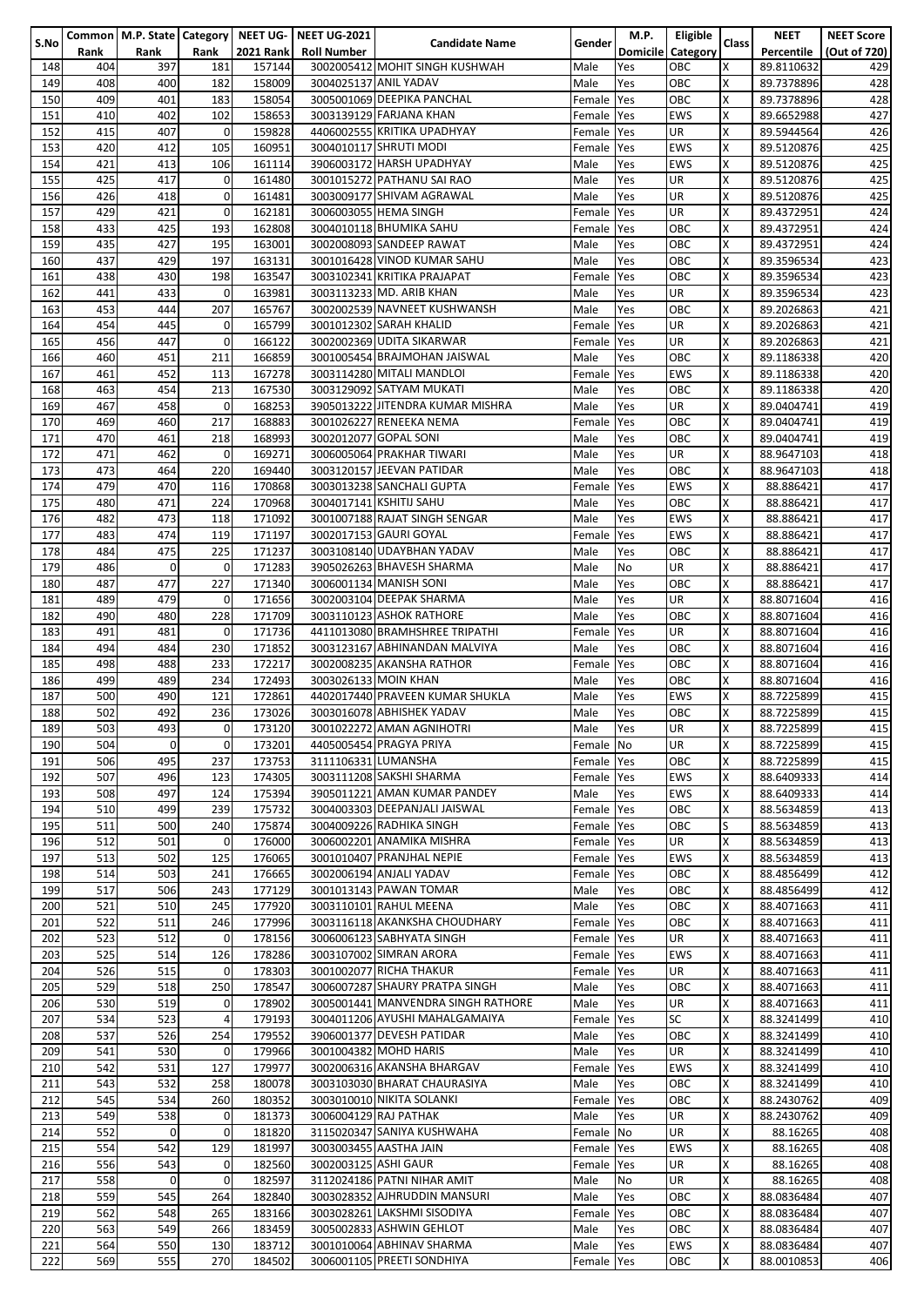|      |      |              |             |                  | Common   M.P. State   Category   NEET UG-   NEET UG-2021 |                                    |               | M.P.       | Eligible                 |              | <b>NEET</b> | <b>NEET Score</b> |
|------|------|--------------|-------------|------------------|----------------------------------------------------------|------------------------------------|---------------|------------|--------------------------|--------------|-------------|-------------------|
| S.No |      |              |             |                  |                                                          | <b>Candidate Name</b>              | <b>Gender</b> |            |                          | <b>Class</b> |             |                   |
|      | Rank | Rank         | Rank        | <b>2021 Rank</b> | <b>Roll Number</b>                                       |                                    |               |            | <b>Domicile Category</b> |              | Percentile  | (Out of 720)      |
| 148  | 404  | 397          | 181         | 157144           |                                                          | 3002005412 MOHIT SINGH KUSHWAH     | Male          | Yes        | OBC                      | X            | 89.8110632  | 429               |
| 149  | 408  | 400          | 182         | 158009           | 3004025137 ANIL YADAV                                    |                                    | Male          | Yes        | OBC                      | X            | 89.7378896  | 428               |
| 150  | 409  | 401          | 183         | 158054           |                                                          | 3005001069 DEEPIKA PANCHAL         |               | Yes        | OBC                      | X            | 89.7378896  | 428               |
|      |      |              |             |                  |                                                          |                                    | Female        |            |                          |              |             |                   |
| 151  | 410  | 402          | 102         | 158653           |                                                          | 3003139129 FARJANA KHAN            | Female Yes    |            | <b>EWS</b>               | X            | 89.6652988  | 427               |
| 152  | 415  | 407          | $\mathbf 0$ | 159828           |                                                          | 4406002555 KRITIKA UPADHYAY        | Female Yes    |            | <b>UR</b>                | X            | 89.5944564  | 426               |
| 153  | 420  | 412          | 105         | 160951           |                                                          | 3004010117 SHRUTI MODI             | Female Yes    |            | <b>EWS</b>               | X            | 89.5120876  | 425               |
|      |      |              |             |                  |                                                          |                                    |               |            |                          |              |             |                   |
| 154  | 421  | 413          | 106         | 161114           |                                                          | 3906003172 HARSH UPADHYAY          | Male          | Yes        | <b>EWS</b>               | X            | 89.5120876  | 425               |
| 155  | 425  | 417          | 0           | 161480           |                                                          | 3001015272 PATHANU SAI RAO         | Male          | Yes        | UR                       | X            | 89.5120876  | 425               |
| 156  | 426  | 418          | 0           | 161481           |                                                          | 3003009177 SHIVAM AGRAWAL          | Male          | Yes        | <b>UR</b>                | X            | 89.5120876  | 425               |
| 157  | 429  | 421          | 0           | 162181           |                                                          | 3006003055 HEMA SINGH              | Female Yes    |            | <b>UR</b>                | X            | 89.4372951  | 424               |
|      |      |              |             |                  |                                                          |                                    |               |            |                          |              |             |                   |
| 158  | 433  | 425          | 193         | 162808           |                                                          | 3004010118 BHUMIKA SAHU            | Female Yes    |            | OBC                      | X            | 89.4372951  | 424               |
| 159  | 435  | 427          | 195         | 163001           |                                                          | 3002008093 SANDEEP RAWAT           | Male          | Yes        | OBC                      | X            | 89.4372951  | 424               |
| 160  | 437  | 429          | 197         | 163131           |                                                          | 3001016428 VINOD KUMAR SAHU        | Male          | Yes        | OBC                      | X            | 89.3596534  | 423               |
| 161  | 438  | 430          |             | 163547           |                                                          | 3003102341 KRITIKA PRAJAPAT        |               |            | OBC                      | X            | 89.3596534  | 423               |
|      |      |              | 198         |                  |                                                          |                                    | Female        | Yes        |                          |              |             |                   |
| 162  | 441  | 433          | 0           | 163981           |                                                          | 3003113233 MD. ARIB KHAN           | Male          | Yes        | <b>UR</b>                | X            | 89.3596534  | 423               |
| 163  | 453  | 444          | 207         | 165767           |                                                          | 3002002539 NAVNEET KUSHWANSH       | Male          | Yes        | OBC                      | X            | 89.2026863  | 421               |
| 164  | 454  | 445          | 0           | 165799           |                                                          | 3001012302 SARAH KHALID            | Female Yes    |            | <b>UR</b>                | X            | 89.2026863  | 421               |
|      |      | 447          | $\mathbf 0$ |                  |                                                          | 3002002369 UDITA SIKARWAR          |               |            |                          | X            |             |                   |
| 165  | 456  |              |             | 166122           |                                                          |                                    | Female Yes    |            | <b>UR</b>                |              | 89.2026863  | 421               |
| 166  | 460  | 451          | 211         | 166859           |                                                          | 3001005454 BRAJMOHAN JAISWAL       | Male          | Yes        | OBC                      | X            | 89.1186338  | 420               |
| 167  | 461  | 452          | 113         | 167278           |                                                          | 3003114280 MITALI MANDLOI          | Female Yes    |            | <b>EWS</b>               | X            | 89.1186338  | 420               |
| 168  | 463  | 454          | 213         | 167530           |                                                          | 3003129092 SATYAM MUKATI           | Male          | Yes        | OBC                      | X            | 89.1186338  | 420               |
|      |      |              |             |                  |                                                          |                                    |               |            |                          |              |             |                   |
| 169  | 467  | 458          | 0           | 168253           |                                                          | 3905013222 JITENDRA KUMAR MISHRA   | Male          | Yes        | <b>UR</b>                | X            | 89.0404741  | 419               |
| 170  | 469  | 460          | 217         | 168883           |                                                          | 3001026227 RENEEKA NEMA            | Female Yes    |            | OBC                      | X            | 89.0404741  | 419               |
| 171  | 470  | 461          | 218         | 168993           |                                                          | 3002012077 GOPAL SONI              | Male          | Yes        | OBC                      | X            | 89.0404741  | 419               |
|      |      |              |             | 169271           |                                                          | 3006005064 PRAKHAR TIWARI          |               |            |                          | X            |             |                   |
| 172  | 471  | 462          | 0           |                  |                                                          |                                    | Male          | Yes        | <b>UR</b>                |              | 88.9647103  | 418               |
| 173  | 473  | 464          | 220         | 169440           |                                                          | 3003120157 JEEVAN PATIDAR          | Male          | Yes        | OBC                      | X            | 88.9647103  | 418               |
| 174  | 479  | 470          | 116         | 170868           |                                                          | 3003013238 SANCHALI GUPTA          | Female Yes    |            | <b>EWS</b>               | X            | 88.886421   | 417               |
| 175  | 480  | 471          | 224         | 170968           |                                                          | 3004017141 KSHITIJ SAHU            | Male          | Yes        | OBC                      | X            | 88.886421   | 417               |
|      |      |              |             |                  |                                                          |                                    |               |            |                          |              |             |                   |
| 176  | 482  | 473          | 118         | 171092           |                                                          | 3001007188 RAJAT SINGH SENGAR      | Male          | Yes        | <b>EWS</b>               | X            | 88.886421   | 417               |
| 177  | 483  | 474          | 119         | 171197           |                                                          | 3002017153 GAURI GOYAL             | Female        | Yes        | <b>EWS</b>               | X            | 88.886421   | 417               |
| 178  | 484  | 475          | 225         | 171237           |                                                          | 3003108140 UDAYBHAN YADAV          | Male          | Yes        | OBC                      | X            | 88.886421   | 417               |
| 179  | 486  | $\Omega$     | $\mathbf 0$ | 171283           |                                                          | 3905026263 BHAVESH SHARMA          |               | <b>No</b>  | <b>UR</b>                | X            |             | 417               |
|      |      |              |             |                  |                                                          |                                    | Male          |            |                          |              | 88.886421   |                   |
| 180  | 487  | 477          | 227         | 171340           |                                                          | 3006001134 MANISH SONI             | Male          | Yes        | OBC                      | X            | 88.886421   | 417               |
| 181  | 489  | 479          | 0           | 171656           |                                                          | 3002003104 DEEPAK SHARMA           | Male          | Yes        | <b>UR</b>                | X            | 88.8071604  | 416               |
| 182  | 490  | 480          | 228         | 171709           |                                                          | 3003110123 ASHOK RATHORE           | Male          | Yes        | OBC                      | X            | 88.8071604  | 416               |
|      |      |              |             |                  |                                                          |                                    |               |            |                          |              |             |                   |
| 183  | 491  | 481          | $\mathbf 0$ | 171736           |                                                          | 4411013080 BRAMHSHREE TRIPATHI     | Female Yes    |            | <b>UR</b>                | X            | 88.8071604  | 416               |
| 184  | 494  | 484          | 230         | 171852           |                                                          | 3003123167 ABHINANDAN MALVIYA      | Male          | Yes        | OBC                      | X            | 88.8071604  | 416               |
| 185  | 498  | 488          | 233         | 172217           |                                                          | 3002008235 AKANSHA RATHOR          | Female Yes    |            | OBC                      | X            | 88.8071604  | 416               |
| 186  | 499  | 489          | 234         | 172493           |                                                          | 3003026133 MOIN KHAN               |               | Yes        | OBC                      | X            |             | 416               |
|      |      |              |             |                  |                                                          |                                    | Male          |            |                          |              | 88.8071604  |                   |
| 187  | 500  | 490          | 121         | 172861           |                                                          | 4402017440 PRAVEEN KUMAR SHUKLA    | Male          | Yes        | <b>EWS</b>               | X            | 88.7225899  | 415               |
| 188  | 502  | 492          | 236         | 173026           |                                                          | 3003016078 ABHISHEK YADAV          | Male          | Yes        | OBC                      | Χ            | 88.7225899  | 415               |
| 189  | 503  | 493          | 0           | 173120           |                                                          | 3001022272 AMAN AGNIHOTRI          | Male          | <b>Yes</b> | UR                       | х            | 88.7225899  | 415               |
|      |      |              |             |                  |                                                          |                                    |               |            |                          |              |             |                   |
| 190  | 504  | $\mathbf{0}$ | $\mathbf 0$ | 173201           |                                                          | 4405005454 PRAGYA PRIYA            | Female No     |            | <b>UR</b>                | X            | 88.7225899  | 415               |
| 191  | 506  | 495          | 237         | 173753           | 3111106331 LUMANSHA                                      |                                    | Female Yes    |            | OBC                      | X            | 88.7225899  | 415               |
| 192  | 507  | 496          | 123         | 174305           |                                                          | 3003111208 SAKSHI SHARMA           | Female Yes    |            | <b>EWS</b>               | X            | 88.6409333  | 414               |
| 193  | 508  | 497          | 124         | 175394           |                                                          | 3905011221 AMAN KUMAR PANDEY       | Male          | Yes        | <b>EWS</b>               | X            | 88.6409333  | 414               |
|      |      |              |             |                  |                                                          |                                    |               |            |                          |              |             |                   |
| 194  | 510  | 499          | 239         | 175732           |                                                          | 3004003303 DEEPANJALI JAISWAL      | Female Yes    |            | OBC                      | X            | 88.5634859  | 413               |
| 195  | 511  | 500          | 240         | 175874           |                                                          | 3004009226 RADHIKA SINGH           | Female Yes    |            | OBC                      | S            | 88.5634859  | 413               |
| 196  | 512  | 501          | 0           | 176000           |                                                          | 3006002201 ANAMIKA MISHRA          | Female Yes    |            | UR                       | X            | 88.5634859  | 413               |
| 197  | 513  | 502          | 125         | 176065           |                                                          | 3001010407 PRANJHAL NEPIE          | Female Yes    |            | <b>EWS</b>               | X            | 88.5634859  | 413               |
|      |      |              |             |                  |                                                          |                                    |               |            |                          |              |             |                   |
| 198  | 514  | 503          | 241         | 176665           |                                                          | 3002006194 ANJALI YADAV            | Female Yes    |            | OBC                      | X            | 88.4856499  | 412               |
| 199  | 517  | 506          | 243         | 177129           |                                                          | 3001013143 PAWAN TOMAR             | Male          | Yes        | OBC                      | X            | 88.4856499  | 412               |
| 200  | 521  | 510          | 245         | 177920           |                                                          | 3003110101 RAHUL MEENA             | Male          | Yes        | OBC                      | X            | 88.4071663  | 411               |
| 201  | 522  | 511          | 246         | 177996           |                                                          | 3003116118 AKANKSHA CHOUDHARY      | Female Yes    |            | OBC                      | X            | 88.4071663  | 411               |
|      |      |              |             |                  |                                                          |                                    |               |            |                          |              |             |                   |
| 202  | 523  | 512          | 0           | 178156           |                                                          | 3006006123 SABHYATA SINGH          | Female Yes    |            | <b>UR</b>                | X            | 88.4071663  | 411               |
| 203  | 525  | 514          | 126         | 178286           |                                                          | 3003107002 SIMRAN ARORA            | Female Yes    |            | <b>EWS</b>               | X            | 88.4071663  | 411               |
| 204  | 526  | 515          | $\mathbf 0$ | 178303           |                                                          | 3001002077 RICHA THAKUR            | Female Yes    |            | <b>UR</b>                | X            | 88.4071663  | 411               |
| 205  | 529  | 518          | 250         | 178547           |                                                          | 3006007287 SHAURY PRATPA SINGH     | Male          | Yes        | OBC                      | X            | 88.4071663  | 411               |
|      |      |              |             |                  |                                                          |                                    |               |            |                          |              |             |                   |
| 206  | 530  | 519          | 0           | 178902           |                                                          | 3005001441 MANVENDRA SINGH RATHORE | Male          | Yes        | <b>UR</b>                | X            | 88.4071663  | 411               |
| 207  | 534  | 523          | 4           | 179193           |                                                          | 3004011206 AYUSHI MAHALGAMAIYA     | Female Yes    |            | <b>SC</b>                | X            | 88.3241499  | 410               |
| 208  | 537  | 526          | 254         | 179552           |                                                          | 3906001377 DEVESH PATIDAR          | Male          | Yes        | OBC                      | X            | 88.3241499  | 410               |
|      |      |              |             |                  |                                                          | 3001004382 MOHD HARIS              |               |            |                          |              |             |                   |
| 209  | 541  | 530          | 0           | 179966           |                                                          |                                    | Male          | Yes        | <b>UR</b>                | X            | 88.3241499  | 410               |
| 210  | 542  | 531          | 127         | 179977           |                                                          | 3002006316 AKANSHA BHARGAV         | Female Yes    |            | <b>EWS</b>               | X            | 88.3241499  | 410               |
| 211  | 543  | 532          | 258         | 180078           |                                                          | 3003103030 BHARAT CHAURASIYA       | Male          | Yes        | OBC                      | X            | 88.3241499  | 410               |
| 212  | 545  | 534          | 260         | 180352           |                                                          | 3003010010 NIKITA SOLANKI          | Female Yes    |            | OBC                      | X            | 88.2430762  | 409               |
|      |      |              |             |                  |                                                          |                                    |               |            |                          |              |             |                   |
| 213  | 549  | 538          | 0           | 181373           |                                                          | 3006004129 RAJ PATHAK              | Male          | Yes        | <b>UR</b>                | X            | 88.2430762  | 409               |
| 214  | 552  | $\mathbf 0$  | $\mathbf 0$ | 181820           |                                                          | 3115020347 SANIYA KUSHWAHA         | Female No     |            | <b>UR</b>                | X            | 88.16265    | 408               |
| 215  | 554  | 542          | 129         | 181997           |                                                          | 3003003455 AASTHA JAIN             | Female Yes    |            | <b>EWS</b>               | X            | 88.16265    | 408               |
| 216  | 556  | 543          | 0           | 182560           | 3002003125 ASHI GAUR                                     |                                    | Female Yes    |            | <b>UR</b>                | X            | 88.16265    | 408               |
|      |      |              |             |                  |                                                          |                                    |               |            |                          |              |             |                   |
| 217  | 558  | $\Omega$     | 0           | 182597           |                                                          | 3112024186 PATNI NIHAR AMIT        | Male          | No         | <b>UR</b>                | X            | 88.16265    | 408               |
| 218  | 559  | 545          | 264         | 182840           |                                                          | 3003028352 AJHRUDDIN MANSURI       | Male          | Yes        | OBC                      | X            | 88.0836484  | 407               |
| 219  | 562  | 548          | 265         | 183166           |                                                          | 3003028261 LAKSHMI SISODIYA        | Female Yes    |            | OBC                      | X            | 88.0836484  | 407               |
| 220  | 563  | 549          | 266         | 183459           |                                                          | 3005002833 ASHWIN GEHLOT           | Male          | Yes        | OBC                      | Χ            | 88.0836484  | 407               |
|      |      |              |             |                  |                                                          |                                    |               |            |                          |              |             |                   |
| 221  | 564  | 550          | 130         | 183712           |                                                          | 3001010064 ABHINAV SHARMA          | Male          | Yes        | <b>EWS</b>               | X            | 88.0836484  | 407               |
| 222  | 569  | 555          | 270         | 184502           |                                                          | 3006001105 PREETI SONDHIYA         | Female Yes    |            | OBC                      | X            | 88.0010853  | 406               |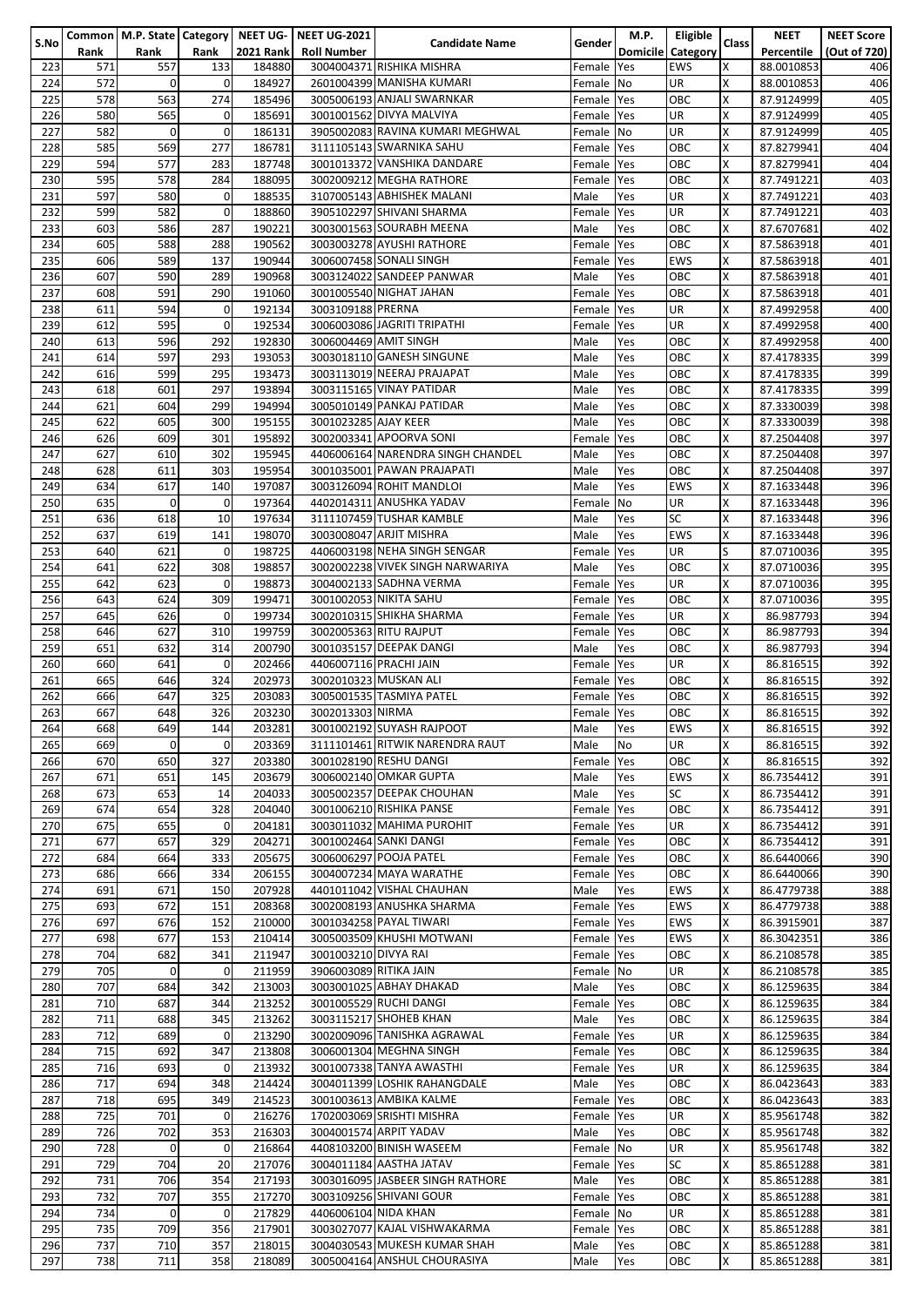|      |      |             |             |                  | Common   M.P. State   Category   NEET UG-   NEET UG-2021 |                                   |            | M.P.       | Eligible          |              | <b>NEET</b> | <b>NEET Score</b> |
|------|------|-------------|-------------|------------------|----------------------------------------------------------|-----------------------------------|------------|------------|-------------------|--------------|-------------|-------------------|
| S.No | Rank | Rank        | Rank        | <b>2021 Rank</b> | <b>Roll Number</b>                                       | <b>Candidate Name</b>             | Gender     |            | Domicile Category | <b>Class</b> | Percentile  |                   |
|      |      |             |             |                  |                                                          |                                   |            |            |                   |              |             | (Out of 720)      |
| 223  | 571  | 557         | 133         | 184880           |                                                          | 3004004371 RISHIKA MISHRA         | Female     | <b>Yes</b> | <b>EWS</b>        | X            | 88.0010853  | 406               |
| 224  | 572  | $\Omega$    | 0           | 184927           |                                                          | 2601004399 MANISHA KUMARI         | Female     | <b>No</b>  | UR                | X            | 88.0010853  | 406               |
| 225  | 578  | 563         | 274         | 185496           |                                                          | 3005006193 ANJALI SWARNKAR        | Female Yes |            | OBC               | $\times$     | 87.9124999  | 405               |
|      |      |             |             |                  |                                                          |                                   |            |            |                   |              |             |                   |
| 226  | 580  | 565         | 0           | 185691           |                                                          | 3001001562 DIVYA MALVIYA          | Female Yes |            | UR                | Χ            | 87.9124999  | 405               |
| 227  | 582  | $\mathbf 0$ | 0           | 186131           |                                                          | 3905002083 RAVINA KUMARI MEGHWAL  | Female     | <b>No</b>  | UR                | X            | 87.9124999  | 405               |
| 228  | 585  | 569         | 277         | 186781           |                                                          | 3111105143 SWARNIKA SAHU          | Female     | Yes        | ОВС               | Χ            | 87.8279941  | 404               |
|      |      |             |             |                  |                                                          |                                   |            |            |                   | X            |             |                   |
| 229  | 594  | 577         | 283         | 187748           |                                                          | 3001013372 VANSHIKA DANDARE       | Female     | <b>Yes</b> | ОВС               |              | 87.8279941  | 404               |
| 230  | 595  | 578         | 284         | 188095           |                                                          | 3002009212 MEGHA RATHORE          | Female     | Yes        | ОВС               | Χ            | 87.7491221  | 403               |
| 231  | 597  | 580         | 0           | 188535           |                                                          | 3107005143 ABHISHEK MALANI        | Male       | Yes        | UR                | X            | 87.7491221  | 403               |
| 232  | 599  | 582         | 0           | 188860           |                                                          | 3905102297 SHIVANI SHARMA         | Female     | Yes        | UR                | X            | 87.7491221  | 403               |
|      |      |             |             |                  |                                                          |                                   |            |            |                   |              |             |                   |
| 233  | 603  | 586         | 287         | 190221           |                                                          | 3003001563 SOURABH MEENA          | Male       | Yes        | ОВС               | X            | 87.6707681  | 402               |
| 234  | 605  | 588         | 288         | 190562           |                                                          | 3003003278 AYUSHI RATHORE         | Female     | Yes        | ОВС               | Χ            | 87.5863918  | 401               |
| 235  | 606  | 589         | 137         | 190944           |                                                          | 3006007458 SONALI SINGH           | Female     | Yes        | EWS               | X            | 87.5863918  | 401               |
|      |      |             |             |                  |                                                          |                                   |            |            |                   |              |             |                   |
| 236  | 607  | 590         | 289         | 190968           |                                                          | 3003124022 SANDEEP PANWAR         | Male       | Yes        | ОВС               | X            | 87.5863918  | 401               |
| 237  | 608  | 591         | 290         | 191060           |                                                          | 3001005540 NIGHAT JAHAN           | Female     | Yes        | ОВС               | Χ            | 87.5863918  | 401               |
| 238  | 611  | 594         | 0           | 192134           | 3003109188 PRERNA                                        |                                   | Female     | <b>Yes</b> | UR                | Χ            | 87.4992958  | 400               |
|      |      |             |             |                  |                                                          |                                   |            |            |                   |              |             |                   |
| 239  | 612  | 595         | $\mathbf 0$ | 192534           |                                                          | 3006003086 JAGRITI TRIPATHI       | Female     | Yes        | UR                | X            | 87.4992958  | 400               |
| 240  | 613  | 596         | 292         | 192830           | 3006004469 AMIT SINGH                                    |                                   | Male       | Yes        | OBC               | X            | 87.4992958  | 400               |
| 241  | 614  | 597         | 293         | 193053           |                                                          | 3003018110 GANESH SINGUNE         | Male       | Yes        | OBC               | Χ            | 87.4178335  | 399               |
|      | 616  | 599         | 295         |                  |                                                          |                                   | Male       |            | ОВС               | X            |             |                   |
| 242  |      |             |             | 193473           |                                                          | 3003113019 NEERAJ PRAJAPAT        |            | Yes        |                   |              | 87.4178335  | 399               |
| 243  | 618  | 601         | 297         | 193894           |                                                          | 3003115165 VINAY PATIDAR          | Male       | Yes        | ОВС               | X            | 87.4178335  | 399               |
| 244  | 621  | 604         | 299         | 194994           |                                                          | 3005010149 PANKAJ PATIDAR         | Male       | Yes        | ОВС               | X            | 87.3330039  | 398               |
| 245  | 622  | 605         | 300         | 195155           | 3001023285 AJAY KEER                                     |                                   | Male       |            | ОВС               | Χ            | 87.3330039  | 398               |
|      |      |             |             |                  |                                                          |                                   |            | Yes        |                   |              |             |                   |
| 246  | 626  | 609         | 301         | 195892           |                                                          | 3002003341 APOORVA SONI           | Female     | Yes        | OBC               | X            | 87.2504408  | 397               |
| 247  | 627  | 610         | 302         | 195945           |                                                          | 4406006164 NARENDRA SINGH CHANDEL | Male       | Yes        | ОВС               | X            | 87.2504408  | 397               |
| 248  | 628  | 611         | 303         | 195954           |                                                          | 3001035001 PAWAN PRAJAPATI        | Male       | Yes        | ОВС               | X            | 87.2504408  | 397               |
|      |      |             |             |                  |                                                          |                                   |            |            |                   |              |             |                   |
| 249  | 634  | 617         | 140         | 197087           |                                                          | 3003126094 ROHIT MANDLOI          | Male       | Yes        | EWS               | Χ            | 87.1633448  | 396               |
| 250  | 635  | $\mathbf 0$ | $\mathbf 0$ | 197364           |                                                          | 4402014311 ANUSHKA YADAV          | Female     | No         | UR                | X            | 87.1633448  | 396               |
| 251  | 636  | 618         | 10          | 197634           |                                                          | 3111107459 TUSHAR KAMBLE          | Male       | Yes        | SC                | X            | 87.1633448  | 396               |
|      |      |             |             |                  |                                                          |                                   |            |            |                   |              |             |                   |
| 252  | 637  | 619         | 141         | 198070           |                                                          | 3003008047 ARJIT MISHRA           | Male       | Yes        | <b>EWS</b>        | X            | 87.1633448  | 396               |
| 253  | 640  | 621         | $\mathbf 0$ | 198725           |                                                          | 4406003198 NEHA SINGH SENGAR      | Female     | <b>Yes</b> | UR                | S            | 87.0710036  | 395               |
| 254  | 641  | 622         | 308         | 198857           |                                                          | 3002002238 VIVEK SINGH NARWARIYA  | Male       | Yes        | ОВС               | X            | 87.0710036  | 395               |
|      |      |             |             |                  |                                                          |                                   |            |            |                   |              |             |                   |
| 255  | 642  | 623         | 0           | 198873           |                                                          | 3004002133 SADHNA VERMA           | Female     | Yes        | UR                | X            | 87.0710036  | 395               |
| 256  | 643  | 624         | 309         | 199471           |                                                          | 3001002053 NIKITA SAHU            | Female     | Yes        | OBC               | Χ            | 87.0710036  | 395               |
| 257  | 645  | 626         | $\mathbf 0$ | 199734           |                                                          | 3002010315 SHIKHA SHARMA          |            | Yes        | UR                | X            | 86.987793   | 394               |
|      |      |             |             |                  |                                                          |                                   | Female     |            |                   |              |             |                   |
| 258  | 646  | 627         | 310         | 199759           |                                                          | 3002005363 RITU RAJPUT            | Female Yes |            | ОВС               | X            | 86.987793   | 394               |
| 259  | 651  | 632         | 314         | 200790           |                                                          | 3001035157 DEEPAK DANGI           | Male       | Yes        | ОВС               | X            | 86.987793   | 394               |
| 260  | 660  | 641         | 0           | 202466           |                                                          | 4406007116 PRACHI JAIN            | Female     | <b>Yes</b> | UR                | Χ            | 86.816515   | 392               |
|      |      |             |             |                  |                                                          |                                   |            |            |                   |              |             |                   |
| 261  | 665  | 646         | 324         | 202973           |                                                          | 3002010323 MUSKAN ALI             | Female     | Yes        | ОВС               | X            | 86.816515   | 392               |
| 262  | 666  | 647         | 325         | 203083           |                                                          | 3005001535 TASMIYA PATEL          | Female     | <b>Yes</b> | ОВС               | X            | 86.816515   | 392               |
| 263  | 667  | 648         | 326         | 203230           | 3002013303 NIRMA                                         |                                   | Female     | Yes        | ОВС               | X            | 86.816515   | 392               |
|      |      |             |             |                  |                                                          |                                   |            |            |                   |              |             |                   |
| 264  | 668  | 649         | 144         | 203281           |                                                          | 3001002192 SUYASH RAJPOOT         | Male       | Yes        | EWS               | х            | 86.816515   | 392               |
| 265  | 669  | $\Omega$    | 0           | 203369           |                                                          | 3111101461 RITWIK NARENDRA RAUT   | Male       | No         | UR                | X            | 86.816515   | 392               |
| 266  | 670  | 650         | 327         | 203380           |                                                          | 3001028190 RESHU DANGI            | Female     | <b>Yes</b> | ОВС               | Χ            | 86.816515   | 392               |
|      |      |             |             |                  |                                                          |                                   |            |            |                   |              |             |                   |
| 267  | 671  | 651         | 145         | 203679           |                                                          | 3006002140 OMKAR GUPTA            | Male       | Yes        | EWS               | Χ            | 86.7354412  | 391               |
| 268  | 673  | 653         | 14          | 204033           |                                                          | 3005002357 DEEPAK CHOUHAN         | Male       | Yes        | SC                | X            | 86.7354412  | 391               |
| 269  | 674  | 654         | 328         | 204040           |                                                          | 3001006210 RISHIKA PANSE          | Female     | Yes        | OBC               | X            | 86.7354412  | 391               |
|      |      |             |             |                  |                                                          |                                   |            |            |                   |              |             |                   |
| 270  | 675  | 655         | 0           | 204181           |                                                          | 3003011032 MAHIMA PUROHIT         | Female     | <b>Yes</b> | UR                | X            | 86.7354412  | 391               |
| 271  | 677  | 657         | 329         | 204271           |                                                          | 3001002464 SANKI DANGI            | Female Yes |            | OBC               | X            | 86.7354412  | 391               |
| 272  | 684  | 664         | 333         | 205675           |                                                          | 3006006297 POOJA PATEL            | Female Yes |            | OBC               | X            | 86.6440066  | 390               |
|      |      |             |             |                  |                                                          |                                   |            |            |                   |              |             |                   |
| 273  | 686  | 666         | 334         | 206155           |                                                          | 3004007234 MAYA WARATHE           | Female Yes |            | ОВС               | X            | 86.6440066  | 390               |
| 274  | 691  | 671         | 150         | 207928           |                                                          | 4401011042 VISHAL CHAUHAN         | Male       | Yes        | EWS               | X            | 86.4779738  | 388               |
| 275  | 693  | 672         | 151         | 208368           |                                                          | 3002008193 ANUSHKA SHARMA         | Female Yes |            | EWS               | X            | 86.4779738  | 388               |
| 276  | 697  | 676         | 152         | 210000           |                                                          | 3001034258 PAYAL TIWARI           |            | <b>Yes</b> | <b>EWS</b>        | Χ            | 86.3915901  | 387               |
|      |      |             |             |                  |                                                          |                                   | Female     |            |                   |              |             |                   |
| 277  | 698  | 677         | 153         | 210414           |                                                          | 3005003509 KHUSHI MOTWANI         | Female Yes |            | <b>EWS</b>        | X            | 86.3042351  | 386               |
| 278  | 704  | 682         | 341         | 211947           | 3001003210 DIVYA RAI                                     |                                   | Female     | <b>Yes</b> | ОВС               | Χ            | 86.2108578  | 385               |
| 279  | 705  | $\Omega$    | 0           | 211959           | 3906003089 RITIKA JAIN                                   |                                   | Female No  |            | UR                | Χ            | 86.2108578  | 385               |
|      |      |             |             |                  |                                                          |                                   |            |            |                   |              |             |                   |
| 280  | 707  | 684         | 342         | 213003           |                                                          | 3003001025 ABHAY DHAKAD           | Male       | Yes        | OBC               | Χ            | 86.1259635  | 384               |
| 281  | 710  | 687         | 344         | 213252           |                                                          | 3001005529 RUCHI DANGI            | Female     | <b>Yes</b> | OBC               | X            | 86.1259635  | 384               |
| 282  | 711  | 688         | 345         | 213262           |                                                          | 3003115217 SHOHEB KHAN            | Male       | Yes        | OBC               | Χ            | 86.1259635  | 384               |
|      | 712  | 689         |             |                  |                                                          | 3002009096 TANISHKA AGRAWAL       |            |            |                   |              |             |                   |
| 283  |      |             | $\mathbf 0$ | 213290           |                                                          |                                   | Female     | <b>Yes</b> | UR                | X            | 86.1259635  | 384               |
| 284  | 715  | 692         | 347         | 213808           |                                                          | 3006001304 MEGHNA SINGH           | Female Yes |            | ОВС               | X            | 86.1259635  | 384               |
| 285  | 716  | 693         | 0           | 213932           |                                                          | 3001007338 TANYA AWASTHI          | Female     | <b>Yes</b> | UR                | X            | 86.1259635  | 384               |
| 286  | 717  | 694         | 348         | 214424           |                                                          | 3004011399 LOSHIK RAHANGDALE      |            |            | OBC               | Χ            | 86.0423643  | 383               |
|      |      |             |             |                  |                                                          |                                   | Male       | Yes        |                   |              |             |                   |
| 287  | 718  | 695         | 349         | 214523           |                                                          | 3001003613 AMBIKA KALME           | Female     | <b>Yes</b> | OBC               | X            | 86.0423643  | 383               |
| 288  | 725  | 701         | 0           | 216276           |                                                          | 1702003069 SRISHTI MISHRA         | Female Yes |            | UR                | X            | 85.9561748  | 382               |
| 289  | 726  | 702         | 353         | 216303           |                                                          | 3004001574 ARPIT YADAV            | Male       | Yes        | OBC               | X            | 85.9561748  | 382               |
|      |      |             |             |                  |                                                          |                                   |            |            |                   |              |             |                   |
| 290  | 728  | $\Omega$    | 0           | 216864           |                                                          | 4408103200 BINISH WASEEM          | Female No  |            | UR                | X            | 85.9561748  | 382               |
| 291  | 729  | 704         | 20          | 217076           |                                                          | 3004011184 AASTHA JATAV           | Female     | <b>Yes</b> | SC                | Χ            | 85.8651288  | 381               |
| 292  | 731  | 706         | 354         | 217193           |                                                          | 3003016095 JASBEER SINGH RATHORE  | Male       | Yes        | ОВС               | X            | 85.8651288  | 381               |
|      | 732  | 707         | 355         | 217270           |                                                          | 3003109256 SHIVANI GOUR           |            |            | OBC               | Χ            | 85.8651288  |                   |
| 293  |      |             |             |                  |                                                          |                                   | Female     | <b>Yes</b> |                   |              |             | 381               |
| 294  | 734  | $\Omega$    | 0           | 217829           | 4406006104 NIDA KHAN                                     |                                   | Female     | <b>No</b>  | UR                | Χ            | 85.8651288  | 381               |
| 295  | 735  | 709         | 356         | 217901           |                                                          | 3003027077 KAJAL VISHWAKARMA      | Female     | <b>Yes</b> | ОВС               | X            | 85.8651288  | 381               |
| 296  | 737  | 710         | 357         | 218015           |                                                          | 3004030543 MUKESH KUMAR SHAH      | Male       | Yes        | ОВС               | Χ            | 85.8651288  | 381               |
|      |      |             |             |                  |                                                          |                                   |            |            |                   |              |             |                   |
| 297  | 738  | 711         | 358         | 218089           |                                                          | 3005004164 ANSHUL CHOURASIYA      | Male       | Yes        | ОВС               | X            | 85.8651288  | 381               |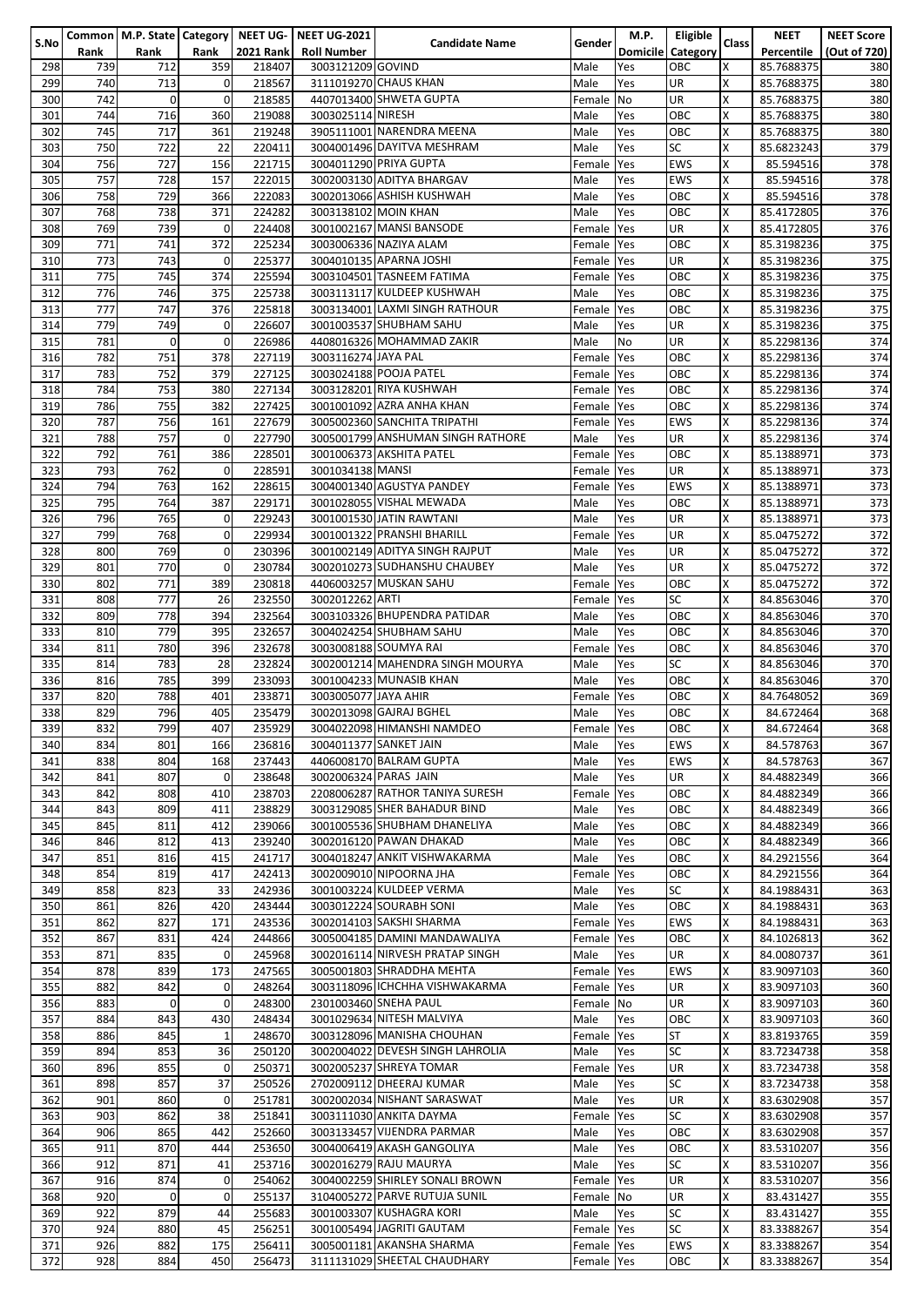|      |      |                |              |                  | Common   M.P. State   Category   NEET UG-   NEET UG-2021 |                                   |            | <b>M.P.</b> | Eligible          |              | <b>NEET</b> | <b>NEET Score</b> |
|------|------|----------------|--------------|------------------|----------------------------------------------------------|-----------------------------------|------------|-------------|-------------------|--------------|-------------|-------------------|
| S.No | Rank | Rank           | Rank         | <b>2021 Rank</b> | <b>Roll Number</b>                                       | <b>Candidate Name</b>             | Gender     |             | Domicile Category | <b>Class</b> | Percentile  |                   |
|      |      |                |              |                  |                                                          |                                   |            |             |                   |              |             | (Out of 720)      |
| 298  | 739  | 712            | 359          | 218407           | 3003121209 GOVIND                                        |                                   | Male       | Yes         | OBC               | X            | 85.7688375  | 380               |
| 299  | 740  | 713            | 0            | 218567           |                                                          | 3111019270 CHAUS KHAN             | Male       | Yes         | UR                | X            | 85.7688375  | 380               |
| 300  | 742  | $\overline{0}$ | 0            | 218585           |                                                          | 4407013400 SHWETA GUPTA           | Female     | No          | UR                | X            | 85.7688375  | 380               |
|      |      |                |              |                  |                                                          |                                   |            |             |                   |              |             |                   |
| 301  | 744  | 716            | 360          | 219088           | 3003025114 NIRESH                                        |                                   | Male       | Yes         | OBC               | Χ            | 85.7688375  | 380               |
| 302  | 745  | 717            | 361          | 219248           |                                                          | 3905111001 NARENDRA MEENA         | Male       | Yes         | ОВС               | X            | 85.7688375  | 380               |
| 303  | 750  | 722            | 22           | 220411           |                                                          | 3004001496 DAYITVA MESHRAM        | Male       | Yes         | SC                | X            | 85.6823243  | 379               |
|      |      |                |              |                  |                                                          |                                   |            |             |                   |              |             |                   |
| 304  | 756  | 727            | 156          | 221715           |                                                          | 3004011290 PRIYA GUPTA            | Female     | Yes         | <b>EWS</b>        | X            | 85.594516   | 378               |
| 305  | 757  | 728            | 157          | 222015           |                                                          | 3002003130 ADITYA BHARGAV         | Male       | Yes         | EWS               | Χ            | 85.594516   | 378               |
| 306  | 758  | 729            | 366          | 222083           |                                                          | 3002013066 ASHISH KUSHWAH         | Male       | Yes         | OBC               | X            | 85.594516   | 378               |
|      |      |                |              |                  |                                                          |                                   |            |             |                   |              |             |                   |
| 307  | 768  | 738            | 371          | 224282           |                                                          | 3003138102 MOIN KHAN              | Male       | Yes         | ОВС               | Χ            | 85.4172805  | 376               |
| 308  | 769  | 739            | 0            | 224408           |                                                          | 3001002167 MANSI BANSODE          | Female     | Yes         | UR                | X            | 85.4172805  | 376               |
| 309  | 771  | 741            | 372          | 225234           |                                                          | 3003006336 NAZIYA ALAM            | Female     | Yes         | ОВС               | Χ            | 85.3198236  | 375               |
|      |      |                |              |                  |                                                          |                                   |            |             |                   |              |             |                   |
| 310  | 773  | 743            | $\mathbf 0$  | 225377           |                                                          | 3004010135 APARNA JOSHI           | Female     | <b>Yes</b>  | UR                | X            | 85.3198236  | 375               |
| 311  | 775  | 745            | 374          | 225594           |                                                          | 3003104501 TASNEEM FATIMA         | Female     | <b>Yes</b>  | ОВС               | X            | 85.3198236  | 375               |
| 312  | 776  | 746            | 375          | 225738           |                                                          | 3003113117 KULDEEP KUSHWAH        | Male       | Yes         | ОВС               | Χ            | 85.3198236  | 375               |
|      |      |                |              |                  |                                                          |                                   |            |             |                   |              |             |                   |
| 313  | 777  | 747            | 376          | 225818           |                                                          | 3003134001 LAXMI SINGH RATHOUR    | Female     | Yes         | ОВС               | X            | 85.3198236  | 375               |
| 314  | 779  | 749            | 0            | 226607           |                                                          | 3001003537 SHUBHAM SAHU           | Male       | Yes         | UR                | X            | 85.3198236  | 375               |
| 315  | 781  | $\overline{0}$ | 0            | 226986           |                                                          | 4408016326 MOHAMMAD ZAKIR         | Male       | No          | UR                | X            | 85.2298136  | 374               |
|      |      |                |              |                  |                                                          |                                   |            |             |                   |              |             |                   |
| 316  | 782  | 751            | 378          | 227119           | 3003116274 JAYA PAL                                      |                                   | Female     | Yes         | OBC               | Χ            | 85.2298136  | 374               |
| 317  | 783  | 752            | 379          | 227125           |                                                          | 3003024188 POOJA PATEL            | Female     | Yes         | ОВС               | X            | 85.2298136  | 374               |
| 318  | 784  | 753            | 380          | 227134           |                                                          | 3003128201 RIYA KUSHWAH           | Female Yes |             | ОВС               | X            | 85.2298136  | 374               |
|      |      |                |              | 227425           |                                                          |                                   |            |             |                   | X            |             |                   |
| 319  | 786  | 755            | 382          |                  |                                                          | 3001001092 AZRA ANHA KHAN         | Female     | <b>Yes</b>  | ОВС               |              | 85.2298136  | 374               |
| 320  | 787  | 756            | 161          | 227679           |                                                          | 3005002360 SANCHITA TRIPATHI      | Female Yes |             | EWS               | Χ            | 85.2298136  | 374               |
| 321  | 788  | 757            | $\mathbf 0$  | 227790           |                                                          | 3005001799 ANSHUMAN SINGH RATHORE | Male       | Yes         | UR                | X            | 85.2298136  | 374               |
|      |      |                |              |                  |                                                          |                                   |            |             |                   |              |             |                   |
| 322  | 792  | 761            | 386          | 228501           |                                                          | 3001006373 AKSHITA PATEL          | Female     | <b>Yes</b>  | ОВС               | X            | 85.1388971  | 373               |
| 323  | 793  | 762            | 0            | 228591           | 3001034138 MANSI                                         |                                   | Female     | Yes         | UR                | X            | 85.1388971  | 373               |
| 324  | 794  | 763            | 162          | 228615           |                                                          | 3004001340 AGUSTYA PANDEY         | Female     | Yes         | EWS               | Χ            | 85.1388971  | 373               |
|      |      |                |              |                  |                                                          |                                   |            |             |                   |              |             |                   |
| 325  | 795  | 764            | 387          | 229171           |                                                          | 3001028055 VISHAL MEWADA          | Male       | Yes         | ОВС               | X            | 85.1388971  | 373               |
| 326  | 796  | 765            | 0            | 229243           |                                                          | 3001001530 JATIN RAWTANI          | Male       | Yes         | UR                | X            | 85.1388971  | 373               |
| 327  | 799  | 768            | 0            | 229934           |                                                          | 3001001322 PRANSHI BHARILL        | Female     | Yes         | UR                | Χ            | 85.0475272  | 372               |
|      |      |                | $\mathbf 0$  |                  |                                                          | 3001002149 ADITYA SINGH RAJPUT    |            |             |                   |              |             |                   |
| 328  | 800  | 769            |              | 230396           |                                                          |                                   | Male       | Yes         | UR                | Χ            | 85.0475272  | 372               |
| 329  | 801  | 770            | $\mathbf 0$  | 230784           |                                                          | 3002010273 SUDHANSHU CHAUBEY      | Male       | Yes         | UR                | X            | 85.0475272  | 372               |
| 330  | 802  | 771            | 389          | 230818           |                                                          | 4406003257 MUSKAN SAHU            | Female     | Yes         | OBC               | X            | 85.0475272  | 372               |
| 331  | 808  | 777            | 26           | 232550           | 3002012262 ARTI                                          |                                   |            |             | SC                | Χ            |             | 370               |
|      |      |                |              |                  |                                                          |                                   | Female     | Yes         |                   |              | 84.8563046  |                   |
| 332  | 809  | 778            | 394          | 232564           |                                                          | 3003103326 BHUPENDRA PATIDAR      | Male       | Yes         | OBC               | X            | 84.8563046  | 370               |
| 333  | 810  | 779            | 395          | 232657           |                                                          | 3004024254 SHUBHAM SAHU           | Male       | Yes         | ОВС               | X            | 84.8563046  | 370               |
|      | 811  | 780            |              | 232678           |                                                          | 3003008188 SOUMYA RAI             |            |             | ОВС               | X            | 84.8563046  | 370               |
| 334  |      |                | 396          |                  |                                                          |                                   | Female     | Yes         |                   |              |             |                   |
| 335  | 814  | 783            | 28           | 232824           |                                                          | 3002001214 MAHENDRA SINGH MOURYA  | Male       | Yes         | SC                | Χ            | 84.8563046  | 370               |
| 336  | 816  | 785            | 399          | 233093           |                                                          | 3001004233 MUNASIB KHAN           | Male       | Yes         | ОВС               | Χ            | 84.8563046  | 370               |
| 337  | 820  | 788            | 401          | 233871           | 3003005077 JAYA AHIR                                     |                                   | Female     | Yes         | ОВС               | X            | 84.7648052  | 369               |
|      |      |                |              |                  |                                                          |                                   |            |             |                   |              |             |                   |
| 338  | 829  | 796            | 405          | 235479           |                                                          | 3002013098 GAJRAJ BGHEL           | Male       | Yes         | ОВС               | X            | 84.672464   | 368               |
| 339  | 832  | 799            | 407          | 235929           |                                                          | 3004022098 HIMANSHI NAMDEO        | Female Yes |             | OBC               | х            | 84.672464   | 368               |
| 340  | 834  | 801            | 166          | 236816           |                                                          | 3004011377 SANKET JAIN            | Male       | Yes         | EWS               | Χ            | 84.578763   | 367               |
|      |      |                |              |                  |                                                          |                                   |            |             |                   |              |             |                   |
| 341  | 838  | 804            | 168          | 237443           |                                                          | 4406008170 BALRAM GUPTA           | Male       | Yes         | <b>EWS</b>        | Χ            | 84.578763   | 367               |
| 342  | 841  | 807            | 0            | 238648           |                                                          | 3002006324 PARAS JAIN             | Male       | Yes         | UR                | Χ            | 84.4882349  | 366               |
| 343  | 842  | 808            | 410          | 238703           |                                                          | 2208006287 RATHOR TANIYA SURESH   | Female     | <b>Yes</b>  | ОВС               | X            | 84.4882349  | 366               |
|      |      |                |              |                  |                                                          |                                   |            |             |                   |              |             |                   |
| 344  | 843  | 809            | 411          | 238829           |                                                          | 3003129085 SHER BAHADUR BIND      | Male       | Yes         | ОВС               | Χ            | 84.4882349  | 366               |
| 345  | 845  | 811            | 412          | 239066           |                                                          | 3001005536 SHUBHAM DHANELIYA      | Male       | Yes         | OBC               | X            | 84.4882349  | 366               |
| 346  | 846  | 812            | 413          | 239240           |                                                          | 3002016120 PAWAN DHAKAD           | Male       | Yes         | OBC               | Χ            | 84.4882349  | 366               |
|      |      |                |              |                  |                                                          |                                   |            |             |                   |              |             |                   |
| 347  | 851  | 816            | 415          | 241717           |                                                          | 3004018247 ANKIT VISHWAKARMA      | Male       | Yes         | OBC               | X            | 84.2921556  | 364               |
| 348  | 854  | 819            | 417          | 242413           |                                                          | 3002009010 NIPOORNA JHA           | Female     | Yes         | ОВС               | X            | 84.2921556  | 364               |
| 349  | 858  | 823            | 33           | 242936           |                                                          | 3001003224 KULDEEP VERMA          | Male       | Yes         | SC                | X            | 84.1988431  | 363               |
|      |      |                |              |                  |                                                          |                                   |            |             |                   |              |             |                   |
| 350  | 861  | 826            | 420          | 243444           |                                                          | 3003012224 SOURABH SONI           | Male       | Yes         | OBC               | X            | 84.1988431  | 363               |
| 351  | 862  | 827            | 171          | 243536           |                                                          | 3002014103 SAKSHI SHARMA          | Female     | Yes         | EWS               | Χ            | 84.1988431  | 363               |
| 352  | 867  | 831            | 424          | 244866           |                                                          | 3005004185 DAMINI MANDAWALIYA     | Female     | Yes         | ОВС               | Χ            | 84.1026813  | 362               |
|      |      |                |              |                  |                                                          | 3002016114 NIRVESH PRATAP SINGH   |            |             |                   |              |             |                   |
| 353  | 871  | 835            | 0            | 245968           |                                                          |                                   | Male       | Yes         | UR                | Χ            | 84.0080737  | 361               |
| 354  | 878  | 839            | 173          | 247565           |                                                          | 3005001803 SHRADDHA MEHTA         | Female     | Yes         | EWS               | X            | 83.9097103  | 360               |
| 355  | 882  | 842            | 0            | 248264           |                                                          | 3003118096 ICHCHHA VISHWAKARMA    | Female     | Yes         | UR                | Χ            | 83.9097103  | 360               |
|      |      | $\overline{0}$ | 0            |                  |                                                          | 2301003460 SNEHA PAUL             |            |             |                   | Χ            |             |                   |
| 356  | 883  |                |              | 248300           |                                                          |                                   | Female No  |             | UR                |              | 83.9097103  | 360               |
| 357  | 884  | 843            | 430          | 248434           |                                                          | 3001029634 NITESH MALVIYA         | Male       | Yes         | ОВС               | Χ            | 83.9097103  | 360               |
| 358  | 886  | 845            | $\mathbf{1}$ | 248670           |                                                          | 3003128096 MANISHA CHOUHAN        | Female     | <b>Yes</b>  | <b>ST</b>         | X            | 83.8193765  | 359               |
| 359  | 894  | 853            | 36           | 250120           |                                                          | 3002004022 DEVESH SINGH LAHROLIA  | Male       | Yes         | SC                | X            | 83.7234738  | 358               |
|      |      |                |              |                  |                                                          |                                   |            |             |                   |              |             |                   |
| 360  | 896  | 855            | $\mathbf 0$  | 250371           |                                                          | 3002005237 SHREYA TOMAR           | Female     | Yes         | UR                | X            | 83.7234738  | 358               |
| 361  | 898  | 857            | 37           | 250526           |                                                          | 2702009112 DHEERAJ KUMAR          | Male       | Yes         | SC                | Χ            | 83.7234738  | 358               |
| 362  | 901  | 860            | $\mathbf 0$  | 251781           |                                                          | 3002002034 NISHANT SARASWAT       | Male       | Yes         | UR                | X            | 83.6302908  | 357               |
|      |      |                |              |                  |                                                          |                                   |            |             |                   |              |             |                   |
| 363  | 903  | 862            | 38           | 251841           |                                                          | 3003111030 ANKITA DAYMA           | Female     | Yes         | SC                | X            | 83.6302908  | 357               |
| 364  | 906  | 865            | 442          | 252660           |                                                          | 3003133457 VIJENDRA PARMAR        | Male       | Yes         | OBC               | X            | 83.6302908  | 357               |
| 365  | 911  | 870            | 444          | 253650           |                                                          | 3004006419 AKASH GANGOLIYA        | Male       | Yes         | ОВС               | X            | 83.5310207  | 356               |
|      |      |                |              |                  |                                                          |                                   |            |             |                   |              |             |                   |
| 366  | 912  | 871            | 41           | 253716           |                                                          | 3002016279 RAJU MAURYA            | Male       | Yes         | SC                | Χ            | 83.5310207  | 356               |
| 367  | 916  | 874            | 0            | 254062           |                                                          | 3004002259 SHIRLEY SONALI BROWN   | Female     | Yes         | UR                | Χ            | 83.5310207  | 356               |
| 368  | 920  | $\overline{0}$ | 0            | 255137           |                                                          | 3104005272 PARVE RUTUJA SUNIL     | Female     | <b>No</b>   | UR                | X            | 83.431427   | 355               |
|      |      |                |              |                  |                                                          |                                   |            |             |                   |              |             |                   |
| 369  | 922  | 879            | 44           | 255683           |                                                          | 3001003307 KUSHAGRA KORI          | Male       | Yes         | SC                | Χ            | 83.431427   | 355               |
| 370  | 924  | 880            | 45           | 256251           |                                                          | 3001005494 JAGRITI GAUTAM         | Female Yes |             | SC                | Χ            | 83.3388267  | 354               |
| 371  | 926  | 882            | 175          | 256411           |                                                          | 3005001181 AKANSHA SHARMA         | Female Yes |             | EWS               | Χ            | 83.3388267  | 354               |
|      |      |                |              |                  |                                                          |                                   |            |             |                   |              |             |                   |
| 372  | 928  | 884            | 450          | 256473           |                                                          | 3111131029 SHEETAL CHAUDHARY      | Female Yes |             | ОВС               | Χ            | 83.3388267  | 354               |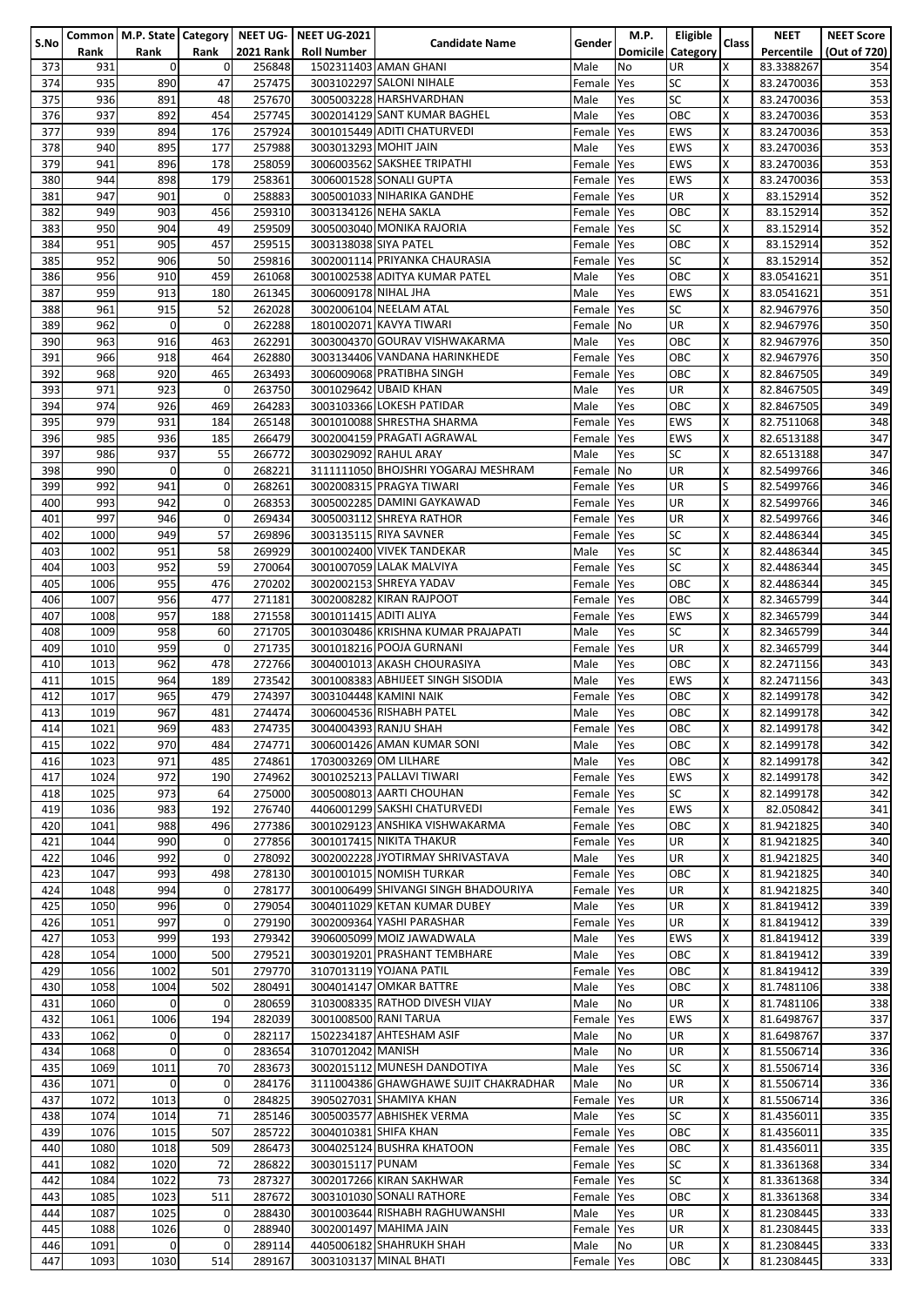|      |      |                |             |                  | Common   M.P. State   Category   NEET UG-   NEET UG-2021 |                                       |            | M.P.       | Eligible          |       | <b>NEET</b> | <b>NEET Score</b> |
|------|------|----------------|-------------|------------------|----------------------------------------------------------|---------------------------------------|------------|------------|-------------------|-------|-------------|-------------------|
| S.No | Rank | Rank           | Rank        | <b>2021 Rank</b> | <b>Roll Number</b>                                       | <b>Candidate Name</b>                 | Gender     |            | Domicile Category | Class | Percentile  | (Out of 720)      |
|      |      |                |             |                  |                                                          |                                       |            |            |                   |       |             |                   |
| 373  | 931  | $\overline{0}$ | 0           | 256848           |                                                          | 1502311403 AMAN GHANI                 | Male       | <b>No</b>  | UR                | X     | 83.3388267  | 354               |
| 374  | 935  | 890            | 47          | 257475           |                                                          | 3003102297 SALONI NIHALE              | Female     | Yes        | <b>SC</b>         | X     | 83.2470036  | 353               |
| 375  | 936  | 891            | 48          | 257670           |                                                          | 3005003228 HARSHVARDHAN               | Male       | Yes        | <b>SC</b>         | X     | 83.2470036  | 353               |
| 376  | 937  | 892            | 454         | 257745           |                                                          | 3002014129 SANT KUMAR BAGHEL          | Male       | Yes        | OBC               | Χ     | 83.2470036  | 353               |
|      |      |                |             |                  |                                                          |                                       |            |            |                   |       |             |                   |
| 377  | 939  | 894            | 176         | 257924           |                                                          | 3001015449 ADITI CHATURVEDI           | Female     | Yes        | EWS               | X     | 83.2470036  | 353               |
| 378  | 940  | 895            | 177         | 257988           | 3003013293 MOHIT JAIN                                    |                                       | Male       | Yes        | <b>EWS</b>        | X     | 83.2470036  | 353               |
| 379  | 941  | 896            | 178         | 258059           |                                                          | 3006003562 SAKSHEE TRIPATHI           | Female     | Yes        | EWS               | Χ     | 83.2470036  | 353               |
|      |      |                |             |                  |                                                          |                                       |            |            |                   |       |             |                   |
| 380  | 944  | 898            | 179         | 258361           |                                                          | 3006001528 SONALI GUPTA               | Female Yes |            | EWS               | Χ     | 83.2470036  | 353               |
| 381  | 947  | 901            | 0           | 258883           |                                                          | 3005001033 NIHARIKA GANDHE            | Female Yes |            | UR                | X     | 83.152914   | 352               |
| 382  | 949  | 903            | 456         | 259310           |                                                          | 3003134126 NEHA SAKLA                 | Female Yes |            | OBC               | Χ     | 83.152914   | 352               |
|      |      |                |             |                  |                                                          |                                       |            |            |                   |       |             |                   |
| 383  | 950  | 904            | 49          | 259509           |                                                          | 3005003040 MONIKA RAJORIA             | Female Yes |            | SC                | Χ     | 83.152914   | 352               |
| 384  | 951  | 905            | 457         | 259515           | 3003138038 SIYA PATEL                                    |                                       | Female Yes |            | OBC               | Χ     | 83.152914   | 352               |
| 385  | 952  | 906            | 50          | 259816           |                                                          | 3002001114 PRIYANKA CHAURASIA         | Female Yes |            | SC                | Χ     | 83.152914   | 352               |
|      |      |                |             |                  |                                                          |                                       |            |            |                   |       |             |                   |
| 386  | 956  | 910            | 459         | 261068           |                                                          | 3001002538 ADITYA KUMAR PATEL         | Male       | Yes        | OBC               | X     | 83.0541621  | 351               |
| 387  | 959  | 913            | 180         | 261345           | 3006009178 NIHAL JHA                                     |                                       | Male       | Yes        | EWS               | Χ     | 83.0541621  | 351               |
| 388  | 961  | 915            | 52          | 262028           |                                                          | 3002006104 NEELAM ATAL                | Female     | <b>Yes</b> | <b>SC</b>         | Χ     | 82.9467976  | 350               |
|      |      |                |             |                  |                                                          |                                       |            |            |                   |       |             |                   |
| 389  | 962  | $\Omega$       | $\mathbf 0$ | 262288           |                                                          | 1801002071 KAVYA TIWARI               | Female No  |            | <b>UR</b>         | X     | 82.9467976  | 350               |
| 390  | 963  | 916            | 463         | 262291           |                                                          | 3003004370 GOURAV VISHWAKARMA         | Male       | Yes        | OBC               | X     | 82.9467976  | 350               |
| 391  | 966  | 918            | 464         | 262880           |                                                          | 3003134406 VANDANA HARINKHEDE         | Female     | Yes        | OBC               | Χ     | 82.9467976  | 350               |
|      |      |                |             |                  |                                                          |                                       |            |            |                   |       |             |                   |
| 392  | 968  | 920            | 465         | 263493           |                                                          | 3006009068 PRATIBHA SINGH             | Female     | Yes        | ОВС               | Χ     | 82.8467505  | 349               |
| 393  | 971  | 923            | $\mathbf 0$ | 263750           |                                                          | 3001029642 UBAID KHAN                 | Male       | Yes        | UR                | Χ     | 82.8467505  | 349               |
| 394  | 974  | 926            | 469         | 264283           |                                                          | 3003103366 LOKESH PATIDAR             | Male       | Yes        | OBC               | Χ     | 82.8467505  | 349               |
|      |      |                |             |                  |                                                          |                                       |            |            |                   |       |             |                   |
| 395  | 979  | 931            | 184         | 265148           |                                                          | 3001010088 SHRESTHA SHARMA            | Female     | Yes        | EWS               | Χ     | 82.7511068  | 348               |
| 396  | 985  | 936            | 185         | 266479           |                                                          | 3002004159 PRAGATI AGRAWAL            | Female Yes |            | EWS               | Χ     | 82.6513188  | 347               |
| 397  | 986  | 937            | 55          | 266772           |                                                          | 3003029092 RAHUL ARAY                 | Male       | Yes        | <b>SC</b>         | X     | 82.6513188  | 347               |
|      |      |                |             |                  |                                                          |                                       |            |            |                   |       |             |                   |
| 398  | 990  | $\Omega$       | 0           | 268221           |                                                          | 3111111050 BHOJSHRI YOGARAJ MESHRAM   | Female     | <b>No</b>  | UR                | X     | 82.5499766  | 346               |
| 399  | 992  | 941            | 0           | 268261           |                                                          | 3002008315 PRAGYA TIWARI              | Female Yes |            | UR                | S     | 82.5499766  | 346               |
| 400  | 993  | 942            | 0           | 268353           |                                                          | 3005002285 DAMINI GAYKAWAD            | Female Yes |            | UR                | X     | 82.5499766  | 346               |
|      |      |                |             |                  |                                                          |                                       |            |            |                   |       |             |                   |
| 401  | 997  | 946            | $\mathbf 0$ | 269434           |                                                          | 3005003112 SHREYA RATHOR              | Female Yes |            | UR                | Χ     | 82.5499766  | 346               |
| 402  | 1000 | 949            | 57          | 269896           |                                                          | 3003135115 RIYA SAVNER                | Female Yes |            | <b>SC</b>         | Χ     | 82.4486344  | 345               |
| 403  | 1002 | 951            | 58          | 269929           |                                                          | 3001002400 VIVEK TANDEKAR             | Male       | Yes        | <b>SC</b>         | Χ     | 82.4486344  | 345               |
|      |      |                |             |                  |                                                          |                                       |            |            |                   |       |             |                   |
| 404  | 1003 | 952            | 59          | 270064           |                                                          | 3001007059 LALAK MALVIYA              | Female Yes |            | <b>SC</b>         | X     | 82.4486344  | 345               |
| 405  | 1006 | 955            | 476         | 270202           |                                                          | 3002002153 SHREYA YADAV               | Female Yes |            | OBC               | X     | 82.4486344  | 345               |
| 406  | 1007 | 956            | 477         | 271181           |                                                          | 3002008282 KIRAN RAJPOOT              | Female     | <b>Yes</b> | OBC               | X     | 82.3465799  | 344               |
|      |      |                |             |                  |                                                          |                                       |            |            |                   |       |             |                   |
| 407  | 1008 | 957            | 188         | 271558           | 3001011415 ADITI ALIYA                                   |                                       | Female Yes |            | EWS               | X     | 82.3465799  | 344               |
| 408  | 1009 | 958            | 60          | 271705           |                                                          | 3001030486 KRISHNA KUMAR PRAJAPATI    | Male       | Yes        | SC                | X     | 82.3465799  | 344               |
| 409  | 1010 | 959            | 0           | 271735           |                                                          | 3001018216 POOJA GURNANI              | Female     | Yes        | UR                | X     | 82.3465799  | 344               |
|      |      |                |             |                  |                                                          |                                       |            |            |                   |       |             |                   |
| 410  | 1013 | 962            | 478         | 272766           |                                                          | 3004001013 AKASH CHOURASIYA           | Male       | Yes        | OBC               | Χ     | 82.2471156  | 343               |
| 411  | 1015 | 964            | 189         | 273542           |                                                          | 3001008383 ABHIJEET SINGH SISODIA     | Male       | Yes        | EWS               | Χ     | 82.2471156  | 343               |
| 412  | 1017 | 965            | 479         | 274397           |                                                          | 3003104448 KAMINI NAIK                | Female     | Yes        | ОВС               | X     | 82.1499178  | 342               |
|      |      |                |             |                  |                                                          |                                       |            |            |                   |       |             |                   |
| 413  | 1019 | 967            | 481         | 274474           |                                                          | 3006004536 RISHABH PATEL              | Male       | Yes        | ОВС               | X     | 82.1499178  | 342               |
| 414  | 1021 | 969            | 483         | 274735           |                                                          | 3004004393 RANJU SHAH                 | Female Yes |            | OBC               | x     | 82.1499178  | 342               |
| 415  | 1022 | 970            | 484         | 274771           |                                                          | 3006001426 AMAN KUMAR SONI            | Male       | Yes        | OBC               | Χ     | 82.1499178  | 342               |
|      |      |                |             |                  |                                                          |                                       |            |            |                   |       |             |                   |
| 416  | 1023 | 971            | 485         | 274861           |                                                          | 1703003269 OM LILHARE                 | Male       | Yes        | OBC               | Χ     | 82.1499178  | 342               |
| 417  | 1024 | 972            | 190         | 274962           |                                                          | 3001025213 PALLAVI TIWARI             | Female Yes |            | <b>EWS</b>        | Χ     | 82.1499178  | 342               |
| 418  | 1025 | 973            | 64          | 275000           |                                                          | 3005008013 AARTI CHOUHAN              | Female Yes |            | SC                | X     | 82.1499178  | 342               |
|      |      |                |             |                  |                                                          |                                       |            |            |                   |       |             |                   |
| 419  | 1036 | 983            | 192         | 276740           |                                                          | 4406001299 SAKSHI CHATURVEDI          | Female Yes |            | <b>EWS</b>        | X     | 82.050842   | 341               |
| 420  | 1041 | 988            | 496         | 277386           |                                                          | 3001029123 ANSHIKA VISHWAKARMA        | Female Yes |            | OBC               | X     | 81.9421825  | 340               |
| 421  | 1044 | 990            | 0           | 277856           |                                                          | 3001017415 NIKITA THAKUR              | Female Yes |            | UR                | Χ     | 81.9421825  | 340               |
|      |      |                |             |                  |                                                          |                                       |            |            |                   |       |             |                   |
| 422  | 1046 | 992            | $\mathbf 0$ | 278092           |                                                          | 3002002228 JYOTIRMAY SHRIVASTAVA      | Male       | Yes        | UR                | X     | 81.9421825  | 340               |
| 423  | 1047 | 993            | 498         | 278130           |                                                          | 3001001015 NOMISH TURKAR              | Female Yes |            | OBC               | X     | 81.9421825  | 340               |
| 424  | 1048 | 994            | 0           | 278177           |                                                          | 3001006499 SHIVANGI SINGH BHADOURIYA  | Female Yes |            | UR                | x     | 81.9421825  | 340               |
|      |      |                | 0           |                  |                                                          | 3004011029 KETAN KUMAR DUBEY          |            |            |                   |       |             |                   |
| 425  | 1050 | 996            |             | 279054           |                                                          |                                       | Male       | Yes        | UR                | Χ     | 81.8419412  | 339               |
| 426  | 1051 | 997            | 0           | 279190           |                                                          | 3002009364 YASHI PARASHAR             | Female Yes |            | UR                | X     | 81.8419412  | 339               |
| 427  | 1053 | 999            | 193         | 279342           |                                                          | 3906005099 MOIZ JAWADWALA             | Male       | Yes        | <b>EWS</b>        | X     | 81.8419412  | 339               |
| 428  | 1054 | 1000           | 500         | 279521           |                                                          | 3003019201 PRASHANT TEMBHARE          | Male       | Yes        | OBC               | X     | 81.8419412  | 339               |
|      |      |                |             |                  |                                                          |                                       |            |            |                   |       |             |                   |
| 429  | 1056 | 1002           | 501         | 279770           |                                                          | 3107013119 YOJANA PATIL               | Female     | <b>Yes</b> | ОВС               | Χ     | 81.8419412  | 339               |
| 430  | 1058 | 1004           | 502         | 280491           |                                                          | 3004014147 OMKAR BATTRE               | Male       | Yes        | OBC               | Χ     | 81.7481106  | 338               |
| 431  | 1060 | $\mathbf 0$    | 0           | 280659           |                                                          | 3103008335 RATHOD DIVESH VIJAY        | Male       | No         | UR                | Χ     | 81.7481106  | 338               |
|      |      |                |             |                  |                                                          |                                       |            |            |                   |       |             |                   |
| 432  | 1061 | 1006           | 194         | 282039           |                                                          | 3001008500 RANI TARUA                 | Female Yes |            | <b>EWS</b>        | Χ     | 81.6498767  | 337               |
| 433  | 1062 | $\mathbf{0}$   | $\pmb{0}$   | 282117           |                                                          | 1502234187 AHTESHAM ASIF              | Male       | No         | UR                | X     | 81.6498767  | 337               |
| 434  | 1068 | $\mathbf 0$    | 0           | 283654           | 3107012042 MANISH                                        |                                       | Male       | No         | UR                | Χ     | 81.5506714  | 336               |
|      |      |                |             |                  |                                                          |                                       |            |            |                   |       |             |                   |
| 435  | 1069 | 1011           | 70          | 283673           |                                                          | 3002015112 MUNESH DANDOTIYA           | Male       | Yes        | <b>SC</b>         | X     | 81.5506714  | 336               |
| 436  | 1071 | $\mathbf 0$    | 0           | 284176           |                                                          | 3111004386 GHAWGHAWE SUJIT CHAKRADHAR | Male       | No         | UR                | X     | 81.5506714  | 336               |
| 437  | 1072 | 1013           | $\pmb{0}$   | 284825           |                                                          | 3905027031 SHAMIYA KHAN               | Female Yes |            | <b>UR</b>         | X     | 81.5506714  | 336               |
|      |      |                |             |                  |                                                          |                                       |            |            |                   |       |             |                   |
| 438  | 1074 | 1014           | 71          | 285146           |                                                          | 3005003577 ABHISHEK VERMA             | Male       | Yes        | <b>SC</b>         | X     | 81.4356011  | 335               |
| 439  | 1076 | 1015           | 507         | 285722           |                                                          | 3004010381 SHIFA KHAN                 | Female Yes |            | OBC               | X     | 81.4356011  | 335               |
| 440  | 1080 | 1018           | 509         | 286473           |                                                          | 3004025124 BUSHRA KHATOON             | Female Yes |            | ОВС               | X     | 81.4356011  | 335               |
|      |      |                |             |                  |                                                          |                                       |            |            |                   |       |             |                   |
| 441  | 1082 | 1020           | 72          | 286822           | 3003015117 PUNAM                                         |                                       | Female Yes |            | SC                | X     | 81.3361368  | 334               |
| 442  | 1084 | 1022           | 73          | 287327           |                                                          | 3002017266 KIRAN SAKHWAR              | Female Yes |            | <b>SC</b>         | X     | 81.3361368  | 334               |
| 443  | 1085 | 1023           | 511         | 287672           |                                                          | 3003101030 SONALI RATHORE             | Female Yes |            | OBC               | X     | 81.3361368  | 334               |
|      |      |                |             |                  |                                                          |                                       |            |            |                   |       |             |                   |
| 444  | 1087 | 1025           | 0           | 288430           |                                                          | 3001003644 RISHABH RAGHUWANSHI        | Male       | Yes        | UR                | Χ     | 81.2308445  | 333               |
| 445  | 1088 | 1026           | 0           | 288940           |                                                          | 3002001497 MAHIMA JAIN                | Female Yes |            | UR                | Χ     | 81.2308445  | 333               |
| 446  | 1091 | $\mathbf 0$    | 0           | 289114           |                                                          | 4405006182 SHAHRUKH SHAH              | Male       | No         | UR                | Χ     | 81.2308445  | 333               |
|      |      |                |             |                  |                                                          |                                       |            |            |                   |       |             |                   |
| 447  | 1093 | 1030           | 514         | 289167           |                                                          | 3003103137 MINAL BHATI                | Female Yes |            | OBC               | Χ     | 81.2308445  | 333               |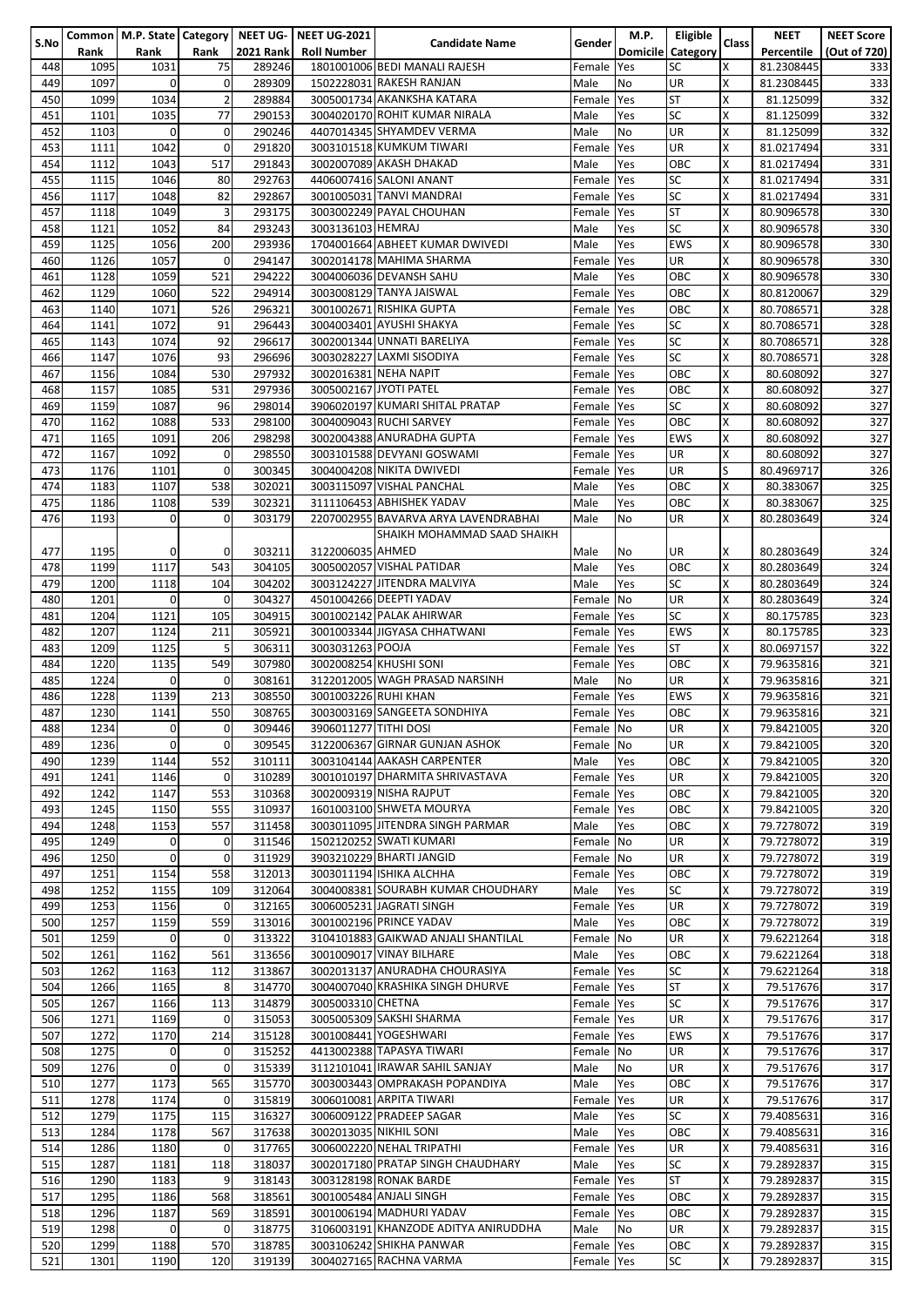| S.No       |              |                     |                     |                  | Common   M.P. State   Category   NEET UG-   NEET UG-2021 | <b>Candidate Name</b>                | Gender                   | <b>M.P.</b>     | Eligible         | <b>Class</b>  | <b>NEET</b>              | <b>NEET Score</b> |
|------------|--------------|---------------------|---------------------|------------------|----------------------------------------------------------|--------------------------------------|--------------------------|-----------------|------------------|---------------|--------------------------|-------------------|
|            | Rank         | Rank                | Rank                | <b>2021 Rank</b> | <b>Roll Number</b>                                       |                                      |                          | <b>Domicile</b> | <b>Category</b>  |               | Percentile               | (Out of 720)      |
| 448        | 1095         | 1031                | 75                  | 289246           |                                                          | 1801001006 BEDI MANALI RAJESH        | Female Yes               |                 | SC               | X             | 81.2308445               | 333               |
| 449        | 1097         | $\mathbf 0$         | 0                   | 289309           |                                                          | 1502228031 RAKESH RANJAN             | Male                     | No              | UR               | X             | 81.2308445               | 333               |
| 450        | 1099         | 1034                | $\overline{2}$      | 289884           |                                                          | 3005001734 AKANKSHA KATARA           | Female                   | Yes             | <b>ST</b>        | X             | 81.125099                | 332               |
| 451        | 1101         | 1035                | 77                  | 290153           |                                                          | 3004020170 ROHIT KUMAR NIRALA        | Male                     | Yes             | <b>SC</b>        | X             | 81.125099                | 332               |
| 452        | 1103         | $\mathbf{0}$        | $\pmb{0}$           | 290246           |                                                          | 4407014345 SHYAMDEV VERMA            | Male                     | No              | UR               | Χ             | 81.125099                | 332               |
| 453        | 1111         | 1042                | $\mathbf 0$         | 291820           |                                                          | 3003101518 KUMKUM TIWARI             | Female                   | Yes             | UR               | X             | 81.0217494               | 331               |
| 454        | 1112         | 1043                | 517                 | 291843           |                                                          | 3002007089 AKASH DHAKAD              | Male                     | Yes             | OBC              | X             | 81.0217494               | 331               |
| 455        | 1115         | 1046                | 80                  | 292763           |                                                          | 4406007416 SALONI ANANT              | Female                   | Yes             | <b>SC</b>        | X             | 81.0217494               | 331               |
| 456        | 1117         | 1048                | 82                  | 292867<br>293175 |                                                          | 3001005031 TANVI MANDRAI             | Female                   | Yes             | SC<br><b>ST</b>  | X             | 81.0217494               | 331               |
| 457<br>458 | 1118<br>1121 | 1049<br>1052        | 3<br>84             | 293243           | 3003136103 HEMRAJ                                        | 3003002249 PAYAL CHOUHAN             | Female Yes<br>Male       | Yes             | SC               | X<br>X        | 80.9096578<br>80.9096578 | 330<br>330        |
| 459        | 1125         | 1056                | 200                 | 293936           |                                                          | 1704001664 ABHEET KUMAR DWIVEDI      | Male                     | Yes             | EWS              | X             | 80.9096578               | 330               |
| 460        | 1126         | 1057                | $\mathbf 0$         | 294147           |                                                          | 3002014178 MAHIMA SHARMA             | Female                   | Yes             | UR               | X             | 80.9096578               | 330               |
| 461        | 1128         | 1059                | 521                 | 294222           |                                                          | 3004006036 DEVANSH SAHU              | Male                     | Yes             | OBC              | X             | 80.9096578               | 330               |
| 462        | 1129         | 1060                | 522                 | 294914           |                                                          | 3003008129 TANYA JAISWAL             | Female Yes               |                 | OBC              | X             | 80.8120067               | 329               |
| 463        | 1140         | 1071                | 526                 | 296321           |                                                          | 3001002671 RISHIKA GUPTA             | Female Yes               |                 | ОВС              | Χ             | 80.7086571               | 328               |
| 464        | 1141         | 1072                | 91                  | 296443           |                                                          | 3004003401 AYUSHI SHAKYA             | Female Yes               |                 | SC               | X             | 80.7086571               | 328               |
| 465        | 1143         | 1074                | 92                  | 296617           |                                                          | 3002001344 UNNATI BARELIYA           | Female Yes               |                 | SC               | X             | 80.7086571               | 328               |
| 466        | 1147         | 1076                | 93                  | 296696           |                                                          | 3003028227 LAXMI SISODIYA            | Female Yes               |                 | <b>SC</b>        | Χ             | 80.7086571               | 328               |
| 467        | 1156         | 1084                | 530                 | 297932           | 3002016381 NEHA NAPIT                                    |                                      | Female Yes               |                 | OBC              | X             | 80.608092                | 327               |
| 468        | 1157         | 1085                | 531                 | 297936           | 3005002167 JYOTI PATEL                                   |                                      | Female Yes               |                 | OBC              | X             | 80.608092                | 327               |
| 469        | 1159         | 1087                | 96                  | 298014           |                                                          | 3906020197 KUMARI SHITAL PRATAP      | Female Yes               |                 | <b>SC</b>        | X             | 80.608092                | 327               |
| 470        | 1162         | 1088                | 533                 | 298100           |                                                          | 3004009043 RUCHI SARVEY              | Female Yes               |                 | OBC              | X             | 80.608092                | 327               |
| 471        | 1165         | 1091                | 206                 | 298298           |                                                          | 3002004388 ANURADHA GUPTA            | Female Yes               |                 | EWS              | χ             | 80.608092                | 327               |
| 472        | 1167         | 1092                | 0                   | 298550           |                                                          | 3003101588 DEVYANI GOSWAMI           | Female Yes               |                 | UR               | X             | 80.608092                | 327               |
| 473        | 1176         | 1101                | 0                   | 300345           |                                                          | 3004004208 NIKITA DWIVEDI            | Female Yes               |                 | UR               | S             | 80.4969717               | 326               |
| 474        | 1183         | 1107                | 538                 | 302021           |                                                          | 3003115097 VISHAL PANCHAL            | Male                     | Yes             | OBC              | X             | 80.383067                | 325               |
| 475        | 1186         | 1108                | 539                 | 302321           |                                                          | 3111106453 ABHISHEK YADAV            | Male                     | Yes             | ОВС              | X             | 80.383067                | 325               |
| 476        | 1193         | $\mathbf 0$         | 0                   | 303179           |                                                          | 2207002955 BAVARVA ARYA LAVENDRABHAI | Male                     | No              | UR               | X             | 80.2803649               | 324               |
|            |              |                     |                     |                  |                                                          | SHAIKH MOHAMMAD SAAD SHAIKH          |                          |                 |                  |               |                          |                   |
| 477        | 1195         | 0                   | 0                   | 303211           | 3122006035 AHMED                                         |                                      | Male                     | No              | UR               | х             | 80.2803649               | 324               |
| 478        | 1199         | 1117                | 543                 | 304105           |                                                          | 3005002057 VISHAL PATIDAR            | Male                     | Yes             | OBC              | X             | 80.2803649               | 324               |
| 479        | 1200         | 1118                | 104                 | 304202           |                                                          | 3003124227 JITENDRA MALVIYA          | Male                     | Yes             | SC               | X             | 80.2803649               | 324               |
| 480        | 1201         | $\mathbf 0$         | 0                   | 304327           |                                                          | 4501004266 DEEPTI YADAV              | Female                   | No              | UR               | Χ             | 80.2803649               | 324               |
| 481        | 1204         | 1121                | 105                 | 304915           |                                                          | 3001002142 PALAK AHIRWAR             | Female Yes               |                 | <b>SC</b>        | X             | 80.175785                | 323               |
| 482        | 1207         | 1124                | 211                 | 305921           |                                                          | 3001003344 JIGYASA CHHATWANI         | Female Yes               |                 | <b>EWS</b>       | X             | 80.175785                | 323               |
| 483        | 1209         | 1125                | 5                   | 306311           | 3003031263 POOJA                                         |                                      | Female Yes               |                 | <b>ST</b>        | X             | 80.0697157               | 322               |
| 484        | 1220         | 1135                | 549                 | 307980           |                                                          | 3002008254 KHUSHI SONI               | Female Yes               |                 | OBC              | X             | 79.9635816               | 321               |
| 485        | 1224         | $\mathbf 0$<br>1139 | 0                   | 308161<br>308550 | 3001003226 RUHI KHAN                                     | 3122012005 WAGH PRASAD NARSINH       | Male<br>Female Yes       | No              | UR<br><b>EWS</b> | X<br>X        | 79.9635816               | 321<br>321        |
| 486<br>487 | 1228<br>1230 | 1141                | 213<br>550          | 308765           |                                                          | 3003003169 SANGEETA SONDHIYA         | Female Yes               |                 | OBC              | X             | 79.9635816<br>79.9635816 | 321               |
| 488        | 1234         | $\mathbf{0}$        | 0                   | 309446           | 3906011277 TITHI DOSI                                    |                                      | Female No                |                 | UR               | X             | 79.8421005               | 320               |
| 489        | 1236         | $\mathbf 0$         | 0                   | 309545           |                                                          | 3122006367 GIRNAR GUNJAN ASHOK       | Female No                |                 | UR               | X             | 79.8421005               | 320               |
| 490        | 1239         | 1144                | 552                 | 310111           |                                                          | 3003104144 AAKASH CARPENTER          | Male                     | Yes             | OBC              | $\times$      | 79.8421005               | 320               |
| 491        | 1241         | 1146                | 0                   | 310289           |                                                          | 3001010197 DHARMITA SHRIVASTAVA      | Female Yes               |                 | UR               | X             | 79.8421005               | 320               |
| 492        | 1242         | 1147                | 553                 | 310368           |                                                          | 3002009319 NISHA RAJPUT              | Female Yes               |                 | ОВС              | X             | 79.8421005               | 320               |
| 493        | 1245         | 1150                | 555                 | 310937           |                                                          | 1601003100 SHWETA MOURYA             | Female Yes               |                 | OBC              | X             | 79.8421005               | 320               |
| 494        | 1248         | 1153                | 557                 | 311458           |                                                          | 3003011095 JITENDRA SINGH PARMAR     | Male                     | Yes             | OBC              | X             | 79.7278072               | 319               |
| 495        | 1249         | $\mathbf 0$         | 0                   | 311546           |                                                          | 1502120252 SWATI KUMARI              | Female No                |                 | UR               | X             | 79.7278072               | 319               |
| 496        | 1250         | $\mathbf{0}$        | $\mathsf{O}\xspace$ | 311929           |                                                          | 3903210229 BHARTI JANGID             | Female No                |                 | UR               | X             | 79.7278072               | 319               |
| 497        | 1251         | 1154                | 558                 | 312013           |                                                          | 3003011194 ISHIKA ALCHHA             | Female Yes               |                 | OBC              | X             | 79.7278072               | 319               |
| 498        | 1252         | 1155                | 109                 | 312064           |                                                          | 3004008381 SOURABH KUMAR CHOUDHARY   | Male                     | Yes             | SC               | X             | 79.7278072               | 319               |
| 499        | 1253         | 1156                | 0                   | 312165           |                                                          | 3006005231 JAGRATI SINGH             | Female Yes               |                 | UR               | Χ             | 79.7278072               | 319               |
| 500        | 1257         | 1159                | 559                 | 313016           |                                                          | 3001002196 PRINCE YADAV              | Male                     | Yes             | OBC              | X             | 79.7278072               | 319               |
| 501        | 1259         | $\mathbf 0$         | 0                   | 313322           |                                                          | 3104101883 GAIKWAD ANJALI SHANTILAL  | Female No                |                 | UR               | X             | 79.6221264               | 318               |
| 502        | 1261         | 1162                | 561                 | 313656           |                                                          | 3001009017 VINAY BILHARE             | Male                     | Yes             | OBC              | X             | 79.6221264               | 318               |
| 503        | 1262         | 1163                | 112                 | 313867           |                                                          | 3002013137 ANURADHA CHOURASIYA       | Female Yes               |                 | SC               | X             | 79.6221264               | 318               |
| 504        | 1266         | 1165                | 8                   | 314770           |                                                          | 3004007040 KRASHIKA SINGH DHURVE     | Female Yes               |                 | <b>ST</b>        | X             | 79.517676                | 317               |
| 505        | 1267         | 1166<br>1169        | 113<br>$\Omega$     | 314879<br>315053 | 3005003310 CHETNA                                        | 3005005309 SAKSHI SHARMA             | Female Yes               |                 | SC<br>UR         | $\times$<br>X | 79.517676                | 317               |
| 506<br>507 | 1271<br>1272 | 1170                | 214                 | 315128           |                                                          | 3001008441 YOGESHWARI                | Female Yes<br>Female Yes |                 | EWS              | X             | 79.517676<br>79.517676   | 317<br>317        |
| 508        | 1275         | $\mathbf 0$         | 0                   | 315252           |                                                          | 4413002388 TAPASYA TIWARI            | Female No                |                 | UR               | X             | 79.517676                | 317               |
| 509        | 1276         | $\Omega$            | $\mathbf 0$         | 315339           |                                                          | 3112101041 IRAWAR SAHIL SANJAY       | Male                     | <b>No</b>       | UR               | X             | 79.517676                | 317               |
| 510        | 1277         | 1173                | 565                 | 315770           |                                                          | 3003003443 OMPRAKASH POPANDIYA       | Male                     | Yes             | OBC              | X             | 79.517676                | 317               |
| 511        | 1278         | 1174                | 0                   | 315819           |                                                          | 3006010081 ARPITA TIWARI             | Female Yes               |                 | UR               | X             | 79.517676                | 317               |
| 512        | 1279         | 1175                | 115                 | 316327           |                                                          | 3006009122 PRADEEP SAGAR             | Male                     | Yes             | SC               | X             | 79.4085631               | 316               |
| 513        | 1284         | 1178                | 567                 | 317638           | 3002013035 NIKHIL SONI                                   |                                      | Male                     | Yes             | OBC              | X             | 79.4085631               | 316               |
| 514        | 1286         | 1180                | 0                   | 317765           |                                                          | 3006002220 NEHAL TRIPATHI            | Female Yes               |                 | UR               | Χ             | 79.4085631               | 316               |
| 515        | 1287         | 1181                | 118                 | 318037           |                                                          | 3002017180 PRATAP SINGH CHAUDHARY    | Male                     | Yes             | SC               | X             | 79.2892837               | 315               |
| 516        | 1290         | 1183                | 9                   | 318143           |                                                          | 3003128198 RONAK BARDE               | Female Yes               |                 | <b>ST</b>        | $\times$      | 79.2892837               | 315               |
| 517        | 1295         | 1186                | 568                 | 318561           |                                                          | 3001005484 ANJALI SINGH              | Female Yes               |                 | OBC              | X             | 79.2892837               | 315               |
| 518        | 1296         | 1187                | 569                 | 318591           |                                                          | 3001006194 MADHURI YADAV             | Female Yes               |                 | OBC              | X             | 79.2892837               | 315               |
| 519        | 1298         | $\mathbf 0$         | 0                   | 318775           |                                                          | 3106003191 KHANZODE ADITYA ANIRUDDHA | Male                     | No              | UR               | X             | 79.2892837               | 315               |
| 520        | 1299         | 1188                | 570                 | 318785           |                                                          | 3003106242 SHIKHA PANWAR             | Female Yes               |                 | ОВС              | X             | 79.2892837               | 315               |
| 521        | 1301         | 1190                | 120                 | 319139           |                                                          | 3004027165 RACHNA VARMA              | Female Yes               |                 | SC               | X             | 79.2892837               | 315               |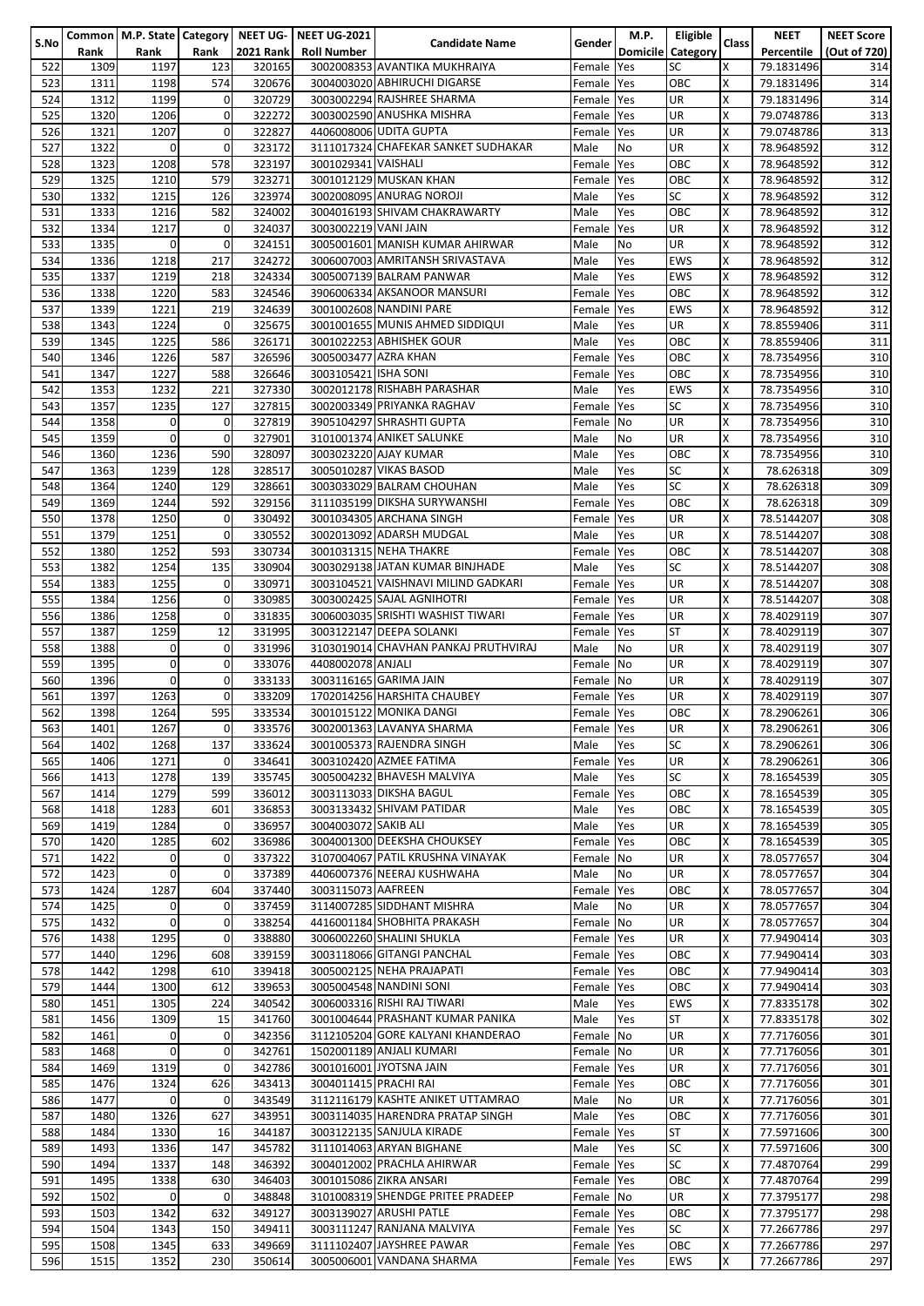|      |      |              |             |                  | Common   M.P. State   Category   NEET UG-   NEET UG-2021 |                                      |            | M.P.            | Eligible   |              | <b>NEET</b> | <b>NEET Score</b> |
|------|------|--------------|-------------|------------------|----------------------------------------------------------|--------------------------------------|------------|-----------------|------------|--------------|-------------|-------------------|
| S.No | Rank | Rank         | Rank        | <b>2021 Rank</b> | <b>Roll Number</b>                                       | <b>Candidate Name</b>                | Gender     | <b>Domicile</b> | Category   | <b>Class</b> | Percentile  | (Out of 720)      |
|      |      |              |             |                  |                                                          | 3002008353 AVANTIKA MUKHRAIYA        |            |                 | SC         | X            |             |                   |
| 522  | 1309 | 1197         | 123         | 320165           |                                                          |                                      | Female Yes |                 |            |              | 79.1831496  | 314               |
| 523  | 1311 | 1198         | 574         | 320676           |                                                          | 3004003020 ABHIRUCHI DIGARSE         | Female Yes |                 | OBC        | X            | 79.1831496  | 314               |
| 524  | 1312 | 1199         | 0           | 320729           |                                                          | 3003002294 RAJSHREE SHARMA           | Female Yes |                 | UR         | X            | 79.1831496  | 314               |
| 525  | 1320 | 1206         | 0           | 322272           |                                                          | 3003002590 ANUSHKA MISHRA            | Female Yes |                 | UR         | X            | 79.0748786  | 313               |
| 526  | 1321 | 1207         | $\mathbf 0$ | 322827           |                                                          | 4406008006 UDITA GUPTA               | Female Yes |                 | UR         | X            | 79.0748786  | 313               |
|      |      |              |             |                  |                                                          |                                      |            |                 |            |              |             |                   |
| 527  | 1322 | $\mathbf 0$  | 0           | 323172           |                                                          | 3111017324 CHAFEKAR SANKET SUDHAKAR  | Male       | <b>No</b>       | UR         | X            | 78.9648592  | 312               |
| 528  | 1323 | 1208         | 578         | 323197           | 3001029341 VAISHALI                                      |                                      | Female Yes |                 | OBC        | X            | 78.9648592  | 312               |
| 529  | 1325 | 1210         | 579         | 323271           |                                                          | 3001012129 MUSKAN KHAN               | Female Yes |                 | ОВС        | X            | 78.9648592  | 312               |
| 530  | 1332 | 1215         | 126         | 323974           |                                                          | 3002008095 ANURAG NOROJI             | Male       | Yes             | SC         | X            | 78.9648592  | 312               |
| 531  | 1333 | 1216         | 582         | 324002           |                                                          | 3004016193 SHIVAM CHAKRAWARTY        | Male       | Yes             | OBC        | X            | 78.9648592  | 312               |
|      |      |              |             |                  |                                                          |                                      |            |                 |            |              |             |                   |
| 532  | 1334 | 1217         | 0           | 324037           | 3003002219 VANI JAIN                                     |                                      | Female Yes |                 | UR         | X            | 78.9648592  | 312               |
| 533  | 1335 | $\mathbf{0}$ | $\pmb{0}$   | 324151           |                                                          | 3005001601 MANISH KUMAR AHIRWAR      | Male       | No              | UR         | X            | 78.9648592  | 312               |
| 534  | 1336 | 1218         | 217         | 324272           |                                                          | 3006007003 AMRITANSH SRIVASTAVA      | Male       | Yes             | <b>EWS</b> | X            | 78.9648592  | 312               |
| 535  | 1337 | 1219         | 218         | 324334           |                                                          | 3005007139 BALRAM PANWAR             | Male       | Yes             | <b>EWS</b> | $\times$     | 78.9648592  | 312               |
| 536  | 1338 | 1220         | 583         | 324546           |                                                          | 3906006334 AKSANOOR MANSURI          | Female     | <b>Yes</b>      | OBC        | X            | 78.9648592  | 312               |
| 537  | 1339 | 1221         | 219         | 324639           |                                                          |                                      | Female Yes |                 | EWS        | X            |             | 312               |
|      |      |              |             |                  |                                                          | 3001002608 NANDINI PARE              |            |                 |            |              | 78.9648592  |                   |
| 538  | 1343 | 1224         | $\mathbf 0$ | 325675           |                                                          | 3001001655 MUNIS AHMED SIDDIQUI      | Male       | Yes             | UR         | X            | 78.8559406  | 311               |
| 539  | 1345 | 1225         | 586         | 326171           |                                                          | 3001022253 ABHISHEK GOUR             | Male       | Yes             | OBC        | X            | 78.8559406  | 311               |
| 540  | 1346 | 1226         | 587         | 326596           | 3005003477 AZRA KHAN                                     |                                      | Female Yes |                 | OBC        | X            | 78.7354956  | 310               |
| 541  | 1347 | 1227         | 588         | 326646           | 3003105421 ISHA SONI                                     |                                      | Female Yes |                 | OBC        | X            | 78.7354956  | 310               |
| 542  | 1353 | 1232         | 221         | 327330           |                                                          | 3002012178 RISHABH PARASHAR          | Male       | Yes             | <b>EWS</b> | X            | 78.7354956  | 310               |
|      |      |              |             |                  |                                                          |                                      |            |                 |            |              |             |                   |
| 543  | 1357 | 1235         | 127         | 327815           |                                                          | 3002003349 PRIYANKA RAGHAV           | Female Yes |                 | SC         | X            | 78.7354956  | 310               |
| 544  | 1358 | $\mathbf 0$  | 0           | 327819           |                                                          | 3905104297 SHRASHTI GUPTA            | Female No  |                 | UR         | X            | 78.7354956  | 310               |
| 545  | 1359 | $\mathbf{0}$ | 0           | 327901           |                                                          | 3101001374 ANIKET SALUNKE            | Male       | No              | UR         | X            | 78.7354956  | 310               |
| 546  | 1360 | 1236         | 590         | 328097           |                                                          | 3003023220 AJAY KUMAR                | Male       | Yes             | OBC        | X            | 78.7354956  | 310               |
| 547  | 1363 | 1239         | 128         | 328517           |                                                          | 3005010287 VIKAS BASOD               |            |                 | SC         | X            |             | 309               |
|      |      |              |             |                  |                                                          |                                      | Male       | Yes             |            |              | 78.626318   |                   |
| 548  | 1364 | 1240         | 129         | 328661           |                                                          | 3003033029 BALRAM CHOUHAN            | Male       | Yes             | SC         | X            | 78.626318   | 309               |
| 549  | 1369 | 1244         | 592         | 329156           |                                                          | 3111035199 DIKSHA SURYWANSHI         | Female Yes |                 | OBC        | X            | 78.626318   | 309               |
| 550  | 1378 | 1250         | 0           | 330492           |                                                          | 3001034305 ARCHANA SINGH             | Female Yes |                 | UR         | X            | 78.5144207  | 308               |
| 551  | 1379 | 1251         | 0           | 330552           |                                                          | 3002013092 ADARSH MUDGAL             | Male       | Yes             | UR         | X            | 78.5144207  | 308               |
|      |      |              |             |                  |                                                          |                                      |            |                 |            |              |             |                   |
| 552  | 1380 | 1252         | 593         | 330734           |                                                          | 3001031315 NEHA THAKRE               | Female Yes |                 | OBC        | X            | 78.5144207  | 308               |
| 553  | 1382 | 1254         | 135         | 330904           |                                                          | 3003029138 JATAN KUMAR BINJHADE      | Male       | Yes             | SC         | X            | 78.5144207  | 308               |
| 554  | 1383 | 1255         | 0           | 330971           |                                                          | 3003104521 VAISHNAVI MILIND GADKARI  | Female Yes |                 | UR         | X            | 78.5144207  | 308               |
| 555  | 1384 | 1256         | 0           | 330985           |                                                          | 3003002425 SAJAL AGNIHOTRI           | Female Yes |                 | UR         | X            | 78.5144207  | 308               |
| 556  | 1386 | 1258         | $\mathbf 0$ | 331835           |                                                          | 3006003035 SRISHTI WASHIST TIWARI    | Female Yes |                 | UR         | X            | 78.4029119  | 307               |
| 557  | 1387 | 1259         | 12          | 331995           |                                                          | 3003122147 DEEPA SOLANKI             | Female Yes |                 | <b>ST</b>  | $\times$     | 78.4029119  | 307               |
|      |      |              |             |                  |                                                          |                                      |            |                 |            |              |             |                   |
| 558  | 1388 | $\mathbf 0$  | 0           | 331996           |                                                          | 3103019014 CHAVHAN PANKAJ PRUTHVIRAJ | Male       | <b>No</b>       | UR         | X            | 78.4029119  | 307               |
| 559  | 1395 | $\mathbf{0}$ | 0           | 333076           | 4408002078 ANJALI                                        |                                      | Female No  |                 | UR         | X            | 78.4029119  | 307               |
| 560  | 1396 | $\mathbf{0}$ | 0           | 333133           |                                                          | 3003116165 GARIMA JAIN               | Female No  |                 | UR         | X            | 78.4029119  | 307               |
| 561  | 1397 | 1263         | 0           | 333209           |                                                          | 1702014256 HARSHITA CHAUBEY          | Female Yes |                 | UR         | X            | 78.4029119  | 307               |
| 562  | 1398 | 1264         | 595         | 333534           |                                                          | 3001015122 MONIKA DANGI              | Female Yes |                 | OBC        | X            | 78.2906261  | 306               |
|      |      |              |             |                  |                                                          |                                      |            |                 |            |              |             |                   |
| 563  | 1401 | 1267         | 0           | 333576           |                                                          | 3002001363 LAVANYA SHARMA            | Female Yes |                 | IUR.       | х            | 78.2906261  | 306               |
| 564  | 1402 | 1268         | 137         | 333624           |                                                          | 3001005373 RAJENDRA SINGH            | Male       | Yes             | SC         | X            | 78.2906261  | 306               |
| 565  | 1406 | 1271         | $\Omega$    | 334641           |                                                          | 3003102420 AZMEE FATIMA              | Female     | Yes             | UR         | X            | 78.2906261  | 306               |
| 566  | 1413 | 1278         | 139         | 335745           |                                                          | 3005004232 BHAVESH MALVIYA           | Male       | Yes             | SC         | X            | 78.1654539  | 305               |
| 567  | 1414 | 1279         | 599         | 336012           |                                                          | 3003113033 DIKSHA BAGUL              | Female Yes |                 | OBC        | X            | 78.1654539  | 305               |
| 568  | 1418 | 1283         | 601         | 336853           |                                                          | 3003133432 SHIVAM PATIDAR            | Male       | Yes             | OBC        | X            |             | 305               |
|      |      |              |             |                  |                                                          |                                      |            |                 |            |              | 78.1654539  |                   |
| 569  | 1419 | 1284         | 0           | 336957           | 3004003072 SAKIB ALI                                     |                                      | Male       | Yes             | UR.        | X            | 78.1654539  | 305               |
| 570  | 1420 | 1285         | 602         | 336986           |                                                          | 3004001300 DEEKSHA CHOUKSEY          | Female Yes |                 | OBC        | X            | 78.1654539  | 305               |
| 571  | 1422 | $\mathbf 0$  | 0           | 337322           |                                                          | 3107004067 PATIL KRUSHNA VINAYAK     | Female No  |                 | UR         | X            | 78.0577657  | 304               |
| 572  | 1423 | $\mathbf 0$  | 0           | 337389           |                                                          | 4406007376 NEERAJ KUSHWAHA           | Male       | No              | UR         | X            | 78.0577657  | 304               |
| 573  | 1424 | 1287         | 604         | 337440           | 3003115073 AAFREEN                                       |                                      | Female Yes |                 | OBC        | $\times$     | 78.0577657  | 304               |
| 574  | 1425 | $\mathbf{0}$ | 0           | 337459           |                                                          | 3114007285 SIDDHANT MISHRA           |            |                 |            | X            | 78.0577657  |                   |
|      |      |              |             |                  |                                                          |                                      | Male       | No              | UR         |              |             | 304               |
| 575  | 1432 | $\mathbf{0}$ | 0           | 338254           |                                                          | 4416001184 SHOBHITA PRAKASH          | Female No  |                 | UR         | X            | 78.0577657  | 304               |
| 576  | 1438 | 1295         | 0           | 338880           |                                                          | 3006002260 SHALINI SHUKLA            | Female Yes |                 | UR         | Χ            | 77.9490414  | 303               |
| 577  | 1440 | 1296         | 608         | 339159           |                                                          | 3003118066 GITANGI PANCHAL           | Female Yes |                 | OBC        | X            | 77.9490414  | 303               |
| 578  | 1442 | 1298         | 610         | 339418           |                                                          | 3005002125 NEHA PRAJAPATI            | Female Yes |                 | OBC        | X            | 77.9490414  | 303               |
| 579  | 1444 | 1300         | 612         | 339653           |                                                          | 3005004548 NANDINI SONI              | Female Yes |                 | OBC        | X            | 77.9490414  | 303               |
| 580  |      | 1305         | 224         | 340542           |                                                          | 3006003316 RISHI RAJ TIWARI          |            |                 | EWS        | X            | 77.8335178  |                   |
|      | 1451 |              |             |                  |                                                          |                                      | Male       | Yes             |            |              |             | 302               |
| 581  | 1456 | 1309         | 15          | 341760           |                                                          | 3001004644 PRASHANT KUMAR PANIKA     | Male       | Yes             | ST         | X            | 77.8335178  | 302               |
| 582  | 1461 | $\mathbf{0}$ | $\mathbf 0$ | 342356           |                                                          | 3112105204 GORE KALYANI KHANDERAO    | Female No  |                 | UR         | X            | 77.7176056  | 301               |
| 583  | 1468 | $\mathbf{0}$ | 0           | 342761           |                                                          | 1502001189 ANJALI KUMARI             | Female No  |                 | UR         | X            | 77.7176056  | 301               |
| 584  | 1469 | 1319         | 0           | 342786           |                                                          | 3001016001 JYOTSNA JAIN              | Female Yes |                 | UR.        | X            | 77.7176056  | 301               |
| 585  | 1476 | 1324         | 626         | 343413           | 3004011415 PRACHI RAI                                    |                                      | Female Yes |                 | OBC        | X            | 77.7176056  | 301               |
|      |      |              |             |                  |                                                          |                                      |            |                 |            |              |             |                   |
| 586  | 1477 | $\mathbf{0}$ | $\mathbf 0$ | 343549           |                                                          | 3112116179 KASHTE ANIKET UTTAMRAO    | Male       | No              | UR         | X            | 77.7176056  | 301               |
| 587  | 1480 | 1326         | 627         | 343951           |                                                          | 3003114035 HARENDRA PRATAP SINGH     | Male       | Yes             | OBC        | X            | 77.7176056  | 301               |
| 588  | 1484 | 1330         | 16          | 344187           |                                                          | 3003122135 SANJULA KIRADE            | Female Yes |                 | <b>ST</b>  | $\times$     | 77.5971606  | 300               |
| 589  | 1493 | 1336         | 147         | 345782           |                                                          | 3111014063 ARYAN BIGHANE             | Male       | Yes             | SC         | X            | 77.5971606  | 300               |
| 590  | 1494 | 1337         | 148         | 346392           |                                                          | 3004012002 PRACHLA AHIRWAR           | Female Yes |                 | SC         | X            | 77.4870764  | 299               |
| 591  | 1495 | 1338         | 630         | 346403           |                                                          | 3001015086 ZIKRA ANSARI              | Female Yes |                 | OBC        | Χ            | 77.4870764  | 299               |
|      | 1502 | $\mathbf 0$  | 0           | 348848           |                                                          | 3101008319 SHENDGE PRITEE PRADEEP    | Female No  |                 | UR         | X            |             |                   |
| 592  |      |              |             |                  |                                                          |                                      |            |                 |            |              | 77.3795177  | 298               |
| 593  | 1503 | 1342         | 632         | 349127           |                                                          | 3003139027 ARUSHI PATLE              | Female Yes |                 | OBC        | X            | 77.3795177  | 298               |
| 594  | 1504 | 1343         | 150         | 349411           |                                                          | 3003111247 RANJANA MALVIYA           | Female Yes |                 | SC         | X            | 77.2667786  | 297               |
| 595  | 1508 | 1345         | 633         | 349669           |                                                          | 3111102407 JAYSHREE PAWAR            | Female Yes |                 | OBC        | X            | 77.2667786  | 297               |
| 596  | 1515 | 1352         | 230         | 350614           |                                                          | 3005006001 VANDANA SHARMA            | Female Yes |                 | EWS        | X            | 77.2667786  | 297               |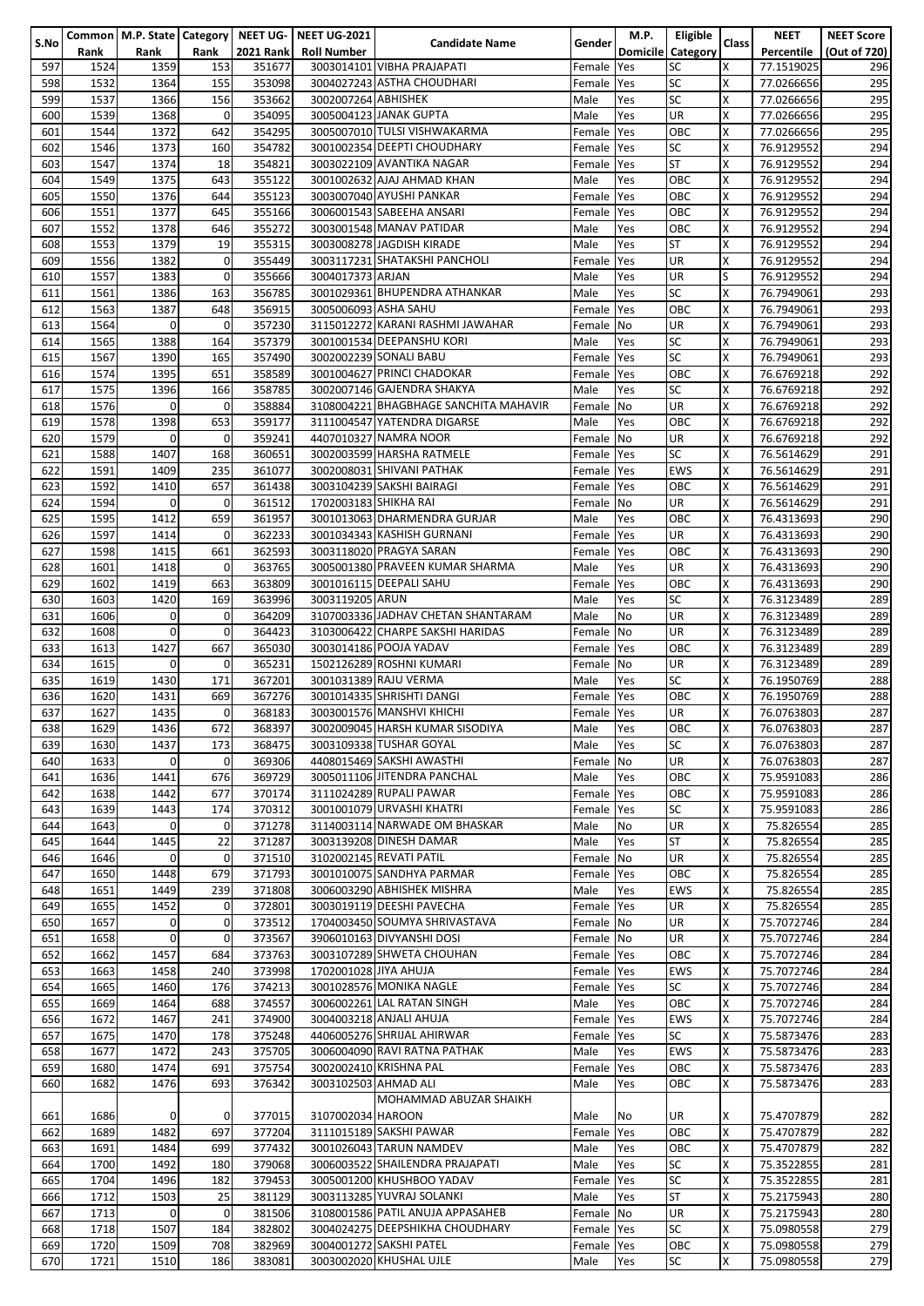|      |      |              |             |                  | Common   M.P. State   Category   NEET UG-   NEET UG-2021 |                                       |            | M.P.       | Eligible                 |       | <b>NEET</b> | <b>NEET Score</b> |
|------|------|--------------|-------------|------------------|----------------------------------------------------------|---------------------------------------|------------|------------|--------------------------|-------|-------------|-------------------|
| S.No | Rank | Rank         | Rank        | <b>2021 Rank</b> | <b>Roll Number</b>                                       | <b>Candidate Name</b>                 | Gender     |            | <b>Domicile Category</b> | Class | Percentile  | (Out of 720)      |
| 597  | 1524 | 1359         | 153         | 351677           |                                                          | 3003014101 VIBHA PRAJAPATI            | Female     | <b>Yes</b> | <b>SC</b>                | X     | 77.1519025  | 296               |
|      |      |              |             |                  |                                                          |                                       |            |            |                          |       |             |                   |
| 598  | 1532 | 1364         | 155         | 353098           |                                                          | 3004027243 ASTHA CHOUDHARI            | Female Yes |            | <b>SC</b>                | X     | 77.0266656  | 295               |
| 599  | 1537 | 1366         | 156         | 353662           | 3002007264 ABHISHEK                                      |                                       | Male       | Yes        | <b>SC</b>                | X     | 77.0266656  | 295               |
| 600  | 1539 | 1368         | 0           | 354095           |                                                          | 3005004123 JANAK GUPTA                | Male       | Yes        | <b>UR</b>                | Χ     | 77.0266656  | 295               |
| 601  | 1544 | 1372         | 642         | 354295           |                                                          | 3005007010 TULSI VISHWAKARMA          | Female     | <b>Yes</b> | OBC                      | Χ     | 77.0266656  | 295               |
|      |      |              |             |                  |                                                          |                                       |            |            |                          |       |             |                   |
| 602  | 1546 | 1373         | 160         | 354782           |                                                          | 3001002354 DEEPTI CHOUDHARY           | Female     | Yes        | SC                       | X     | 76.9129552  | 294               |
| 603  | 1547 | 1374         | 18          | 354821           |                                                          | 3003022109 AVANTIKA NAGAR             | Female Yes |            | <b>ST</b>                | Χ     | 76.9129552  | 294               |
| 604  | 1549 | 1375         | 643         | 355122           |                                                          | 3001002632 AJAJ AHMAD KHAN            | Male       | Yes        | OBC                      | Χ     | 76.9129552  | 294               |
| 605  | 1550 | 1376         | 644         | 355123           |                                                          | 3003007040 AYUSHI PANKAR              | Female     | Yes        | OBC                      | Χ     | 76.9129552  | 294               |
| 606  | 1551 | 1377         | 645         | 355166           |                                                          | 3006001543 SABEEHA ANSARI             | Female     | Yes        | OBC                      | Χ     | 76.9129552  | 294               |
|      |      |              |             |                  |                                                          |                                       |            |            |                          |       |             |                   |
| 607  | 1552 | 1378         | 646         | 355272           |                                                          | 3003001548 MANAV PATIDAR              | Male       | Yes        | OBC                      | Χ     | 76.9129552  | 294               |
| 608  | 1553 | 1379         | 19          | 355315           |                                                          | 3003008278 JAGDISH KIRADE             | Male       | Yes        | <b>ST</b>                | Χ     | 76.9129552  | 294               |
| 609  | 1556 | 1382         | $\mathbf 0$ | 355449           |                                                          | 3003117231 SHATAKSHI PANCHOLI         | Female     | Yes        | UR                       | X     | 76.9129552  | 294               |
| 610  | 1557 | 1383         | 0           | 355666           | 3004017373 ARJAN                                         |                                       | Male       | Yes        | UR                       | S     | 76.9129552  | 294               |
| 611  | 1561 | 1386         | 163         | 356785           |                                                          | 3001029361 BHUPENDRA ATHANKAR         | Male       | Yes        | <b>SC</b>                | Χ     | 76.7949061  | 293               |
| 612  | 1563 | 1387         | 648         | 356915           | 3005006093 ASHA SAHU                                     |                                       | Female     | Yes        | OBC                      | Χ     | 76.7949061  | 293               |
|      |      |              |             |                  |                                                          |                                       |            |            |                          |       |             |                   |
| 613  | 1564 | $\mathbf 0$  | 0           | 357230           |                                                          | 3115012272 KARANI RASHMI JAWAHAR      | Female No  |            | UR                       | X     | 76.7949061  | 293               |
| 614  | 1565 | 1388         | 164         | 357379           |                                                          | 3001001534 DEEPANSHU KORI             | Male       | Yes        | <b>SC</b>                | X     | 76.7949061  | 293               |
| 615  | 1567 | 1390         | 165         | 357490           |                                                          | 3002002239 SONALI BABU                | Female     | Yes        | <b>SC</b>                | Χ     | 76.7949061  | 293               |
| 616  | 1574 | 1395         | 651         | 358589           |                                                          | 3001004627 PRINCI CHADOKAR            | Female     | Yes        | OBC                      | Χ     | 76.6769218  | 292               |
| 617  | 1575 | 1396         | 166         | 358785           |                                                          | 3002007146 GAJENDRA SHAKYA            | Male       | Yes        | SC                       | X     | 76.6769218  | 292               |
|      |      |              |             |                  |                                                          |                                       |            |            |                          |       |             |                   |
| 618  | 1576 | $\mathbf 0$  | 0           | 358884           |                                                          | 3108004221 BHAGBHAGE SANCHITA MAHAVIR | Female     | No         | UR                       | Χ     | 76.6769218  | 292               |
| 619  | 1578 | 1398         | 653         | 359177           |                                                          | 3111004547 YATENDRA DIGARSE           | Male       | Yes        | OBC                      | Χ     | 76.6769218  | 292               |
| 620  | 1579 | $\mathbf 0$  | 0           | 359241           |                                                          | 4407010327 NAMRA NOOR                 | Female No  |            | UR                       | X     | 76.6769218  | 292               |
| 621  | 1588 | 1407         | 168         | 360651           |                                                          | 3002003599 HARSHA RATMELE             | Female Yes |            | <b>SC</b>                | X     | 76.5614629  | 291               |
| 622  | 1591 | 1409         | 235         | 361077           |                                                          | 3002008031 SHIVANI PATHAK             | Female Yes |            | EWS                      | X     | 76.5614629  | 291               |
|      |      |              |             |                  |                                                          |                                       |            |            |                          |       |             |                   |
| 623  | 1592 | 1410         | 657         | 361438           |                                                          | 3003104239 SAKSHI BAIRAGI             | Female Yes |            | OBC                      | Χ     | 76.5614629  | 291               |
| 624  | 1594 | $\mathbf 0$  | 0           | 361512           | 1702003183 SHIKHA RAI                                    |                                       | Female No  |            | UR                       | Χ     | 76.5614629  | 291               |
| 625  | 1595 | 1412         | 659         | 361957           |                                                          | 3001013063 DHARMENDRA GURJAR          | Male       | Yes        | OBC                      | X     | 76.4313693  | 290               |
| 626  | 1597 | 1414         | 0           | 362233           |                                                          | 3001034343 KASHISH GURNANI            | Female Yes |            | UR                       | Χ     | 76.4313693  | 290               |
| 627  | 1598 | 1415         | 661         | 362593           |                                                          | 3003118020 PRAGYA SARAN               |            |            | OBC                      | Χ     | 76.4313693  | 290               |
|      |      |              |             |                  |                                                          |                                       | Female Yes |            |                          |       |             |                   |
| 628  | 1601 | 1418         | 0           | 363765           |                                                          | 3005001380 PRAVEEN KUMAR SHARMA       | Male       | Yes        | UR                       | X     | 76.4313693  | 290               |
| 629  | 1602 | 1419         | 663         | 363809           |                                                          | 3001016115 DEEPALI SAHU               | Female     | Yes        | OBC                      | X     | 76.4313693  | 290               |
| 630  | 1603 | 1420         | 169         | 363996           | 3003119205 ARUN                                          |                                       | Male       | Yes        | <b>SC</b>                | X     | 76.3123489  | 289               |
| 631  | 1606 | $\mathbf 0$  | 0           | 364209           |                                                          | 3107003336 JADHAV CHETAN SHANTARAM    | Male       | <b>No</b>  | <b>UR</b>                | X     | 76.3123489  | 289               |
| 632  | 1608 | $\mathbf 0$  | 0           | 364423           |                                                          | 3103006422 CHARPE SAKSHI HARIDAS      | Female No  |            | UR                       | X     | 76.3123489  | 289               |
|      |      |              |             |                  |                                                          | 3003014186 POOJA YADAV                |            |            |                          | X     |             |                   |
| 633  | 1613 | 1427         | 667         | 365030           |                                                          |                                       | Female Yes |            | OBC                      |       | 76.3123489  | 289               |
| 634  | 1615 | $\mathbf{0}$ | 0           | 365231           |                                                          | 1502126289 ROSHNI KUMARI              | Female No  |            | UR                       | Χ     | 76.3123489  | 289               |
| 635  | 1619 | 1430         | 171         | 367201           |                                                          | 3001031389 RAJU VERMA                 | Male       | Yes        | SC                       | Χ     | 76.1950769  | 288               |
| 636  | 1620 | 1431         | 669         | 367276           |                                                          | 3001014335 SHRISHTI DANGI             | Female     | Yes        | OBC                      | X     | 76.1950769  | 288               |
| 637  | 1627 | 1435         | 0           | 368183           |                                                          | 3003001576 MANSHVI KHICHI             | Female Yes |            | UR                       | X     | 76.0763803  | 287               |
|      |      |              |             | 368397           |                                                          |                                       |            |            |                          |       |             |                   |
| 638  | 1629 | 1436         | 672         |                  |                                                          | 3002009045 HARSH KUMAR SISODIYA       | Male       | <b>Yes</b> | OBC                      | x     | 76.0763803  | 287               |
| 639  | 1630 | 1437         | 173         | 368475           |                                                          | 3003109338 TUSHAR GOYAL               | Male       | Yes        | <b>SC</b>                | Χ     | 76.0763803  | 287               |
| 640  | 1633 | $\mathbf 0$  | 0           | 369306           |                                                          | 4408015469 SAKSHI AWASTHI             | Female     | <b>No</b>  | UR                       | Χ     | 76.0763803  | 287               |
| 641  | 1636 | 1441         | 676         | 369729           |                                                          | 3005011106 JITENDRA PANCHAL           | Male       | Yes        | OBC                      | Χ     | 75.9591083  | 286               |
| 642  | 1638 | 1442         | 677         | 370174           |                                                          | 3111024289 RUPALI PAWAR               | Female Yes |            | OBC                      | X     | 75.9591083  | 286               |
| 643  | 1639 | 1443         | 174         | 370312           |                                                          | 3001001079 URVASHI KHATRI             | Female Yes |            | <b>SC</b>                | X     | 75.9591083  | 286               |
|      |      |              |             |                  |                                                          |                                       |            |            |                          |       |             |                   |
| 644  | 1643 | $\mathbf{0}$ | 0           | 371278           |                                                          | 3114003114 NARWADE OM BHASKAR         | Male       | No         | <b>UR</b>                | X     | 75.826554   | 285               |
| 645  | 1644 | 1445         | 22          | 371287           |                                                          | 3003139208 DINESH DAMAR               | Male       | Yes        | <b>ST</b>                | Χ     | 75.826554   | 285               |
| 646  | 1646 | $\mathbf 0$  | 0           | 371510           |                                                          | 3102002145 REVATI PATIL               | Female No  |            | <b>UR</b>                | X     | 75.826554   | 285               |
| 647  | 1650 | 1448         | 679         | 371793           |                                                          | 3001010075 SANDHYA PARMAR             | Female Yes |            | OBC                      | Χ     | 75.826554   | 285               |
| 648  | 1651 | 1449         | 239         | 371808           |                                                          | 3006003290 ABHISHEK MISHRA            | Male       | Yes        | <b>EWS</b>               | Χ     | 75.826554   | 285               |
| 649  | 1655 | 1452         | 0           | 372801           |                                                          | 3003019119 DEESHI PAVECHA             |            |            | UR                       | Χ     |             |                   |
|      |      |              |             |                  |                                                          |                                       | Female Yes |            |                          |       | 75.826554   | 285               |
| 650  | 1657 | 0            | 0           | 373512           |                                                          | 1704003450 SOUMYA SHRIVASTAVA         | Female No  |            | UR                       | X     | 75.7072746  | 284               |
| 651  | 1658 | $\mathbf 0$  | 0           | 373567           |                                                          | 3906010163 DIVYANSHI DOSI             | Female No  |            | UR                       | Χ     | 75.7072746  | 284               |
| 652  | 1662 | 1457         | 684         | 373763           |                                                          | 3003107289 SHWETA CHOUHAN             | Female Yes |            | OBC                      | Χ     | 75.7072746  | 284               |
| 653  | 1663 | 1458         | 240         | 373998           | 1702001028 JIYA AHUJA                                    |                                       | Female Yes |            | EWS                      | Χ     | 75.7072746  | 284               |
| 654  | 1665 | 1460         | 176         | 374213           |                                                          | 3001028576 MONIKA NAGLE               | Female Yes |            | SC                       | Χ     | 75.7072746  | 284               |
|      |      |              |             |                  |                                                          | 3006002261 LAL RATAN SINGH            |            |            |                          | Χ     | 75.7072746  |                   |
| 655  | 1669 | 1464         | 688         | 374557           |                                                          |                                       | Male       | Yes        | OBC                      |       |             | 284               |
| 656  | 1672 | 1467         | 241         | 374900           |                                                          | 3004003218 ANJALI AHUJA               | Female Yes |            | <b>EWS</b>               | Χ     | 75.7072746  | 284               |
| 657  | 1675 | 1470         | 178         | 375248           |                                                          | 4406005276 SHRIJAL AHIRWAR            | Female Yes |            | <b>SC</b>                | X     | 75.5873476  | 283               |
| 658  | 1677 | 1472         | 243         | 375705           |                                                          | 3006004090 RAVI RATNA PATHAK          | Male       | Yes        | <b>EWS</b>               | Χ     | 75.5873476  | 283               |
| 659  | 1680 | 1474         | 691         | 375754           |                                                          | 3002002410 KRISHNA PAL                | Female     | <b>Yes</b> | OBC                      | x     | 75.5873476  | 283               |
| 660  | 1682 | 1476         | 693         | 376342           | 3003102503 AHMAD ALI                                     |                                       | Male       | Yes        | OBC                      | Χ     | 75.5873476  | 283               |
|      |      |              |             |                  |                                                          | MOHAMMAD ABUZAR SHAIKH                |            |            |                          |       |             |                   |
|      |      |              |             |                  |                                                          |                                       |            |            |                          |       |             |                   |
| 661  | 1686 | $\mathbf 0$  | 0           | 377015           | 3107002034 HAROON                                        |                                       | Male       | No         | UR                       | x     | 75.4707879  | 282               |
| 662  | 1689 | 1482         | 697         | 377204           |                                                          | 3111015189 SAKSHI PAWAR               | Female Yes |            | OBC                      | X     | 75.4707879  | 282               |
| 663  | 1691 | 1484         | 699         | 377432           |                                                          | 3001026043 TARUN NAMDEV               | Male       | Yes        | OBC                      | X     | 75.4707879  | 282               |
| 664  | 1700 | 1492         | 180         | 379068           |                                                          | 3006003522 SHAILENDRA PRAJAPATI       | Male       | Yes        | SC                       | X     | 75.3522855  | 281               |
| 665  | 1704 | 1496         | 182         | 379453           |                                                          | 3005001200 KHUSHBOO YADAV             | Female Yes |            | <b>SC</b>                | X     | 75.3522855  | 281               |
|      |      |              |             |                  |                                                          | 3003113285 YUVRAJ SOLANKI             |            |            |                          | X     |             |                   |
| 666  | 1712 | 1503         | 25          | 381129           |                                                          |                                       | Male       | Yes        | <b>ST</b>                |       | 75.2175943  | 280               |
| 667  | 1713 | $\mathbf 0$  | 0           | 381506           |                                                          | 3108001586 PATIL ANUJA APPASAHEB      | Female No  |            | UR                       | Χ     | 75.2175943  | 280               |
| 668  | 1718 | 1507         | 184         | 382802           |                                                          | 3004024275 DEEPSHIKHA CHOUDHARY       | Female Yes |            | SC                       | Χ     | 75.0980558  | 279               |
| 669  | 1720 | 1509         | 708         | 382969           |                                                          | 3004001272 SAKSHI PATEL               | Female Yes |            | OBC                      | Χ     | 75.0980558  | 279               |
| 670  | 1721 | 1510         | 186         | 383081           |                                                          | 3003002020 KHUSHAL UJLE               | Male       | Yes        | SC                       | Χ     | 75.0980558  | 279               |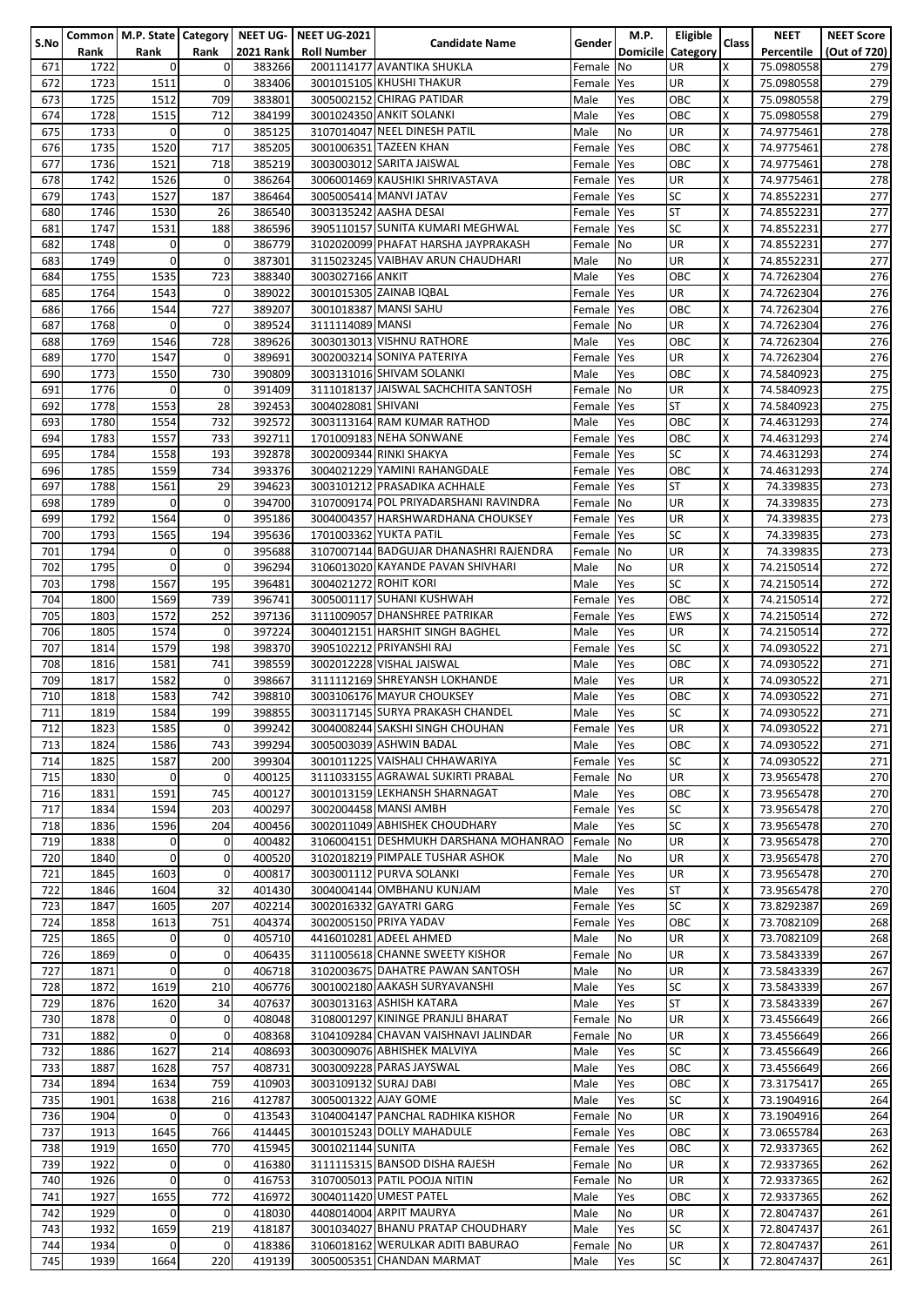|      |      |                |                |                  | Common   M.P. State   Category   NEET UG-   NEET UG-2021 |                                        |               | M.P. | Eligible                 |        | <b>NEET</b> | <b>NEET Score</b> |
|------|------|----------------|----------------|------------------|----------------------------------------------------------|----------------------------------------|---------------|------|--------------------------|--------|-------------|-------------------|
| S.No | Rank | Rank           | Rank           | <b>2021 Rank</b> | <b>Roll Number</b>                                       | <b>Candidate Name</b>                  | <b>Gender</b> |      | <b>Domicile</b> Category | Class  | Percentile  | (Out of 720)      |
| 671  | 1722 | $\overline{0}$ | $\mathbf 0$    | 383266           |                                                          | 2001114177 AVANTIKA SHUKLA             | Female No     |      | <b>UR</b>                | X      | 75.0980558  | 279               |
| 672  | 1723 | 1511           | $\mathbf 0$    | 383406           |                                                          | 3001015105 KHUSHI THAKUR               | Female Yes    |      | UR                       | X      | 75.0980558  | 279               |
| 673  | 1725 | 1512           | 709            | 383801           |                                                          | 3005002152 CHIRAG PATIDAR              | Male          | Yes  | OBC                      | X      | 75.0980558  | 279               |
| 674  |      | 1515           | 712            | 384199           |                                                          | 3001024350 ANKIT SOLANKI               | Male          |      | OBC                      | Χ      |             | 279               |
|      | 1728 |                |                |                  |                                                          |                                        |               | Yes  |                          |        | 75.0980558  |                   |
| 675  | 1733 | $\mathbf 0$    | $\mathbf 0$    | 385125           |                                                          | 3107014047 NEEL DINESH PATIL           | Male          | No   | <b>UR</b>                | X      | 74.9775461  | 278               |
| 676  | 1735 | 1520           | 717            | 385205           |                                                          | 3001006351 TAZEEN KHAN                 | Female Yes    |      | OBC                      | X      | 74.9775461  | 278               |
| 677  | 1736 | 1521           | 718            | 385219           |                                                          | 3003003012 SARITA JAISWAL              | Female Yes    |      | OBC                      | Χ      | 74.9775461  | 278               |
| 678  | 1742 | 1526           | $\mathbf 0$    | 386264           |                                                          | 3006001469 KAUSHIKI SHRIVASTAVA        | Female Yes    |      | <b>UR</b>                | Χ      | 74.9775461  | 278               |
| 679  | 1743 | 1527           | 187            | 386464           |                                                          | 3005005414 MANVI JATAV                 | Female Yes    |      | <b>SC</b>                | Χ      | 74.8552231  | 277               |
| 680  | 1746 | 1530           | 26             | 386540           |                                                          | 3003135242 AASHA DESAI                 | Female Yes    |      | <b>ST</b>                | Χ      | 74.8552231  | 277               |
| 681  | 1747 | 1531           | 188            | 386596           |                                                          | 3905110157 SUNITA KUMARI MEGHWAL       | Female Yes    |      | <b>SC</b>                | Χ      | 74.8552231  | 277               |
| 682  | 1748 | $\mathbf 0$    | $\mathbf 0$    | 386779           |                                                          | 3102020099 PHAFAT HARSHA JAYPRAKASH    | Female No     |      | UR                       | Χ      | 74.8552231  | 277               |
| 683  | 1749 | $\mathbf 0$    | $\mathbf{0}$   | 387301           |                                                          | 3115023245 VAIBHAV ARUN CHAUDHARI      | Male          | No   | <b>UR</b>                | Χ      | 74.8552231  | 277               |
| 684  | 1755 | 1535           | 723            | 388340           | 3003027166 ANKIT                                         |                                        | Male          | Yes  | OBC                      | Χ      | 74.7262304  | 276               |
|      | 1764 | 1543           | $\mathbf 0$    | 389022           |                                                          | 3001015305 ZAINAB IQBAL                | Female Yes    |      | <b>UR</b>                | Χ      |             | 276               |
| 685  |      |                |                |                  |                                                          |                                        |               |      |                          |        | 74.7262304  |                   |
| 686  | 1766 | 1544           | 727            | 389207           |                                                          | 3001018387 MANSI SAHU                  | Female Yes    |      | OBC                      | Χ      | 74.7262304  | 276               |
| 687  | 1768 | $\mathbf 0$    | $\mathbf 0$    | 389524           | 3111114089 MANSI                                         |                                        | Female No     |      | UR                       | X      | 74.7262304  | 276               |
| 688  | 1769 | 1546           | 728            | 389626           |                                                          | 3003013013 VISHNU RATHORE              | Male          | Yes  | OBC                      | X      | 74.7262304  | 276               |
| 689  | 1770 | 1547           | $\mathbf 0$    | 389691           |                                                          | 3002003214 SONIYA PATERIYA             | Female Yes    |      | <b>UR</b>                | Χ      | 74.7262304  | 276               |
| 690  | 1773 | 1550           | 730            | 390809           |                                                          | 3003131016 SHIVAM SOLANKI              | Male          | Yes  | OBC                      | Χ      | 74.5840923  | 275               |
| 691  | 1776 | $\mathbf 0$    | $\mathbf{O}$   | 391409           |                                                          | 3111018137 JAISWAL SACHCHITA SANTOSH   | Female No     |      | <b>UR</b>                | X      | 74.5840923  | 275               |
| 692  | 1778 | 1553           | 28             | 392453           | 3004028081 SHIVANI                                       |                                        | Female Yes    |      | <b>ST</b>                | X      | 74.5840923  | 275               |
| 693  | 1780 | 1554           | 732            | 392572           |                                                          | 3003113164 RAM KUMAR RATHOD            | Male          | Yes  | OBC                      | Χ      | 74.4631293  | 274               |
| 694  | 1783 | 1557           | 733            | 392711           |                                                          | 1701009183 NEHA SONWANE                | Female Yes    |      | OBC                      | Χ      | 74.4631293  | 274               |
|      |      |                |                |                  |                                                          |                                        |               |      | <b>SC</b>                | X      | 74.4631293  |                   |
| 695  | 1784 | 1558           | 193            | 392878           |                                                          | 3002009344 RINKI SHAKYA                | Female Yes    |      |                          |        |             | 274               |
| 696  | 1785 | 1559           | 734            | 393376           |                                                          | 3004021229 YAMINI RAHANGDALE           | Female Yes    |      | OBC                      | Χ      | 74.4631293  | 274               |
| 697  | 1788 | 1561           | 29             | 394623           |                                                          | 3003101212 PRASADIKA ACHHALE           | Female Yes    |      | <b>ST</b>                | Χ      | 74.339835   | 273               |
| 698  | 1789 | $\mathbf 0$    | $\mathbf 0$    | 394700           |                                                          | 3107009174 POL PRIYADARSHANI RAVINDRA  | Female No     |      | UR                       | Χ      | 74.339835   | 273               |
| 699  | 1792 | 1564           | $\mathbf 0$    | 395186           |                                                          | 3004004357 HARSHWARDHANA CHOUKSEY      | Female Yes    |      | UR                       | Χ      | 74.339835   | 273               |
| 700  | 1793 | 1565           | 194            | 395636           |                                                          | 1701003362 YUKTA PATIL                 | Female Yes    |      | <b>SC</b>                | Χ      | 74.339835   | 273               |
| 701  | 1794 | $\mathbf 0$    | $\mathbf{0}$   | 395688           |                                                          | 3107007144 BADGUJAR DHANASHRI RAJENDRA | Female No     |      | <b>UR</b>                | Χ      | 74.339835   | 273               |
| 702  | 1795 | $\mathbf 0$    | $\mathbf{O}$   | 396294           |                                                          | 3106013020 KAYANDE PAVAN SHIVHARI      | Male          | No   | <b>UR</b>                | X      | 74.2150514  | 272               |
| 703  | 1798 | 1567           | 195            | 396481           | 3004021272 ROHIT KORI                                    |                                        | Male          | Yes  | <b>SC</b>                | X      | 74.2150514  | 272               |
|      | 1800 |                |                |                  |                                                          | 3005001117 SUHANI KUSHWAH              |               |      |                          | Χ      |             | 272               |
| 704  |      | 1569           | 739            | 396741           |                                                          |                                        | Female        | Yes  | OBC                      |        | 74.2150514  |                   |
| 705  | 1803 | 1572           | 252            | 397136           |                                                          | 3111009057 DHANSHREE PATRIKAR          | Female Yes    |      | <b>EWS</b>               | Χ      | 74.2150514  | 272               |
| 706  | 1805 | 1574           | $\mathbf 0$    | 397224           |                                                          | 3004012151 HARSHIT SINGH BAGHEL        | Male          | Yes  | <b>UR</b>                | X      | 74.2150514  | 272               |
| 707  | 1814 | 1579           | 198            | 398370           |                                                          | 3905102212 PRIYANSHI RAJ               | Female        | Yes  | <b>SC</b>                | X      | 74.0930522  | 271               |
| 708  | 1816 | 1581           | 741            | 398559           |                                                          | 3002012228 VISHAL JAISWAL              | Male          | Yes  | OBC                      | Χ      | 74.0930522  | 271               |
| 709  | 1817 | 1582           | $\mathbf 0$    | 398667           |                                                          | 3111112169 SHREYANSH LOKHANDE          | Male          | Yes  | <b>UR</b>                | Χ      | 74.0930522  | 271               |
| 710  | 1818 | 1583           | 742            | 398810           |                                                          | 3003106176 MAYUR CHOUKSEY              | Male          | Yes  | OBC                      | X      | 74.0930522  | 271               |
| 711  | 1819 | 1584           | 199            | 398855           |                                                          | 3003117145 SURYA PRAKASH CHANDEL       | Male          | Yes  | <b>SC</b>                | X      | 74.0930522  | 271               |
| 712  | 1823 | 1585           | $\mathbf{0}$   | 399242           |                                                          | 3004008244 SAKSHI SINGH CHOUHAN        | Female Yes    |      | UR                       |        | 74.0930522  | 271               |
|      |      |                |                |                  |                                                          | 3005003039 ASHWIN BADAL                |               |      |                          | х<br>Χ |             |                   |
| 713  | 1824 | 1586           | 743            | 399294           |                                                          |                                        | Male          | Yes  | OBC                      |        | 74.0930522  | 271               |
| 714  | 1825 | 1587           | 200            | 399304           |                                                          | 3001011225 VAISHALI CHHAWARIYA         | Female Yes    |      | SC                       | Χ      | 74.0930522  | 271               |
| 715  | 1830 | $\mathbf 0$    | $\mathbf{0}$   | 400125           |                                                          | 3111033155 AGRAWAL SUKIRTI PRABAL      | Female No     |      | UR                       | Χ      | 73.9565478  | 270               |
| 716  | 1831 | 1591           | 745            | 400127           |                                                          | 3001013159 LEKHANSH SHARNAGAT          | Male          | Yes  | OBC                      | Χ      | 73.9565478  | 270               |
| 717  | 1834 | 1594           | 203            | 400297           |                                                          | 3002004458 MANSI AMBH                  | Female Yes    |      | <b>SC</b>                | Χ      | 73.9565478  | 270               |
| 718  | 1836 | 1596           | 204            | 400456           |                                                          | 3002011049 ABHISHEK CHOUDHARY          | Male          | Yes  | <b>SC</b>                | X      | 73.9565478  | 270               |
| 719  | 1838 | $\mathbf 0$    | $\mathbf 0$    | 400482           |                                                          | 3106004151 DESHMUKH DARSHANA MOHANRAO  | Female No     |      | UR                       | Χ      | 73.9565478  | 270               |
| 720  | 1840 | $\overline{0}$ | $\overline{0}$ | 400520           |                                                          | 3102018219 PIMPALE TUSHAR ASHOK        | Male          | No   | UR                       | X      | 73.9565478  | 270               |
| 721  | 1845 | 1603           | $\mathbf{0}$   | 400817           |                                                          | 3003001112 PURVA SOLANKI               | Female Yes    |      | UR                       | X      | 73.9565478  | 270               |
|      | 1846 | 1604           | 32             | 401430           |                                                          | 3004004144 OMBHANU KUNJAM              |               |      | <b>ST</b>                | X      |             |                   |
| 722  |      |                |                |                  |                                                          |                                        | Male          | Yes  |                          |        | 73.9565478  | 270               |
| 723  | 1847 | 1605           | 207            | 402214           |                                                          | 3002016332 GAYATRI GARG                | Female Yes    |      | <b>SC</b>                | Χ      | 73.8292387  | 269               |
| 724  | 1858 | 1613           | 751            | 404374           |                                                          | 3002005150 PRIYA YADAV                 | Female Yes    |      | OBC                      | X      | 73.7082109  | 268               |
| 725  | 1865 | 0              | $\mathbf 0$    | 405710           |                                                          | 4416010281 ADEEL AHMED                 | Male          | No   | UR                       | Χ      | 73.7082109  | 268               |
| 726  | 1869 | $\mathbf 0$    | $\mathbf{0}$   | 406435           |                                                          | 3111005618 CHANNE SWEETY KISHOR        | Female No     |      | UR                       | X      | 73.5843339  | 267               |
| 727  | 1871 | $\mathbf 0$    | $\overline{0}$ | 406718           |                                                          | 3102003675 DAHATRE PAWAN SANTOSH       | Male          | No   | UR                       | Χ      | 73.5843339  | 267               |
| 728  | 1872 | 1619           | 210            | 406776           |                                                          | 3001002180 AAKASH SURYAVANSHI          | Male          | Yes  | <b>SC</b>                | X      | 73.5843339  | 267               |
| 729  | 1876 | 1620           | 34             | 407637           |                                                          | 3003013163 ASHISH KATARA               | Male          | Yes  | <b>ST</b>                | X      | 73.5843339  | 267               |
| 730  | 1878 | $\Omega$       | $\mathbf 0$    | 408048           |                                                          | 3108001297 KININGE PRANJLI BHARAT      | Female No     |      | UR                       | Χ      | 73.4556649  | 266               |
| 731  | 1882 | $\mathbf 0$    | $\overline{0}$ | 408368           |                                                          | 3104109284 CHAVAN VAISHNAVI JALINDAR   | Female No     |      | UR                       | X      | 73.4556649  | 266               |
| 732  | 1886 | 1627           | 214            | 408693           |                                                          | 3003009076 ABHISHEK MALVIYA            | Male          | Yes  | <b>SC</b>                | Χ      | 73.4556649  | 266               |
|      |      |                |                |                  |                                                          |                                        |               |      |                          |        |             |                   |
| 733  | 1887 | 1628           | 757            | 408731           |                                                          | 3003009228 PARAS JAYSWAL               | Male          | Yes  | OBC                      | X      | 73.4556649  | 266               |
| 734  | 1894 | 1634           | 759            | 410903           | 3003109132 SURAJ DABI                                    |                                        | Male          | Yes  | OBC                      | Χ      | 73.3175417  | 265               |
| 735  | 1901 | 1638           | 216            | 412787           | 3005001322 AJAY GOME                                     |                                        | Male          | Yes  | SC                       | X      | 73.1904916  | 264               |
| 736  | 1904 | $\mathbf 0$    | $\mathbf{0}$   | 413543           |                                                          | 3104004147 PANCHAL RADHIKA KISHOR      | Female No     |      | <b>UR</b>                | X      | 73.1904916  | 264               |
| 737  | 1913 | 1645           | 766            | 414445           |                                                          | 3001015243 DOLLY MAHADULE              | Female Yes    |      | OBC                      | X      | 73.0655784  | 263               |
| 738  | 1919 | 1650           | 770            | 415945           | 3001021144 SUNITA                                        |                                        | Female Yes    |      | OBC                      | Χ      | 72.9337365  | 262               |
| 739  | 1922 | $\Omega$       | $\overline{0}$ | 416380           |                                                          | 3111115315 BANSOD DISHA RAJESH         | Female No     |      | <b>UR</b>                | Χ      | 72.9337365  | 262               |
| 740  | 1926 | $\mathbf 0$    | $\mathbf{0}$   | 416753           |                                                          | 3107005013 PATIL POOJA NITIN           | Female No     |      | UR                       | Χ      | 72.9337365  | 262               |
| 741  | 1927 | 1655           | 772            | 416972           |                                                          | 3004011420 UMEST PATEL                 | Male          | Yes  | OBC                      | Χ      | 72.9337365  | 262               |
| 742  | 1929 | 0              | $\overline{0}$ | 418030           |                                                          | 4408014004 ARPIT MAURYA                | Male          | No   | UR                       | Χ      | 72.8047437  | 261               |
|      |      |                |                |                  |                                                          | 3001034027 BHANU PRATAP CHOUDHARY      |               |      |                          |        |             |                   |
| 743  | 1932 | 1659           | 219            | 418187           |                                                          |                                        | Male          | Yes  | <b>SC</b>                | X      | 72.8047437  | 261               |
| 744  | 1934 | $\mathbf 0$    | $\overline{0}$ | 418386           |                                                          | 3106018162 WERULKAR ADITI BABURAO      | Female No     |      | <b>UR</b>                | Χ      | 72.8047437  | 261               |
| 745  | 1939 | 1664           | 220            | 419139           |                                                          | 3005005351 CHANDAN MARMAT              | Male          | Yes  | <b>SC</b>                | Χ      | 72.8047437  | 261               |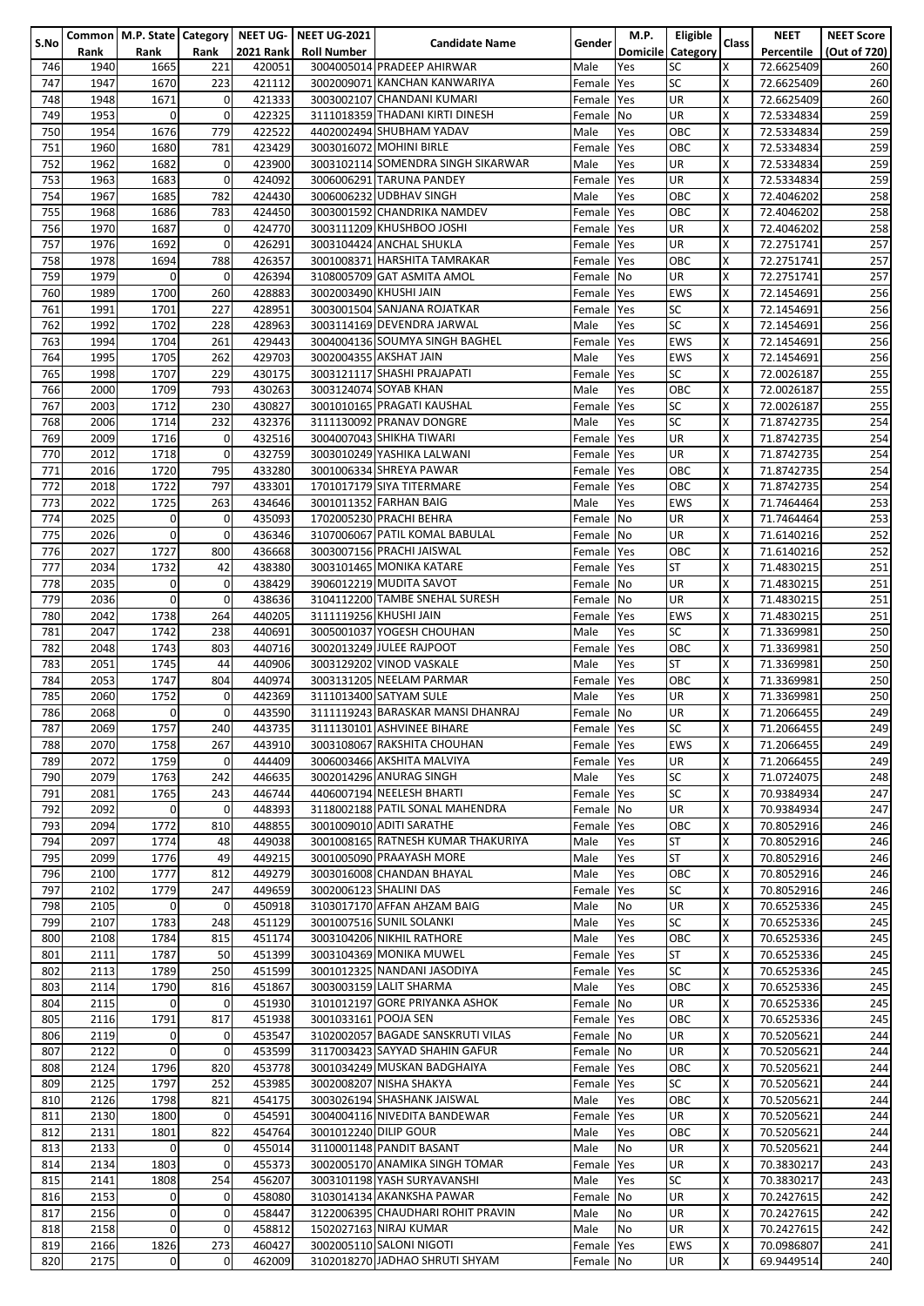|      |      |                |             |                  | Common   M.P. State   Category   NEET UG-   NEET UG-2021 |                                    |            | M.P.           | Eligible          |          | <b>NEET</b> | <b>NEET Score</b> |
|------|------|----------------|-------------|------------------|----------------------------------------------------------|------------------------------------|------------|----------------|-------------------|----------|-------------|-------------------|
| S.No | Rank | Rank           | Rank        | <b>2021 Rank</b> | <b>Roll Number</b>                                       | <b>Candidate Name</b>              | Gender     |                | Domicile Category | Class    | Percentile  | (Out of 720)      |
| 746  | 1940 | 1665           | 221         | 420051           |                                                          | 3004005014 PRADEEP AHIRWAR         | Male       | Yes            | <b>SC</b>         | X        | 72.6625409  | 260               |
| 747  | 1947 |                | 223         | 421112           |                                                          | 3002009071 KANCHAN KANWARIYA       |            |                | <b>SC</b>         | X        |             | 260               |
|      |      | 1670           |             |                  |                                                          |                                    | Female     | Yes            |                   |          | 72.6625409  |                   |
| 748  | 1948 | 1671           | 0           | 421333           |                                                          | 3003002107 CHANDANI KUMARI         | Female Yes |                | UR                | $\times$ | 72.6625409  | 260               |
| 749  | 1953 | $\mathbf{0}$   | $\mathbf 0$ | 422325           |                                                          | 3111018359 THADANI KIRTI DINESH    | Female No  |                | UR                | Χ        | 72.5334834  | 259               |
| 750  | 1954 | 1676           | 779         | 422522           |                                                          | 4402002494 SHUBHAM YADAV           | Male       | Yes            | OBC               | Χ        | 72.5334834  | 259               |
| 751  | 1960 | 1680           | 781         | 423429           |                                                          | 3003016072 MOHINI BIRLE            | Female     | Yes            | ОВС               | X        | 72.5334834  | 259               |
| 752  |      |                |             |                  |                                                          |                                    |            |                |                   | Χ        |             | 259               |
|      | 1962 | 1682           | 0           | 423900           |                                                          | 3003102114 SOMENDRA SINGH SIKARWAR | Male       | Yes            | UR                |          | 72.5334834  |                   |
| 753  | 1963 | 1683           | 0           | 424092           |                                                          | 3006006291 TARUNA PANDEY           | Female     | Yes            | UR                | Χ        | 72.5334834  | 259               |
| 754  | 1967 | 1685           | 782         | 424430           |                                                          | 3006006232 UDBHAV SINGH            | Male       | Yes            | OBC               | X        | 72.4046202  | 258               |
| 755  | 1968 | 1686           | 783         | 424450           |                                                          | 3003001592 CHANDRIKA NAMDEV        | Female     | Yes            | OBC               | Χ        | 72.4046202  | 258               |
| 756  | 1970 | 1687           | 0           | 424770           |                                                          | 3003111209 KHUSHBOO JOSHI          | Female Yes |                | UR                | Χ        | 72.4046202  | 258               |
|      |      |                |             |                  |                                                          |                                    |            |                |                   |          |             |                   |
| 757  | 1976 | 1692           | 0           | 426291           |                                                          | 3003104424 ANCHAL SHUKLA           | Female Yes |                | UR                | Χ        | 72.2751741  | 257               |
| 758  | 1978 | 1694           | 788         | 426357           |                                                          | 3001008371 HARSHITA TAMRAKAR       | Female Yes |                | OBC               | X        | 72.2751741  | 257               |
| 759  | 1979 | $\mathbf{0}$   | 0           | 426394           |                                                          | 3108005709 GAT ASMITA AMOL         | Female No  |                | UR                | X        | 72.2751741  | 257               |
| 760  | 1989 | 1700           | 260         | 428883           |                                                          | 3002003490 KHUSHI JAIN             | Female Yes |                | EWS               | Χ        | 72.1454691  | 256               |
| 761  | 1991 | 1701           | 227         | 428951           |                                                          | 3003001504 SANJANA ROJATKAR        | Female Yes |                | SC                | Χ        | 72.1454691  | 256               |
|      |      |                |             |                  |                                                          |                                    |            |                |                   |          |             |                   |
| 762  | 1992 | 1702           | 228         | 428963           |                                                          | 3003114169 DEVENDRA JARWAL         | Male       | Yes            | <b>SC</b>         | X        | 72.1454691  | 256               |
| 763  | 1994 | 1704           | 261         | 429443           |                                                          | 3004004136 SOUMYA SINGH BAGHEL     | Female     | Yes            | <b>EWS</b>        | X        | 72.1454691  | 256               |
| 764  | 1995 | 1705           | 262         | 429703           |                                                          | 3002004355 AKSHAT JAIN             | Male       | Yes            | EWS               | Χ        | 72.1454691  | 256               |
| 765  | 1998 | 1707           | 229         | 430175           |                                                          | 3003121117 SHASHI PRAJAPATI        | Female     | Yes            | SC                | Χ        | 72.0026187  | 255               |
| 766  | 2000 | 1709           | 793         | 430263           |                                                          | 3003124074 SOYAB KHAN              | Male       |                | OBC               | Χ        | 72.0026187  | 255               |
|      |      |                |             |                  |                                                          |                                    |            | Yes            |                   |          |             |                   |
| 767  | 2003 | 1712           | 230         | 430827           |                                                          | 3001010165 PRAGATI KAUSHAL         | Female     | Yes            | SC                | Χ        | 72.0026187  | 255               |
| 768  | 2006 | 1714           | 232         | 432376           |                                                          | 3111130092 PRANAV DONGRE           | Male       | Yes            | <b>SC</b>         | Χ        | 71.8742735  | 254               |
| 769  | 2009 | 1716           | 0           | 432516           |                                                          | 3004007043 SHIKHA TIWARI           | Female     | Yes            | UR                | X        | 71.8742735  | 254               |
| 770  | 2012 | 1718           | 0           | 432759           |                                                          | 3003010249 YASHIKA LALWANI         | Female Yes |                | UR                | X        | 71.8742735  | 254               |
|      |      |                |             |                  |                                                          |                                    |            |                |                   | X        |             |                   |
| 771  | 2016 | 1720           | 795         | 433280           |                                                          | 3001006334 SHREYA PAWAR            | Female Yes |                | OBC               |          | 71.8742735  | 254               |
| 772  | 2018 | 1722           | 797         | 433301           |                                                          | 1701017179 SIYA TITERMARE          | Female Yes |                | OBC               | Χ        | 71.8742735  | 254               |
| 773  | 2022 | 1725           | 263         | 434646           |                                                          | 3001011352 FARHAN BAIG             | Male       | Yes            | EWS               | Χ        | 71.7464464  | 253               |
| 774  | 2025 | $\mathbf 0$    | 0           | 435093           |                                                          | 1702005230 PRACHI BEHRA            | Female No  |                | UR                | Χ        | 71.7464464  | 253               |
| 775  | 2026 | $\mathbf 0$    | 0           | 436346           |                                                          | 3107006067 PATIL KOMAL BABULAL     | Female No  |                | UR                | Χ        | 71.6140216  | 252               |
|      |      |                |             |                  |                                                          |                                    |            |                |                   |          |             |                   |
| 776  | 2027 | 1727           | 800         | 436668           |                                                          | 3003007156 PRACHI JAISWAL          | Female Yes |                | OBC               | Χ        | 71.6140216  | 252               |
| 777  | 2034 | 1732           | 42          | 438380           |                                                          | 3003101465 MONIKA KATARE           | Female Yes |                | <b>ST</b>         | X        | 71.4830215  | 251               |
| 778  | 2035 | $\mathbf 0$    | $\mathbf 0$ | 438429           |                                                          | 3906012219 MUDITA SAVOT            | Female No  |                | <b>UR</b>         | X        | 71.4830215  | 251               |
| 779  | 2036 | $\mathbf{0}$   | $\mathbf 0$ | 438636           |                                                          | 3104112200 TAMBE SNEHAL SURESH     | Female No  |                | UR                | Χ        | 71.4830215  | 251               |
| 780  | 2042 | 1738           | 264         | 440205           |                                                          | 3111119256 KHUSHI JAIN             | Female Yes |                | EWS               | X        | 71.4830215  | 251               |
|      |      |                |             |                  |                                                          |                                    |            |                |                   |          |             |                   |
| 781  | 2047 | 1742           | 238         | 440691           |                                                          | 3005001037 YOGESH CHOUHAN          | Male       | Yes            | SC                | X        | 71.3369981  | 250               |
| 782  | 2048 | 1743           | 803         | 440716           |                                                          | 3002013249 JULEE RAJPOOT           | Female     | Yes            | OBC               | X        | 71.3369981  | 250               |
| 783  | 2051 | 1745           | 44          | 440906           |                                                          | 3003129202 VINOD VASKALE           | Male       | Yes            | ST                | Χ        | 71.3369981  | 250               |
| 784  | 2053 | 1747           | 804         | 440974           |                                                          | 3003131205 NEELAM PARMAR           | Female     | Yes            | OBC               | X        | 71.3369981  | 250               |
| 785  | 2060 |                | 0           | 442369           |                                                          |                                    |            |                | UR                | X        |             |                   |
|      |      | 1752           |             |                  |                                                          | 3111013400 SATYAM SULE             | Male       | Yes            |                   |          | 71.3369981  | 250               |
| 786  | 2068 | $\mathbf 0$    | 0           | 443590           |                                                          | 3111119243 BARASKAR MANSI DHANRAJ  | Female No  |                | UR                | X        | 71.2066455  | 249               |
| 787  | 2069 | 1757           | 240         | 443735           |                                                          | 3111130101 ASHVINEE BIHARE         | Female Yes |                | lSC               | x        | 71.2066455  | 249               |
| 788  | 2070 | 1758           | 267         | 443910           |                                                          | 3003108067 RAKSHITA CHOUHAN        | Female Yes |                | <b>EWS</b>        | Χ        | 71.2066455  | 249               |
| 789  | 2072 | 1759           | 0           | 444409           |                                                          | 3006003466 AKSHITA MALVIYA         | Female Yes |                | UR                | Χ        | 71.2066455  | 249               |
|      |      |                | 242         |                  |                                                          | 3002014296 ANURAG SINGH            |            |                | <b>SC</b>         | Χ        |             | 248               |
| 790  | 2079 | 1763           |             | 446635           |                                                          |                                    | Male       | Yes            |                   |          | 71.0724075  |                   |
| 791  | 2081 | 1765           | 243         | 446744           |                                                          | 4406007194 NEELESH BHARTI          | Female Yes |                | <b>SC</b>         | X        | 70.9384934  | 247               |
| 792  | 2092 | $\mathbf 0$    | 0           | 448393           |                                                          | 3118002188 PATIL SONAL MAHENDRA    | Female No  |                | UR                | X        | 70.9384934  | 247               |
| 793  | 2094 | 1772           | 810         | 448855           |                                                          | 3001009010 ADITI SARATHE           | Female Yes |                | OBC               | X        | 70.8052916  | 246               |
| 794  | 2097 | 1774           | 48          | 449038           |                                                          | 3001008165 RATNESH KUMAR THAKURIYA | Male       | Yes            | <b>ST</b>         | Χ        | 70.8052916  | 246               |
|      |      |                |             |                  |                                                          |                                    |            |                |                   | X        |             |                   |
| 795  | 2099 | 1776           | 49          | 449215           |                                                          | 3001005090 PRAAYASH MORE           | Male       | Yes            | <b>ST</b>         |          | 70.8052916  | 246               |
| 796  | 2100 | 1777           | 812         | 449279           |                                                          | 3003016008 CHANDAN BHAYAL          | Male       | Yes            | OBC               | X        | 70.8052916  | 246               |
| 797  | 2102 | 1779           | 247         | 449659           |                                                          | 3002006123 SHALINI DAS             | Female     | <b>Yes</b>     | SC                | x        | 70.8052916  | 246               |
| 798  | 2105 | $\mathbf{0}$   | 0           | 450918           |                                                          | 3103017170 AFFAN AHZAM BAIG        | Male       | No             | UR                | Χ        | 70.6525336  | 245               |
| 799  | 2107 | 1783           | 248         | 451129           |                                                          | 3001007516 SUNIL SOLANKI           | Male       | Yes            | SC                | X        | 70.6525336  | 245               |
| 800  | 2108 | 1784           | 815         | 451174           |                                                          | 3003104206 NIKHIL RATHORE          | Male       | Yes            | OBC               | Χ        | 70.6525336  | 245               |
|      |      |                |             |                  |                                                          |                                    |            |                |                   |          |             |                   |
| 801  | 2111 | 1787           | 50          | 451399           |                                                          | 3003104369 MONIKA MUWEL            | Female     | Yes            | <b>ST</b>         | X        | 70.6525336  | 245               |
| 802  | 2113 | 1789           | 250         | 451599           |                                                          | 3001012325 NANDANI JASODIYA        | Female Yes |                | SC                | Χ        | 70.6525336  | 245               |
| 803  | 2114 | 1790           | 816         | 451867           |                                                          | 3003003159 LALIT SHARMA            | Male       | Yes            | OBC               | Χ        | 70.6525336  | 245               |
| 804  | 2115 | $\mathbf 0$    | 0           | 451930           |                                                          | 3101012197 GORE PRIYANKA ASHOK     | Female No  |                | UR                | X        | 70.6525336  | 245               |
|      | 2116 |                | 817         |                  | 3001033161 POOJA SEN                                     |                                    |            |                | OBC               | Χ        |             | 245               |
| 805  |      | 1791           |             | 451938           |                                                          |                                    | Female Yes |                |                   |          | 70.6525336  |                   |
| 806  | 2119 | $\mathbf{0}$   | 0           | 453547           |                                                          | 3102002057 BAGADE SANSKRUTI VILAS  | Female No  |                | UR                | Χ        | 70.5205621  | 244               |
| 807  | 2122 | $\mathbf 0$    | 0           | 453599           |                                                          | 3117003423 SAYYAD SHAHIN GAFUR     | Female No  |                | UR                | Χ        | 70.5205621  | 244               |
| 808  | 2124 | 1796           | 820         | 453778           |                                                          | 3001034249 MUSKAN BADGHAIYA        | Female Yes |                | OBC               | X        | 70.5205621  | 244               |
| 809  | 2125 | 1797           | 252         | 453985           |                                                          | 3002008207 NISHA SHAKYA            | Female Yes |                | SC                | Χ        | 70.5205621  | 244               |
|      |      |                |             |                  |                                                          | 3003026194 SHASHANK JAISWAL        |            |                |                   |          |             |                   |
| 810  | 2126 | 1798           | 821         | 454175           |                                                          |                                    | Male       | Yes            | OBC               | X        | 70.5205621  | 244               |
| 811  | 2130 | 1800           | 0           | 454591           |                                                          | 3004004116 NIVEDITA BANDEWAR       | Female Yes |                | <b>UR</b>         | X        | 70.5205621  | 244               |
| 812  | 2131 | 1801           | 822         | 454764           | 3001012240 DILIP GOUR                                    |                                    | Male       | Yes            | OBC               | X        | 70.5205621  | 244               |
| 813  | 2133 | $\mathbf{0}$   | 0           | 455014           |                                                          | 3110001148 PANDIT BASANT           | Male       | No             | UR                | Χ        | 70.5205621  | 244               |
| 814  | 2134 | 1803           | 0           | 455373           |                                                          | 3002005170 ANAMIKA SINGH TOMAR     | Female Yes |                | UR                | X        | 70.3830217  | 243               |
|      |      |                |             |                  |                                                          |                                    |            |                |                   | X        |             |                   |
| 815  | 2141 | 1808           | 254         | 456207           |                                                          | 3003101198 YASH SURYAVANSHI        | Male       | Yes            | SC                |          | 70.3830217  | 243               |
| 816  | 2153 | $\overline{0}$ | 0           | 458080           |                                                          | 3103014134 AKANKSHA PAWAR          | Female     | N <sub>o</sub> | UR                | X        | 70.2427615  | 242               |
| 817  | 2156 | $\overline{0}$ | 0           | 458447           |                                                          | 3122006395 CHAUDHARI ROHIT PRAVIN  | Male       | No             | UR                | Χ        | 70.2427615  | 242               |
| 818  | 2158 | $\mathbf{0}$   | 0           | 458812           |                                                          | 1502027163 NIRAJ KUMAR             | Male       | No             | UR                | Χ        | 70.2427615  | 242               |
| 819  | 2166 | 1826           | 273         | 460427           |                                                          | 3002005110 SALONI NIGOTI           | Female Yes |                | EWS               | Χ        | 70.0986807  | 241               |
|      |      |                |             |                  |                                                          |                                    |            |                |                   |          |             |                   |
| 820  | 2175 | $\overline{0}$ | 0           | 462009           |                                                          | 3102018270 JADHAO SHRUTI SHYAM     | Female No  |                | <b>UR</b>         | Χ        | 69.9449514  | 240               |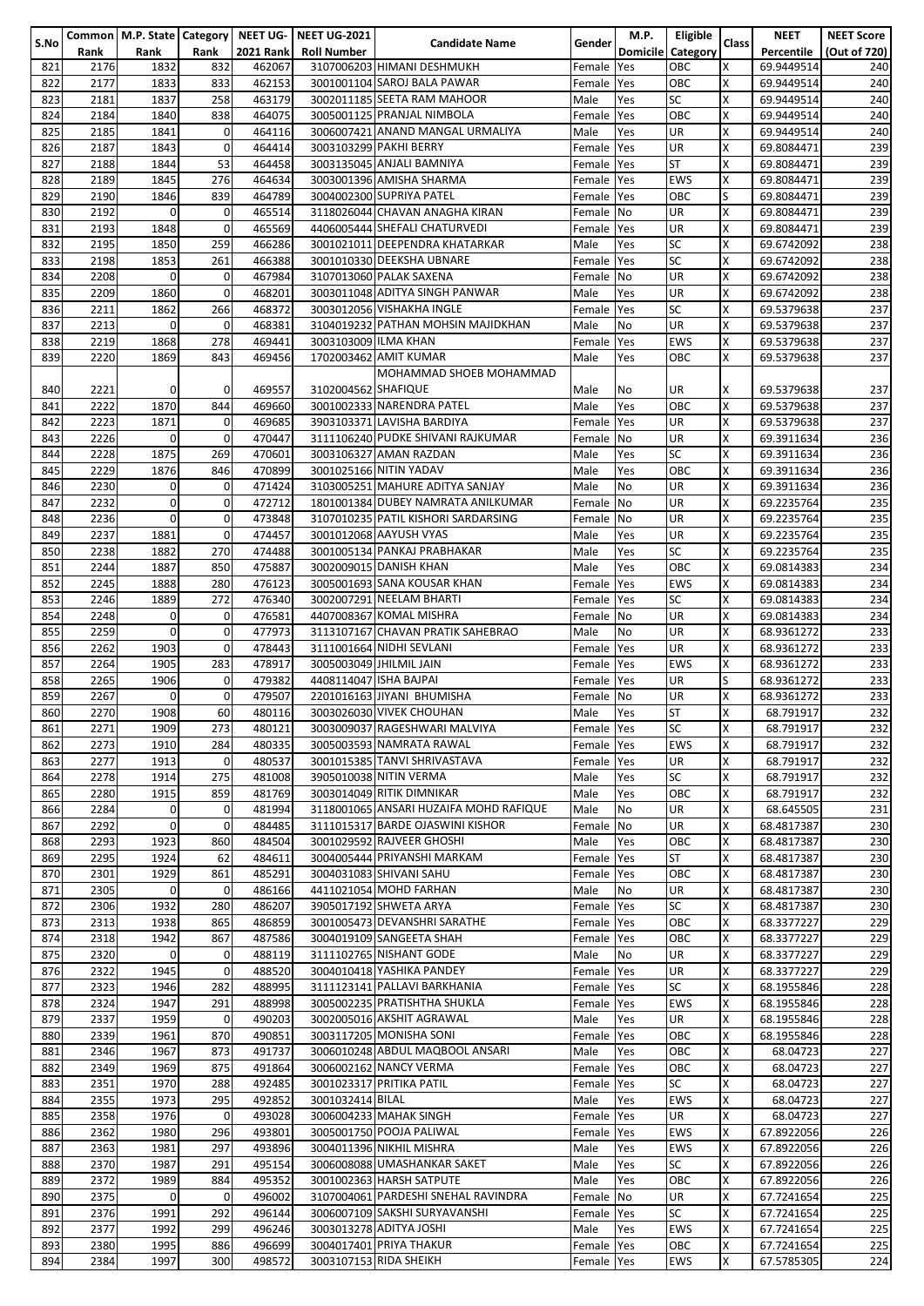|      |      |                |             |                  | Common   M.P. State   Category   NEET UG-   NEET UG-2021 |                                        |               | M.P.                     | Eligible   |          | <b>NEET</b> | <b>NEET Score</b> |
|------|------|----------------|-------------|------------------|----------------------------------------------------------|----------------------------------------|---------------|--------------------------|------------|----------|-------------|-------------------|
| S.No | Rank | Rank           | Rank        | <b>2021 Rank</b> | <b>Roll Number</b>                                       | <b>Candidate Name</b>                  | <b>Gender</b> | <b>Domicile</b>          | Category   | Class    | Percentile  | (Out of 720)      |
| 821  | 2176 | 1832           | 832         | 462067           |                                                          | 3107006203 HIMANI DESHMUKH             | Female        | <b>Yes</b>               | OBC        | x        | 69.9449514  | 240               |
| 822  | 2177 | 1833           | 833         | 462153           |                                                          | 3001001104 SAROJ BALA PAWAR            | Female Yes    |                          | OBC        | Χ        | 69.9449514  | 240               |
|      |      |                |             |                  |                                                          |                                        |               |                          |            |          |             |                   |
| 823  | 2181 | 1837           | 258         | 463179           |                                                          | 3002011185 SEETA RAM MAHOOR            | Male          | Yes                      | SC         | X        | 69.9449514  | 240               |
| 824  | 2184 | 1840           | 838         | 464075           |                                                          | 3005001125 PRANJAL NIMBOLA             | Female Yes    |                          | OBC        | Χ        | 69.9449514  | 240               |
| 825  | 2185 | 1841           | 0           | 464116           |                                                          | 3006007421 ANAND MANGAL URMALIYA       | Male          | Yes                      | UR         | X        | 69.9449514  | 240               |
| 826  | 2187 | 1843           | 0           | 464414           |                                                          | 3003103299 PAKHI BERRY                 | Female Yes    |                          | UR         | Χ        | 69.8084471  | 239               |
| 827  | 2188 | 1844           | 53          | 464458           |                                                          | 3003135045 ANJALI BAMNIYA              | Female Yes    |                          | <b>ST</b>  | Χ        | 69.8084471  | 239               |
|      |      |                |             |                  |                                                          |                                        |               |                          |            |          |             |                   |
| 828  | 2189 | 1845           | 276         | 464634           |                                                          | 3003001396 AMISHA SHARMA               | Female Yes    |                          | <b>EWS</b> | Χ        | 69.8084471  | 239               |
| 829  | 2190 | 1846           | 839         | 464789           |                                                          | 3004002300 SUPRIYA PATEL               | Female Yes    |                          | OBC        | S        | 69.8084471  | 239               |
| 830  | 2192 | $\mathbf 0$    | 0           | 465514           |                                                          | 3118026044 CHAVAN ANAGHA KIRAN         | Female No     |                          | UR         | X        | 69.8084471  | 239               |
| 831  | 2193 | 1848           | 0           | 465569           |                                                          | 4406005444 SHEFALI CHATURVEDI          | Female Yes    |                          | UR         | Χ        | 69.8084471  | 239               |
|      |      |                | 259         |                  |                                                          | 3001021011 DEEPENDRA KHATARKAR         |               |                          | <b>SC</b>  | X        |             |                   |
| 832  | 2195 | 1850           |             | 466286           |                                                          |                                        | Male          | Yes                      |            |          | 69.6742092  | 238               |
| 833  | 2198 | 1853           | 261         | 466388           |                                                          | 3001010330 DEEKSHA UBNARE              | Female Yes    |                          | <b>SC</b>  | X        | 69.6742092  | 238               |
| 834  | 2208 | $\mathbf 0$    | 0           | 467984           |                                                          | 3107013060 PALAK SAXENA                | Female No     |                          | UR         | $\times$ | 69.6742092  | 238               |
| 835  | 2209 | 1860           | 0           | 468201           |                                                          | 3003011048 ADITYA SINGH PANWAR         | Male          | Yes                      | UR         | Χ        | 69.6742092  | 238               |
| 836  | 2211 | 1862           | 266         | 468372           |                                                          | 3003012056 VISHAKHA INGLE              | Female        | <b>Yes</b>               | <b>SC</b>  | Χ        | 69.5379638  | 237               |
| 837  | 2213 | $\mathbf 0$    | 0           | 468381           |                                                          | 3104019232 PATHAN MOHSIN MAJIDKHAN     | Male          | No                       | UR         | X        |             | 237               |
|      |      |                |             |                  |                                                          |                                        |               |                          |            |          | 69.5379638  |                   |
| 838  | 2219 | 1868           | 278         | 469441           | 3003103009 ILMA KHAN                                     |                                        | Female        | Yes                      | <b>EWS</b> | X        | 69.5379638  | 237               |
| 839  | 2220 | 1869           | 843         | 469456           |                                                          | 1702003462 AMIT KUMAR                  | Male          | Yes                      | ОВС        | Χ        | 69.5379638  | 237               |
|      |      |                |             |                  |                                                          | MOHAMMAD SHOEB MOHAMMAD                |               |                          |            |          |             |                   |
| 840  | 2221 | $\mathbf{0}$   | 0           | 469557           | 3102004562 SHAFIQUE                                      |                                        | Male          | No                       | UR         | X        | 69.5379638  | 237               |
|      |      |                |             |                  |                                                          |                                        |               |                          |            |          |             |                   |
| 841  | 2222 | 1870           | 844         | 469660           |                                                          | 3001002333 NARENDRA PATEL              | Male          | Yes                      | OBC        | X        | 69.5379638  | 237               |
| 842  | 2223 | 1871           | 0           | 469685           |                                                          | 3903103371 LAVISHA BARDIYA             | Female        | Yes                      | UR         | Χ        | 69.5379638  | 237               |
| 843  | 2226 | $\mathbf{0}$   | 0           | 470447           |                                                          | 3111106240 PUDKE SHIVANI RAJKUMAR      | Female No     |                          | UR         | Χ        | 69.3911634  | 236               |
| 844  | 2228 | 1875           | 269         | 470601           |                                                          | 3003106327 AMAN RAZDAN                 | Male          | Yes                      | <b>SC</b>  | Χ        | 69.3911634  | 236               |
| 845  | 2229 | 1876           | 846         | 470899           |                                                          | 3001025166 NITIN YADAV                 | Male          | Yes                      | OBC        | Χ        | 69.3911634  | 236               |
|      |      |                |             |                  |                                                          |                                        |               |                          |            |          |             |                   |
| 846  | 2230 | $\mathbf 0$    | 0           | 471424           |                                                          | 3103005251 MAHURE ADITYA SANJAY        | Male          | <b>No</b>                | UR         | Χ        | 69.3911634  | 236               |
| 847  | 2232 | $\mathbf{0}$   | $\mathbf 0$ | 472712           |                                                          | 1801001384 DUBEY NAMRATA ANILKUMAR     | Female        | $\overline{\mathsf{No}}$ | UR         | X        | 69.2235764  | 235               |
| 848  | 2236 | $\overline{0}$ | 0           | 473848           |                                                          | 3107010235 PATIL KISHORI SARDARSING    | Female        | <b>No</b>                | UR         | X        | 69.2235764  | 235               |
| 849  | 2237 | 1881           | $\mathbf 0$ | 474457           |                                                          | 3001012068 AAYUSH VYAS                 | Male          | Yes                      | UR         | Χ        | 69.2235764  | 235               |
| 850  | 2238 | 1882           | 270         | 474488           |                                                          | 3001005134 PANKAJ PRABHAKAR            | Male          | Yes                      | <b>SC</b>  | X        | 69.2235764  | 235               |
|      |      |                |             |                  |                                                          |                                        |               |                          |            |          |             |                   |
| 851  | 2244 | 1887           | 850         | 475887           |                                                          | 3002009015 DANISH KHAN                 | Male          | Yes                      | OBC        | Χ        | 69.0814383  | 234               |
| 852  | 2245 | 1888           | 280         | 476123           |                                                          | 3005001693 SANA KOUSAR KHAN            | Female        | Yes                      | <b>EWS</b> | Χ        | 69.0814383  | 234               |
| 853  | 2246 | 1889           | 272         | 476340           |                                                          | 3002007291 NEELAM BHARTI               | Female        | Yes                      | SC         | Χ        | 69.0814383  | 234               |
| 854  | 2248 | $\mathbf 0$    | 0           | 476581           |                                                          | 4407008367 KOMAL MISHRA                | Female No     |                          | UR         | X        | 69.0814383  | 234               |
|      |      | $\mathbf{0}$   | 0           |                  |                                                          | 3113107167 CHAVAN PRATIK SAHEBRAO      |               |                          |            | X        |             |                   |
| 855  | 2259 |                |             | 477973           |                                                          |                                        | Male          | No                       | UR         |          | 68.9361272  | 233               |
| 856  | 2262 | 1903           | $\mathbf 0$ | 478443           |                                                          | 3111001664 NIDHI SEVLANI               | Female        | Yes                      | UR         | X        | 68.9361272  | 233               |
| 857  | 2264 | 1905           | 283         | 478917           |                                                          | 3005003049 JHILMIL JAIN                | Female Yes    |                          | <b>EWS</b> | Χ        | 68.9361272  | 233               |
| 858  | 2265 | 1906           | 0           | 479382           |                                                          | 4408114047 ISHA BAJPAI                 | Female Yes    |                          | UR         | S        | 68.9361272  | 233               |
| 859  | 2267 | $\mathbf 0$    | 0           | 479507           |                                                          | 2201016163 JIYANI BHUMISHA             | Female No     |                          | UR         | Χ        | 68.9361272  | 233               |
| 860  | 2270 | 1908           | 60          | 480116           |                                                          | 3003026030 VIVEK CHOUHAN               | Male          | Yes                      | <b>ST</b>  | X        | 68.791917   | 232               |
|      |      |                |             |                  |                                                          |                                        |               |                          |            |          |             |                   |
| 861  | 2271 | 1909           | 273         | 480121           |                                                          | 3003009037 RAGESHWARI MALVIYA          | Female Yes    |                          | ISC.       | ΙX       | 68.791917   | 232               |
| 862  | 2273 | 1910           | 284         | 480335           |                                                          | 3005003593 NAMRATA RAWAL               | Female Yes    |                          | <b>EWS</b> | Χ        | 68.791917   | 232               |
| 863  | 2277 | 1913           | 0           | 480537           |                                                          | 3001015385 TANVI SHRIVASTAVA           | Female Yes    |                          | UR         | X        | 68.791917   | 232               |
| 864  | 2278 | 1914           | 275         | 481008           |                                                          | 3905010038 NITIN VERMA                 | Male          | Yes                      | <b>SC</b>  | X        | 68.791917   | 232               |
|      |      |                |             |                  |                                                          | 3003014049 RITIK DIMNIKAR              |               |                          |            |          |             |                   |
| 865  | 2280 | 1915           | 859         | 481769           |                                                          |                                        | Male          | Yes                      | OBC        | X        | 68.791917   | 232               |
| 866  | 2284 | $\mathbf 0$    | 0           | 481994           |                                                          | 3118001065 ANSARI HUZAIFA MOHD RAFIQUE | Male          | <b>No</b>                | <b>UR</b>  | X        | 68.645505   | 231               |
| 867  | 2292 | $\mathbf 0$    | 0           | 484485           |                                                          | 3111015317 BARDE OJASWINI KISHOR       | Female        | N <sub>o</sub>           | UR         | X        | 68.4817387  | 230               |
| 868  | 2293 | 1923           | 860         | 484504           |                                                          | 3001029592 RAJVEER GHOSHI              | Male          | Yes                      | OBC        | X        | 68.4817387  | 230               |
| 869  | 2295 | 1924           | 62          | 484611           |                                                          | 3004005444 PRIYANSHI MARKAM            | Female Yes    |                          | ST         | Χ        | 68.4817387  | 230               |
| 870  | 2301 | 1929           | 861         | 485291           |                                                          | 3004031083 SHIVANI SAHU                |               |                          | OBC        | X        |             |                   |
|      |      |                |             |                  |                                                          |                                        | Female Yes    |                          |            |          | 68.4817387  | 230               |
| 871  | 2305 | $\mathbf 0$    | 0           | 486166           |                                                          | 4411021054 MOHD FARHAN                 | Male          | No                       | UR         | X        | 68.4817387  | 230               |
| 872  | 2306 | 1932           | 280         | 486207           |                                                          | 3905017192 SHWETA ARYA                 | Female Yes    |                          | SC         | Χ        | 68.4817387  | 230               |
| 873  | 2313 | 1938           | 865         | 486859           |                                                          | 3001005473 DEVANSHRI SARATHE           | Female Yes    |                          | OBC        | Χ        | 68.3377227  | 229               |
| 874  | 2318 | 1942           | 867         | 487586           |                                                          | 3004019109 SANGEETA SHAH               | Female Yes    |                          | OBC        | Χ        | 68.3377227  | 229               |
| 875  | 2320 | $\mathbf 0$    | 0           | 488119           |                                                          | 3111102765 NISHANT GODE                | Male          | No                       | UR         | Χ        | 68.3377227  | 229               |
|      |      |                |             |                  |                                                          |                                        |               |                          |            |          |             |                   |
| 876  | 2322 | 1945           | $\pmb{0}$   | 488520           |                                                          | 3004010418 YASHIKA PANDEY              | Female Yes    |                          | UR         | Χ        | 68.3377227  | 229               |
| 877  | 2323 | 1946           | 282         | 488995           |                                                          | 3111123141 PALLAVI BARKHANIA           | Female Yes    |                          | SC         | X        | 68.1955846  | 228               |
| 878  | 2324 | 1947           | 291         | 488998           |                                                          | 3005002235 PRATISHTHA SHUKLA           | Female Yes    |                          | <b>EWS</b> | X        | 68.1955846  | 228               |
| 879  | 2337 | 1959           | 0           | 490203           |                                                          | 3002005016 AKSHIT AGRAWAL              | Male          | Yes                      | UR         | Χ        | 68.1955846  | 228               |
| 880  | 2339 | 1961           | 870         | 490851           |                                                          | 3003117205 MONISHA SONI                | Female Yes    |                          | OBC        | X        | 68.1955846  | 228               |
| 881  |      |                |             |                  |                                                          |                                        |               |                          |            |          |             |                   |
|      | 2346 | 1967           | 873         | 491737           |                                                          | 3006010248 ABDUL MAQBOOL ANSARI        | Male          | Yes                      | OBC        | Χ        | 68.04723    | 227               |
| 882  | 2349 | 1969           | 875         | 491864           |                                                          | 3006002162 NANCY VERMA                 | Female        | <b>Yes</b>               | OBC        | X        | 68.04723    | 227               |
| 883  | 2351 | 1970           | 288         | 492485           |                                                          | 3001023317 PRITIKA PATIL               | Female Yes    |                          | SC         | X        | 68.04723    | 227               |
| 884  | 2355 | 1973           | 295         | 492852           | 3001032414 BILAL                                         |                                        | Male          | Yes                      | <b>EWS</b> | X        | 68.04723    | 227               |
| 885  | 2358 | 1976           | 0           | 493028           |                                                          | 3006004233 MAHAK SINGH                 | Female Yes    |                          | UR         | X        | 68.04723    | 227               |
|      |      |                |             |                  |                                                          | 3005001750 POOJA PALIWAL               |               |                          |            | Χ        |             |                   |
| 886  | 2362 | 1980           | 296         | 493801           |                                                          |                                        | Female        | <b>Yes</b>               | <b>EWS</b> |          | 67.8922056  | 226               |
| 887  | 2363 | 1981           | 297         | 493896           |                                                          | 3004011396 NIKHIL MISHRA               | Male          | Yes                      | EWS        | Χ        | 67.8922056  | 226               |
| 888  | 2370 | 1987           | 291         | 495154           |                                                          | 3006008088 UMASHANKAR SAKET            | Male          | Yes                      | SC         | X        | 67.8922056  | 226               |
| 889  | 2372 | 1989           | 884         | 495352           |                                                          | 3001002363 HARSH SATPUTE               | Male          | Yes                      | OBC        | Χ        | 67.8922056  | 226               |
| 890  | 2375 | $\mathbf 0$    | 0           | 496002           |                                                          | 3107004061 PARDESHI SNEHAL RAVINDRA    | Female        | <b>No</b>                | UR         | Χ        | 67.7241654  | 225               |
| 891  | 2376 | 1991           | 292         | 496144           |                                                          | 3006007109 SAKSHI SURYAVANSHI          |               |                          | <b>SC</b>  | Χ        | 67.7241654  | 225               |
|      |      |                |             |                  |                                                          |                                        | Female Yes    |                          |            |          |             |                   |
| 892  | 2377 | 1992           | 299         | 496246           |                                                          | 3003013278 ADITYA JOSHI                | Male          | Yes                      | <b>EWS</b> | Χ        | 67.7241654  | 225               |
| 893  | 2380 | 1995           | 886         | 496699           |                                                          | 3004017401 PRIYA THAKUR                | Female Yes    |                          | OBC        | x        | 67.7241654  | 225               |
| 894  | 2384 | 1997           | 300         | 498572           |                                                          | 3003107153 RIDA SHEIKH                 | Female Yes    |                          | EWS        | X        | 67.5785305  | 224               |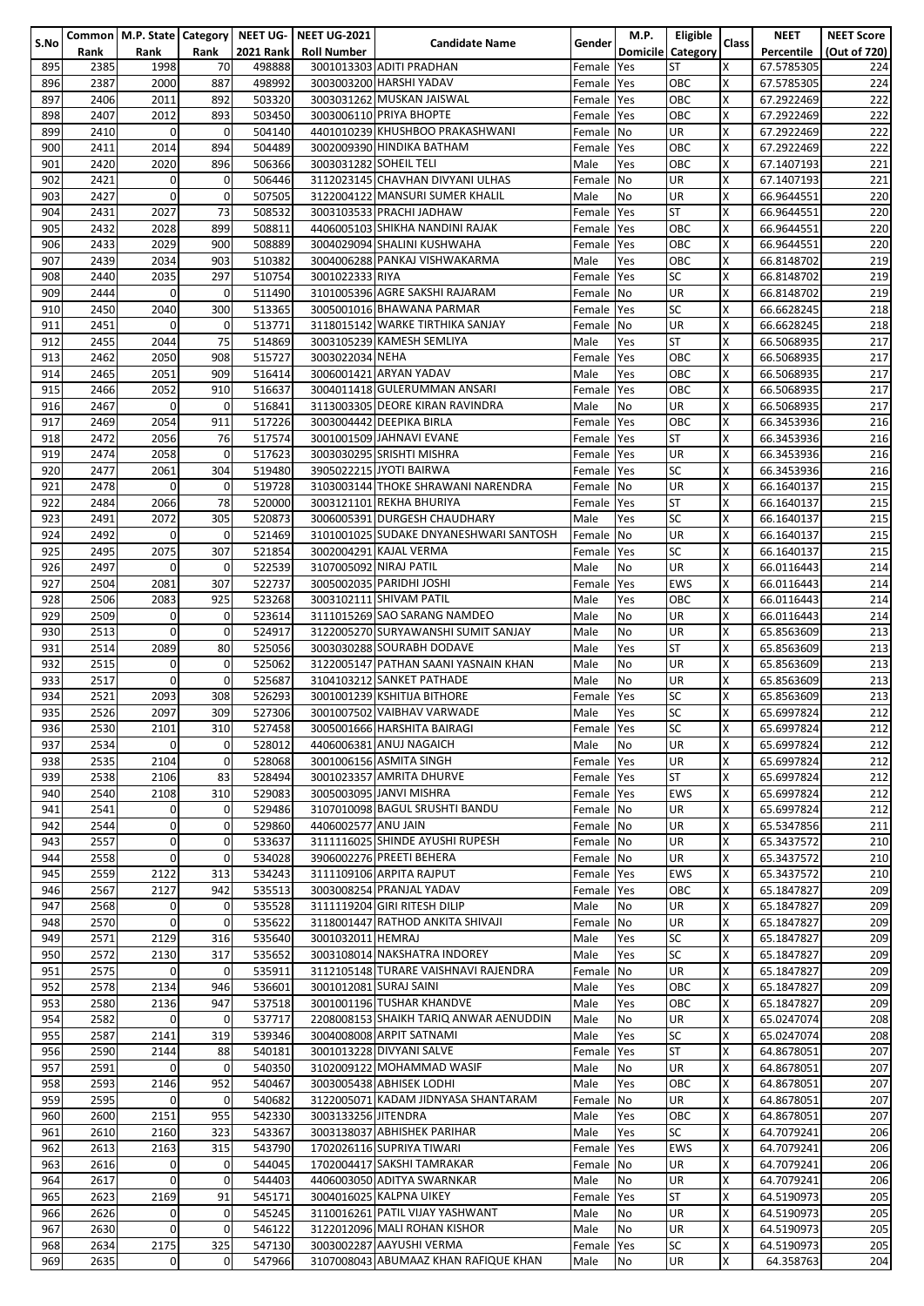|      |      |              |             |                  | Common   M.P. State   Category   NEET UG-   NEET UG-2021 |                                        |            | <b>M.P.</b>     | Eligible   |                         | <b>NEET</b> | <b>NEET Score</b> |
|------|------|--------------|-------------|------------------|----------------------------------------------------------|----------------------------------------|------------|-----------------|------------|-------------------------|-------------|-------------------|
| S.No | Rank | Rank         | Rank        | <b>2021 Rank</b> | <b>Roll Number</b>                                       | <b>Candidate Name</b>                  | Gender     | <b>Domicile</b> | Category   | <b>Class</b>            | Percentile  | (Out of 720)      |
|      |      |              |             |                  |                                                          |                                        |            |                 | <b>ST</b>  |                         |             |                   |
| 895  | 2385 | 1998         | 70          | 498888           |                                                          | 3001013303 ADITI PRADHAN               | Female     | Yes             |            | X                       | 67.5785305  | 224               |
| 896  | 2387 | 2000         | 887         | 498992           |                                                          | 3003003200 HARSHI YADAV                | Female Yes |                 | OBC        | X                       | 67.5785305  | 224               |
| 897  | 2406 | 2011         | 892         | 503320           |                                                          | 3003031262 MUSKAN JAISWAL              | Female Yes |                 | OBC        | X                       | 67.2922469  | 222               |
| 898  | 2407 | 2012         | 893         | 503450           |                                                          | 3003006110 PRIYA BHOPTE                | Female Yes |                 | OBC        | X                       | 67.2922469  | 222               |
| 899  | 2410 | $\mathbf 0$  | 0           | 504140           |                                                          | 4401010239 KHUSHBOO PRAKASHWANI        | Female No  |                 | UR         | X                       | 67.2922469  | 222               |
|      |      |              |             |                  |                                                          |                                        |            |                 |            |                         |             |                   |
| 900  | 2411 | 2014         | 894         | 504489           |                                                          | 3002009390 HINDIKA BATHAM              | Female Yes |                 | OBC        | X                       | 67.2922469  | 222               |
| 901  | 2420 | 2020         | 896         | 506366           | 3003031282 SOHEIL TELI                                   |                                        | Male       | Yes             | OBC        | X                       | 67.1407193  | 221               |
| 902  | 2421 | $\mathbf 0$  | 0           | 506446           |                                                          | 3112023145 CHAVHAN DIVYANI ULHAS       | Female No  |                 | UR         | X                       | 67.1407193  | 221               |
| 903  | 2427 | $\mathbf{0}$ | 0           | 507505           |                                                          | 3122004122 MANSURI SUMER KHALIL        | Male       | No              | UR         | X                       | 66.9644551  | 220               |
| 904  |      | 2027         | 73          | 508532           |                                                          | 3003103533 PRACHI JADHAW               | Female Yes |                 | <b>ST</b>  | X                       |             |                   |
|      | 2431 |              |             |                  |                                                          |                                        |            |                 |            |                         | 66.9644551  | 220               |
| 905  | 2432 | 2028         | 899         | 508811           |                                                          | 4406005103 SHIKHA NANDINI RAJAK        | Female Yes |                 | OBC        | X                       | 66.9644551  | 220               |
| 906  | 2433 | 2029         | 900         | 508889           |                                                          | 3004029094 SHALINI KUSHWAHA            | Female Yes |                 | OBC        | X                       | 66.9644551  | 220               |
| 907  | 2439 | 2034         | 903         | 510382           |                                                          | 3004006288 PANKAJ VISHWAKARMA          | Male       | Yes             | OBC        | X                       | 66.8148702  | 219               |
| 908  | 2440 | 2035         | 297         | 510754           | 3001022333 RIYA                                          |                                        | Female Yes |                 | SC         | X                       | 66.8148702  | 219               |
| 909  | 2444 | 0            | 0           | 511490           |                                                          | 3101005396 AGRE SAKSHI RAJARAM         | Female No  |                 | UR         | X                       | 66.8148702  | 219               |
| 910  |      | 2040         | 300         |                  |                                                          |                                        |            |                 | SC         | X                       |             | 218               |
|      | 2450 |              |             | 513365           |                                                          | 3005001016 BHAWANA PARMAR              | Female Yes |                 |            |                         | 66.6628245  |                   |
| 911  | 2451 | $\Omega$     | 0           | 513771           |                                                          | 3118015142 WARKE TIRTHIKA SANJAY       | Female No  |                 | UR         | X                       | 66.6628245  | 218               |
| 912  | 2455 | 2044         | 75          | 514869           |                                                          | 3003105239 KAMESH SEMLIYA              | Male       | Yes             | <b>ST</b>  | X                       | 66.5068935  | 217               |
| 913  | 2462 | 2050         | 908         | 515727           | 3003022034 NEHA                                          |                                        | Female Yes |                 | OBC        | X                       | 66.5068935  | 217               |
| 914  | 2465 | 2051         | 909         | 516414           |                                                          | 3006001421 ARYAN YADAV                 | Male       | Yes             | OBC        | X                       | 66.5068935  | 217               |
| 915  | 2466 | 2052         | 910         | 516637           |                                                          | 3004011418 GULERUMMAN ANSARI           | Female Yes |                 | OBC        | $\overline{\mathsf{x}}$ | 66.5068935  | 217               |
|      |      |              |             |                  |                                                          |                                        |            |                 |            |                         |             |                   |
| 916  | 2467 | $\mathbf 0$  | 0           | 516841           |                                                          | 3113003305 DEORE KIRAN RAVINDRA        | Male       | <b>No</b>       | UR         | X                       | 66.5068935  | 217               |
| 917  | 2469 | 2054         | 911         | 517226           |                                                          | 3003004442 DEEPIKA BIRLA               | Female Yes |                 | OBC        | X                       | 66.3453936  | 216               |
| 918  | 2472 | 2056         | 76          | 517574           |                                                          | 3001001509 JAHNAVI EVANE               | Female Yes |                 | <b>ST</b>  | X                       | 66.3453936  | 216               |
| 919  | 2474 | 2058         | 0           | 517623           |                                                          | 3003030295 SRISHTI MISHRA              | Female Yes |                 | UR         | X                       | 66.3453936  | 216               |
| 920  | 2477 | 2061         | 304         | 519480           |                                                          | 3905022215 JYOTI BAIRWA                | Female Yes |                 | SC         | X                       | 66.3453936  | 216               |
| 921  | 2478 | $\mathbf 0$  | $\mathbf 0$ | 519728           |                                                          | 3103003144 THOKE SHRAWANI NARENDRA     | Female No  |                 | UR         | X                       | 66.1640137  | 215               |
|      |      |              |             |                  |                                                          |                                        |            |                 |            |                         |             |                   |
| 922  | 2484 | 2066         | 78          | 520000           |                                                          | 3003121101 REKHA BHURIYA               | Female Yes |                 | <b>ST</b>  | X                       | 66.1640137  | 215               |
| 923  | 2491 | 2072         | 305         | 520873           |                                                          | 3006005391 DURGESH CHAUDHARY           | Male       | Yes             | SC         | X                       | 66.1640137  | 215               |
| 924  | 2492 | 0            | 0           | 521469           |                                                          | 3101001025 SUDAKE DNYANESHWARI SANTOSH | Female     | <b>No</b>       | UR         | X                       | 66.1640137  | 215               |
| 925  | 2495 | 2075         | 307         | 521854           |                                                          | 3002004291 KAJAL VERMA                 | Female Yes |                 | SC         | X                       | 66.1640137  | 215               |
| 926  | 2497 | $\mathbf 0$  | 0           | 522539           | 3107005092 NIRAJ PATIL                                   |                                        | Male       | No              | UR         | X                       | 66.0116443  | 214               |
|      |      |              |             |                  |                                                          |                                        |            |                 |            |                         |             |                   |
| 927  | 2504 | 2081         | 307         | 522737           |                                                          | 3005002035 PARIDHI JOSHI               | Female     | Yes             | <b>EWS</b> | X                       | 66.0116443  | 214               |
| 928  | 2506 | 2083         | 925         | 523268           |                                                          | 3003102111 SHIVAM PATIL                | Male       | Yes             | OBC        | X                       | 66.0116443  | 214               |
| 929  | 2509 | $\mathbf 0$  | 0           | 523614           |                                                          | 3111015269 SAO SARANG NAMDEO           | Male       | No              | UR         | X                       | 66.0116443  | 214               |
| 930  | 2513 | $\mathbf 0$  | 0           | 524917           |                                                          | 3122005270 SURYAWANSHI SUMIT SANJAY    | Male       | No              | UR         | $\overline{\mathsf{x}}$ | 65.8563609  | 213               |
| 931  | 2514 | 2089         | 80          | 525056           |                                                          | 3003030288 SOURABH DODAVE              | Male       | Yes             | <b>ST</b>  | X                       | 65.8563609  | 213               |
| 932  | 2515 | $\mathbf 0$  | 0           | 525062           |                                                          | 3122005147 PATHAN SAANI YASNAIN KHAN   | Male       | No              | UR         | X                       |             | 213               |
|      |      |              |             |                  |                                                          |                                        |            |                 |            |                         | 65.8563609  |                   |
| 933  | 2517 | $\mathbf{0}$ | 0           | 525687           |                                                          | 3104103212 SANKET PATHADE              | Male       | No              | UR         | X                       | 65.8563609  | 213               |
| 934  | 2521 | 2093         | 308         | 526293           |                                                          | 3001001239 KSHITIJA BITHORE            | Female     | Yes             | SC         | X                       | 65.8563609  | 213               |
| 935  | 2526 | 2097         | 309         | 527306           |                                                          | 3001007502 VAIBHAV VARWADE             | Male       | Yes             | <b>SC</b>  | X                       | 65.6997824  | 212               |
| 936  | 2530 | 2101         | 310         | 527458           |                                                          | 3005001666 HARSHITA BAIRAGI            | Female Yes |                 | ISC        | х                       | 65.6997824  | 212               |
| 937  | 2534 | $\mathbf 0$  | 0           | 528012           |                                                          | 4406006381 ANUJ NAGAICH                | Male       | No              | UR         | X                       | 65.6997824  | 212               |
|      |      |              |             |                  |                                                          |                                        |            |                 |            |                         |             |                   |
| 938  | 2535 | 2104         | $\mathbf 0$ | 528068           |                                                          | 3001006156 ASMITA SINGH                | Female Yes |                 | UR         | X                       | 65.6997824  | 212               |
| 939  | 2538 | 2106         | 83          | 528494           |                                                          | 3001023357 AMRITA DHURVE               | Female Yes |                 | ST         | X                       | 65.6997824  | 212               |
| 940  | 2540 | 2108         | 310         | 529083           |                                                          | 3005003095 JANVI MISHRA                | Female Yes |                 | <b>EWS</b> | X                       | 65.6997824  | 212               |
| 941  | 2541 | $\mathbf 0$  | 0           | 529486           |                                                          | 3107010098 BAGUL SRUSHTI BANDU         | Female No  |                 | UR         | X                       | 65.6997824  | 212               |
| 942  | 2544 | $\mathbf 0$  | $\mathbf 0$ | 529860           | 4406002577 ANU JAIN                                      |                                        | Female No  |                 | UR         | X                       | 65.5347856  | 211               |
| 943  | 2557 | $\mathbf 0$  | 0           | 533637           |                                                          | 3111116025 SHINDE AYUSHI RUPESH        | Female No  |                 | UR         | X                       | 65.3437572  | 210               |
|      |      |              |             |                  |                                                          |                                        |            |                 |            |                         |             |                   |
| 944  | 2558 | $\mathbf{0}$ | 0           | 534028           |                                                          | 3906002276 PREETI BEHERA               | Female No  |                 | UR         | X                       | 65.3437572  | 210               |
| 945  | 2559 | 2122         | 313         | 534243           |                                                          | 3111109106 ARPITA RAJPUT               | Female Yes |                 | <b>EWS</b> | X                       | 65.3437572  | 210               |
| 946  | 2567 | 2127         | 942         | 535513           |                                                          | 3003008254 PRANJAL YADAV               | Female Yes |                 | OBC        | X                       | 65.1847827  | 209               |
| 947  | 2568 | $\mathbf{0}$ | 0           | 535528           |                                                          | 3111119204 GIRI RITESH DILIP           | Male       | No              | UR         | X                       | 65.1847827  | 209               |
| 948  | 2570 | $\mathbf{0}$ | 0           | 535622           |                                                          | 3118001447 RATHOD ANKITA SHIVAJI       | Female No  |                 | UR         | X                       | 65.1847827  | 209               |
| 949  | 2571 | 2129         | 316         | 535640           | 3001032011 HEMRAJ                                        |                                        | Male       | Yes             | SC         | X                       | 65.1847827  | 209               |
|      |      |              |             |                  |                                                          | 3003108014 NAKSHATRA INDOREY           |            |                 |            |                         |             |                   |
| 950  | 2572 | 2130         | 317         | 535652           |                                                          |                                        | Male       | Yes             | SC         | X                       | 65.1847827  | 209               |
| 951  | 2575 | $\mathbf{0}$ | 0           | 535911           |                                                          | 3112105148 TURARE VAISHNAVI RAJENDRA   | Female No  |                 | UR         | X                       | 65.1847827  | 209               |
| 952  | 2578 | 2134         | 946         | 536601           |                                                          | 3001012081 SURAJ SAINI                 | Male       | Yes             | OBC        | X                       | 65.1847827  | 209               |
| 953  | 2580 | 2136         | 947         | 537518           |                                                          | 3001001196 TUSHAR KHANDVE              | Male       | Yes             | OBC        | X                       | 65.1847827  | 209               |
| 954  | 2582 | 0            | 0           | 537717           |                                                          | 2208008153 SHAIKH TARIQ ANWAR AENUDDIN | Male       | No              | UR         | X                       | 65.0247074  | 208               |
| 955  | 2587 | 2141         | 319         | 539346           |                                                          | 3004008008 ARPIT SATNAMI               | Male       | Yes             | SC         | X                       | 65.0247074  | 208               |
| 956  | 2590 | 2144         | 88          | 540181           |                                                          | 3001013228 DIVYANI SALVE               | Female Yes |                 | ST         | X                       | 64.8678051  | 207               |
|      |      |              |             |                  |                                                          |                                        |            |                 |            |                         |             |                   |
| 957  | 2591 | $\Omega$     | 0           | 540350           |                                                          | 3102009122 MOHAMMAD WASIF              | Male       | No              | UR.        | X                       | 64.8678051  | 207               |
| 958  | 2593 | 2146         | 952         | 540467           |                                                          | 3003005438 ABHISEK LODHI               | Male       | Yes             | OBC        | X                       | 64.8678051  | 207               |
| 959  | 2595 | $\mathbf{0}$ | 0           | 540682           |                                                          | 3122005071 KADAM JIDNYASA SHANTARAM    | Female No  |                 | UR         | X                       | 64.8678051  | 207               |
| 960  | 2600 | 2151         | 955         | 542330           | 3003133256 JITENDRA                                      |                                        | Male       | Yes             | OBC        | X                       | 64.8678051  | 207               |
| 961  | 2610 | 2160         | 323         | 543367           |                                                          | 3003138037 ABHISHEK PARIHAR            | Male       | Yes             | SC         | X                       | 64.7079241  | 206               |
| 962  | 2613 | 2163         | 315         | 543790           |                                                          | 1702026116 SUPRIYA TIWARI              | Female Yes |                 | EWS        | X                       | 64.7079241  | 206               |
|      |      |              |             |                  |                                                          |                                        |            |                 |            |                         |             |                   |
| 963  | 2616 | $\mathbf 0$  | 0           | 544045           |                                                          | 1702004417 SAKSHI TAMRAKAR             | Female No  |                 | UR         | X                       | 64.7079241  | 206               |
| 964  | 2617 | $\mathbf 0$  | 0           | 544403           |                                                          | 4406003050 ADITYA SWARNKAR             | Male       | <b>No</b>       | UR         | X                       | 64.7079241  | 206               |
| 965  | 2623 | 2169         | 91          | 545171           |                                                          | 3004016025 KALPNA UIKEY                | Female Yes |                 | <b>ST</b>  | X                       | 64.5190973  | 205               |
| 966  | 2626 | $\mathbf{0}$ | 0           | 545245           |                                                          | 3110016261 PATIL VIJAY YASHWANT        | Male       | No              | UR         | X                       | 64.5190973  | 205               |
| 967  | 2630 | $\Omega$     | 0           | 546122           |                                                          | 3122012096 MALI ROHAN KISHOR           | Male       | No              | UR         | X                       | 64.5190973  | 205               |
| 968  | 2634 | 2175         | 325         | 547130           |                                                          | 3003002287 AAYUSHI VERMA               | Female Yes |                 | SC         | X                       | 64.5190973  | 205               |
|      |      |              |             | 547966           |                                                          | 3107008043 ABUMAAZ KHAN RAFIQUE KHAN   |            |                 | UR         | X                       |             |                   |
| 969  | 2635 | $\mathbf 0$  | $\pmb{0}$   |                  |                                                          |                                        | Male       | No              |            |                         | 64.358763   | 204               |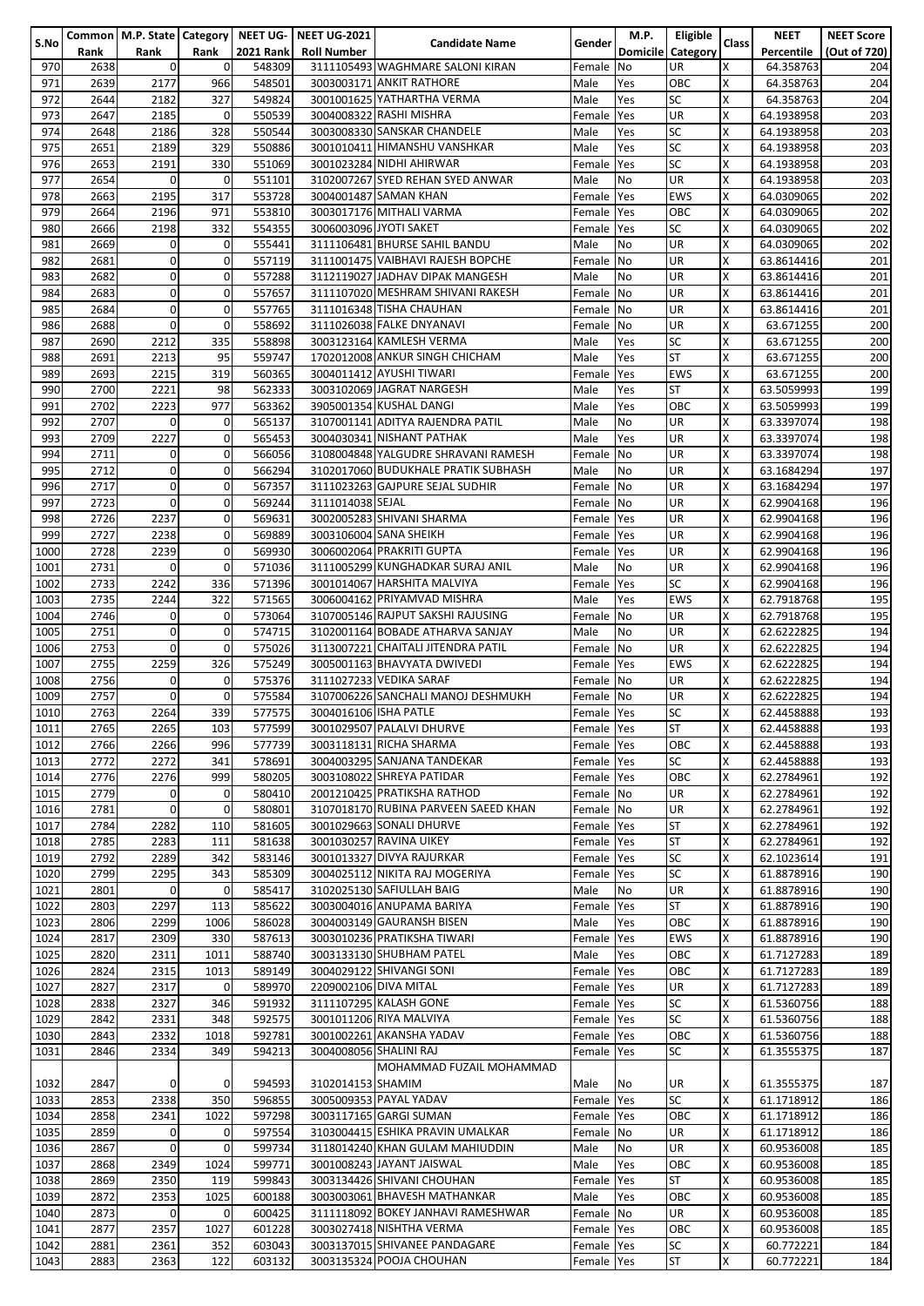| S.No         |              |                        |             |                            | Common   M.P. State   Category   NEET UG-   NEET UG-2021 | <b>Candidate Name</b>                                         | Gender                   | M.P.                         | Eligible          | Class  | <b>NEET</b>              | <b>NEET Score</b>   |
|--------------|--------------|------------------------|-------------|----------------------------|----------------------------------------------------------|---------------------------------------------------------------|--------------------------|------------------------------|-------------------|--------|--------------------------|---------------------|
| 970          | Rank<br>2638 | Rank<br>$\overline{0}$ | Rank<br>0   | <b>2021 Rank</b><br>548309 | <b>Roll Number</b>                                       | 3111105493 WAGHMARE SALONI KIRAN                              | Female                   | <b>Domicile</b><br><b>No</b> | Category<br>UR    | X      | Percentile<br>64.358763  | (Out of 720)<br>204 |
| 971          | 2639         | 2177                   | 966         | 548501                     |                                                          | 3003003171 ANKIT RATHORE                                      | Male                     | Yes                          | OBC               | Χ      | 64.358763                | 204                 |
| 972          | 2644         | 2182                   | 327         | 549824                     |                                                          | 3001001625 YATHARTHA VERMA                                    | Male                     | Yes                          | SC                | X      | 64.358763                | 204                 |
| 973          | 2647         | 2185                   | 0           | 550539                     |                                                          | 3004008322 RASHI MISHRA                                       | Female                   | Yes                          | UR                | X      | 64.1938958               | 203                 |
| 974          | 2648         | 2186                   | 328         | 550544                     |                                                          | 3003008330 SANSKAR CHANDELE                                   | Male                     | Yes                          | SC                | X      | 64.1938958               | 203                 |
| 975          | 2651         | 2189                   | 329         | 550886                     |                                                          | 3001010411 HIMANSHU VANSHKAR                                  | Male                     | Yes                          | SC                | Χ      | 64.1938958               | 203                 |
| 976          | 2653         | 2191                   | 330         | 551069                     |                                                          | 3001023284 NIDHI AHIRWAR                                      | Female                   | Yes                          | SC                | X      | 64.1938958               | 203                 |
| 977          | 2654         | $\mathbf 0$            | 0           | 551101                     |                                                          | 3102007267 SYED REHAN SYED ANWAR                              | Male                     | No                           | UR                | Χ      | 64.1938958               | 203                 |
| 978<br>979   | 2663<br>2664 | 2195<br>2196           | 317<br>971  | 553728<br>553810           |                                                          | 3004001487 SAMAN KHAN<br>3003017176 MITHALI VARMA             | Female<br>Female         | Yes<br><b>Yes</b>            | <b>EWS</b><br>ОВС | X<br>X | 64.0309065<br>64.0309065 | 202<br>202          |
| 980          | 2666         | 2198                   | 332         | 554355                     | 3006003096 JYOTI SAKET                                   |                                                               | Female                   | Yes                          | SC                | X      | 64.0309065               | 202                 |
| 981          | 2669         | $\mathbf 0$            | 0           | 555441                     |                                                          | 3111106481 BHURSE SAHIL BANDU                                 | Male                     | No                           | UR                | Χ      | 64.0309065               | 202                 |
| 982          | 2681         | $\mathbf 0$            | 0           | 557119                     |                                                          | 3111001475 VAIBHAVI RAJESH BOPCHE                             | Female                   | <b>No</b>                    | UR                | X      | 63.8614416               | 201                 |
| 983          | 2682         | $\overline{0}$         | 0           | 557288                     |                                                          | 3112119027 JADHAV DIPAK MANGESH                               | Male                     | <b>No</b>                    | UR                | X      | 63.8614416               | 201                 |
| 984          | 2683         | $\mathbf 0$            | 0           | 557657                     |                                                          | 3111107020 MESHRAM SHIVANI RAKESH                             | Female                   | <b>No</b>                    | UR                | Χ      | 63.8614416               | 201                 |
| 985          | 2684         | $\overline{0}$         | 0           | 557765                     |                                                          | 3111016348 TISHA CHAUHAN                                      | Female                   | <b>No</b>                    | UR                | Χ      | 63.8614416               | 201                 |
| 986          | 2688         | $\Omega$               | $\mathbf 0$ | 558692                     |                                                          | 3111026038 FALKE DNYANAVI                                     | Female                   | No                           | UR                | X      | 63.671255                | 200                 |
| 987          | 2690         | 2212                   | 335         | 558898                     |                                                          | 3003123164 KAMLESH VERMA                                      | Male                     | Yes                          | SC                | X      | 63.671255                | 200                 |
| 988          | 2691         | 2213                   | 95<br>319   | 559747                     |                                                          | 1702012008 ANKUR SINGH CHICHAM<br>3004011412 AYUSHI TIWARI    | Male                     | Yes                          | <b>ST</b>         | Χ      | 63.671255<br>63.671255   | 200                 |
| 989<br>990   | 2693<br>2700 | 2215<br>2221           | 98          | 560365<br>562333           |                                                          | 3003102069 JAGRAT NARGESH                                     | Female<br>Male           | Yes<br>Yes                   | EWS<br>ST         | X<br>X | 63.5059993               | 200<br>199          |
| 991          | 2702         | 2223                   | 977         | 563362                     |                                                          | 3905001354 KUSHAL DANGI                                       | Male                     | Yes                          | ОВС               | X      | 63.5059993               | 199                 |
| 992          | 2707         | $\mathbf 0$            | 0           | 565137                     |                                                          | 3107001141 ADITYA RAJENDRA PATIL                              | Male                     | No                           | UR                | Χ      | 63.3397074               | 198                 |
| 993          | 2709         | 2227                   | 0           | 565453                     |                                                          | 3004030341 NISHANT PATHAK                                     | Male                     | Yes                          | UR                | X      | 63.3397074               | 198                 |
| 994          | 2711         | $\overline{0}$         | 0           | 566056                     |                                                          | 3108004848 YALGUDRE SHRAVANI RAMESH                           | Female                   | N <sub>o</sub>               | UR                | X      | 63.3397074               | 198                 |
| 995          | 2712         | $\overline{0}$         | 0           | 566294                     |                                                          | 3102017060 BUDUKHALE PRATIK SUBHASH                           | Male                     | No                           | UR                | X      | 63.1684294               | 197                 |
| 996          | 2717         | $\overline{0}$         | 0           | 567357                     |                                                          | 3111023263 GAJPURE SEJAL SUDHIR                               | Female                   | <b>No</b>                    | UR                | Χ      | 63.1684294               | 197                 |
| 997          | 2723         | $\mathbf 0$            | 0           | 569244                     | 3111014038 SEJAL                                         |                                                               | Female                   | <b>No</b>                    | UR                | X      | 62.9904168               | 196                 |
| 998          | 2726         | 2237                   | 0           | 569631                     |                                                          | 3002005283 SHIVANI SHARMA                                     | Female                   | <b>Yes</b>                   | UR                | X      | 62.9904168               | 196                 |
| 999          | 2727         | 2238                   | 0           | 569889                     |                                                          | 3003106004 SANA SHEIKH                                        | Female                   | <b>Yes</b>                   | UR                | Χ      | 62.9904168               | 196                 |
| 1000<br>1001 | 2728<br>2731 | 2239<br>$\Omega$       | 0<br>0      | 569930<br>571036           |                                                          | 3006002064 PRAKRITI GUPTA<br>3111005299 KUNGHADKAR SURAJ ANIL | Female<br>Male           | <b>Yes</b><br>No             | UR<br>UR          | Χ<br>X | 62.9904168<br>62.9904168 | 196<br>196          |
| 1002         | 2733         | 2242                   | 336         | 571396                     |                                                          | 3001014067 HARSHITA MALVIYA                                   | Female                   | Yes                          | SC                | X      | 62.9904168               | 196                 |
| 1003         | 2735         | 2244                   | 322         | 571565                     |                                                          | 3006004162 PRIYAMVAD MISHRA                                   | Male                     | Yes                          | <b>EWS</b>        | X      | 62.7918768               | 195                 |
| 1004         | 2746         | $\mathbf 0$            | 0           | 573064                     |                                                          | 3107005146 RAJPUT SAKSHI RAJUSING                             | Female                   | N <sub>o</sub>               | UR                | X      | 62.7918768               | 195                 |
| 1005         | 2751         | $\Omega$               | 0           | 574715                     |                                                          | 3102001164 BOBADE ATHARVA SANJAY                              | Male                     | No                           | UR                | X      | 62.6222825               | 194                 |
| 1006         | 2753         | $\overline{0}$         | 0           | 575026                     |                                                          | 3113007221 CHAITALI JITENDRA PATIL                            | Female                   | <b>No</b>                    | UR                | X      | 62.6222825               | 194                 |
| 1007         | 2755         | 2259                   | 326         | 575249                     |                                                          | 3005001163 BHAVYATA DWIVEDI                                   | Female Yes               |                              | <b>EWS</b>        | Χ      | 62.6222825               | 194                 |
| 1008         | 2756         | $\mathbf 0$            | 0           | 575376                     |                                                          | 3111027233 VEDIKA SARAF                                       | Female                   | <b>No</b>                    | UR                | Χ      | 62.6222825               | 194                 |
| 1009         | 2757         | $\Omega$               | 0           | 575584                     |                                                          | 3107006226 SANCHALI MANOJ DESHMUKH                            | Female                   | <b>No</b>                    | UR                | X      | 62.6222825               | 194                 |
| 1010         | 2763         | 2264                   | 339         | 577575                     | 3004016106 ISHA PATLE                                    |                                                               | Female Yes               |                              | SC                | X      | 62.4458888               | 193                 |
| 1011<br>1012 | 2765<br>2766 | 2265<br>2266           | 103<br>996  | 577599<br>577739           |                                                          | 3001029507 PALALVI DHURVE<br>3003118131 RICHA SHARMA          | Female Yes<br>Female Yes |                              | SТ<br>ОВС         | х<br>Χ | 62.4458888<br>62.4458888 | 193<br>193          |
| 1013         | 2772         | 2272                   | 341         | 578691                     |                                                          | 3004003295 SANJANA TANDEKAR                                   | Female Yes               |                              | SC                | Χ      | 62.4458888               | 193                 |
| 1014         | 2776         | 2276                   | 999         | 580205                     |                                                          | 3003108022 SHREYA PATIDAR                                     | Female Yes               |                              | OBC               | Χ      | 62.2784961               | 192                 |
| 1015         | 2779         | $\overline{0}$         | $\mathbf 0$ | 580410                     |                                                          | 2001210425 PRATIKSHA RATHOD                                   | Female No                |                              | UR                | X      | 62.2784961               | 192                 |
| 1016         | 2781         | $\Omega$               | $\mathbf 0$ | 580801                     |                                                          | 3107018170 RUBINA PARVEEN SAEED KHAN                          | Female No                |                              | UR                | X      | 62.2784961               | 192                 |
| 1017         | 2784         | 2282                   | 110         | 581605                     |                                                          | 3001029663 SONALI DHURVE                                      | Female Yes               |                              | <b>ST</b>         | X      | 62.2784961               | 192                 |
| 1018         | 2785         | 2283                   | 111         | 581638                     |                                                          | 3001030257 RAVINA UIKEY                                       | Female Yes               |                              | ST                | X      | 62.2784961               | 192                 |
| 1019         | 2792         | 2289                   | 342         | 583146                     |                                                          | 3001013327 DIVYA RAJURKAR                                     | Female Yes               |                              | <b>SC</b>         | X      | 62.1023614               | 191                 |
| 1020<br>1021 | 2799<br>2801 | 2295<br>$\Omega$       | 343<br>0    | 585309<br>585417           |                                                          | 3004025112 NIKITA RAJ MOGERIYA<br>3102025130 SAFIULLAH BAIG   | Female Yes<br>Male       | No                           | SC<br>UR          | X<br>X | 61.8878916<br>61.8878916 | 190<br>190          |
| 1022         | 2803         | 2297                   | 113         | 585622                     |                                                          | 3003004016 ANUPAMA BARIYA                                     | Female Yes               |                              | ST                | X      | 61.8878916               | 190                 |
| 1023         | 2806         | 2299                   | 1006        | 586028                     |                                                          | 3004003149 GAURANSH BISEN                                     | Male                     | Yes                          | OBC               | Χ      | 61.8878916               | 190                 |
| 1024         | 2817         | 2309                   | 330         | 587613                     |                                                          | 3003010236 PRATIKSHA TIWARI                                   | Female                   | Yes                          | <b>EWS</b>        | Χ      | 61.8878916               | 190                 |
| 1025         | 2820         | 2311                   | 1011        | 588740                     |                                                          | 3003133130 SHUBHAM PATEL                                      | Male                     | Yes                          | ОВС               | Χ      | 61.7127283               | 189                 |
| 1026         | 2824         | 2315                   | 1013        | 589149                     |                                                          | 3004029122 SHIVANGI SONI                                      | Female                   | Yes                          | ОВС               | Χ      | 61.7127283               | 189                 |
| 1027         | 2827         | 2317                   | 0           | 589970                     | 2209002106 DIVA MITAL                                    |                                                               | Female Yes               |                              | UR                | Χ      | 61.7127283               | 189                 |
| 1028         | 2838         | 2327                   | 346         | 591932                     |                                                          | 3111107295 KALASH GONE                                        | Female Yes               |                              | SC                | X      | 61.5360756               | 188                 |
| 1029         | 2842         | 2331                   | 348         | 592575                     |                                                          | 3001011206 RIYA MALVIYA<br>3001002261 AKANSHA YADAV           | Female Yes               |                              | <b>SC</b>         | Χ<br>X | 61.5360756               | 188                 |
| 1030<br>1031 | 2843<br>2846 | 2332<br>2334           | 1018<br>349 | 592781<br>594213           | 3004008056 SHALINI RAJ                                   |                                                               | Female Yes<br>Female Yes |                              | ОВС<br>SC         | X      | 61.5360756<br>61.3555375 | 188<br>187          |
|              |              |                        |             |                            |                                                          | MOHAMMAD FUZAIL MOHAMMAD                                      |                          |                              |                   |        |                          |                     |
| 1032         | 2847         | 0                      | 0           | 594593                     | 3102014153 SHAMIM                                        |                                                               | Male                     | No                           | UR                | х      | 61.3555375               | 187                 |
| 1033         | 2853         | 2338                   | 350         | 596855                     |                                                          | 3005009353 PAYAL YADAV                                        | Female Yes               |                              | SC                | X      | 61.1718912               | 186                 |
| 1034         | 2858         | 2341                   | 1022        | 597298                     |                                                          | 3003117165 GARGI SUMAN                                        | Female Yes               |                              | OBC               | X      | 61.1718912               | 186                 |
| 1035         | 2859         | $\overline{0}$         | 0           | 597554                     |                                                          | 3103004415 ESHIKA PRAVIN UMALKAR                              | Female                   | <b>No</b>                    | UR                | x      | 61.1718912               | 186                 |
| 1036         | 2867         | $\overline{0}$         | 0           | 599734                     |                                                          | 3118014240 KHAN GULAM MAHIUDDIN                               | Male                     | No                           | UR                | X      | 60.9536008               | 185                 |
| 1037         | 2868         | 2349                   | 1024        | 599771                     |                                                          | 3001008243 JAYANT JAISWAL                                     | Male                     | Yes                          | ОВС               | Χ      | 60.9536008               | 185                 |
| 1038<br>1039 | 2869<br>2872 | 2350<br>2353           | 119<br>1025 | 599843<br>600188           |                                                          | 3003134426 SHIVANI CHOUHAN<br>3003003061 BHAVESH MATHANKAR    | Female<br>Male           | Yes<br>Yes                   | ST<br>OBC         | X<br>X | 60.9536008<br>60.9536008 | 185<br>185          |
| 1040         | 2873         | $\Omega$               | 0           | 600425                     |                                                          | 3111118092 BOKEY JANHAVI RAMESHWAR                            | Female                   | <b>No</b>                    | UR                | Χ      | 60.9536008               | 185                 |
| 1041         | 2877         | 2357                   | 1027        | 601228                     |                                                          | 3003027418 NISHTHA VERMA                                      | Female Yes               |                              | ОВС               | Χ      | 60.9536008               | 185                 |
| 1042         | 2881         | 2361                   | 352         | 603043                     |                                                          | 3003137015 SHIVANEE PANDAGARE                                 | Female Yes               |                              | SC                | Χ      | 60.772221                | 184                 |
| 1043         | 2883         | 2363                   | 122         | 603132                     |                                                          | 3003135324 POOJA CHOUHAN                                      | Female Yes               |                              | <b>ST</b>         | X      | 60.772221                | 184                 |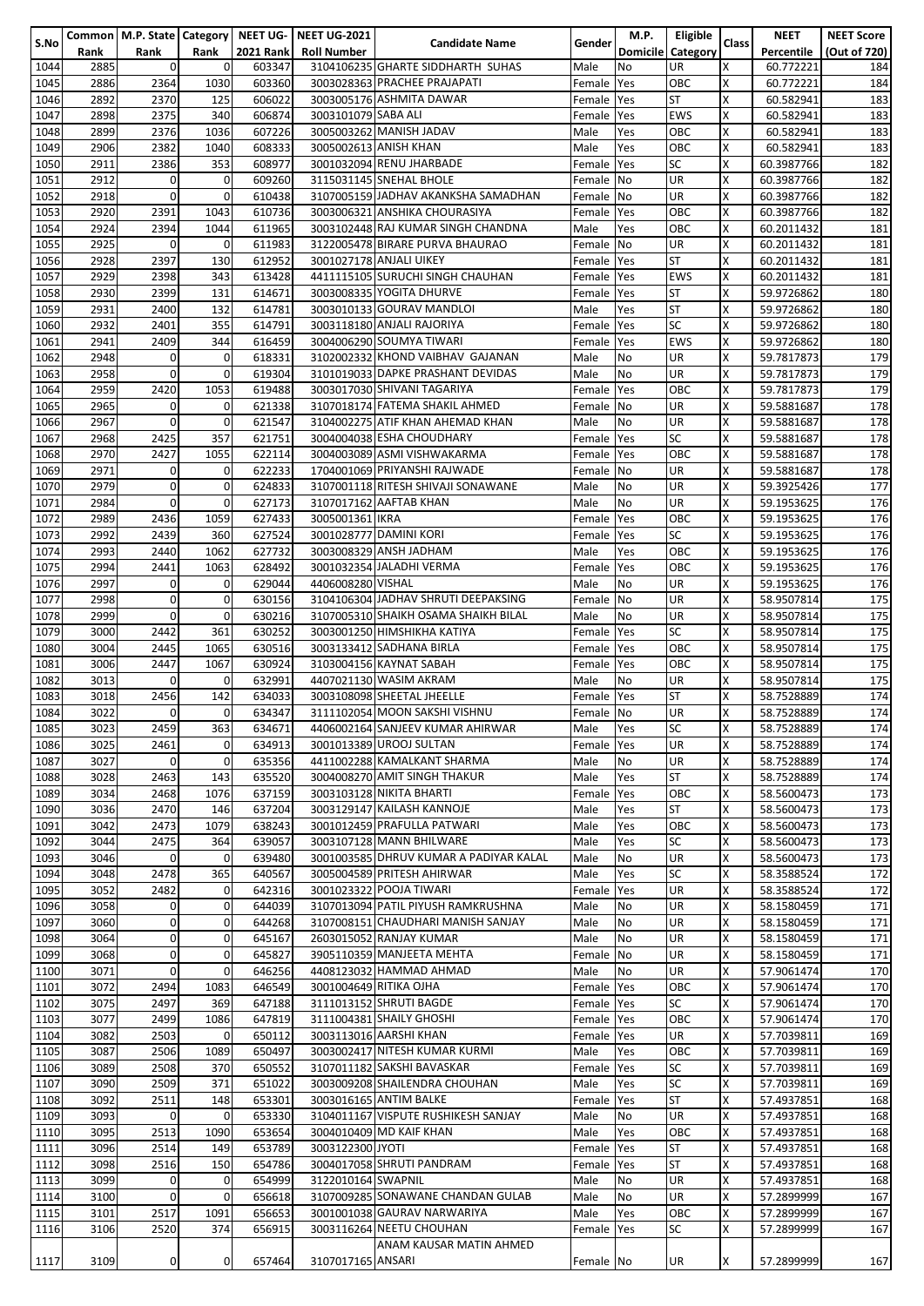|      |      |                |             |           | Common   M.P. State   Category   NEET UG-   NEET UG-2021 |                                        |               | M.P.            | <b>Eligible</b> |                         | <b>NEET</b> | <b>NEET Score</b> |
|------|------|----------------|-------------|-----------|----------------------------------------------------------|----------------------------------------|---------------|-----------------|-----------------|-------------------------|-------------|-------------------|
| S.No | Rank | Rank           | Rank        | 2021 Rank | <b>Roll Number</b>                                       | <b>Candidate Name</b>                  | <b>Gender</b> | <b>Domicile</b> | Category        | Class                   | Percentile  | (Out of 720)      |
| 1044 | 2885 | $\mathbf{0}$   | 0           | 603347    |                                                          | 3104106235 GHARTE SIDDHARTH SUHAS      | Male          | No              | <b>UR</b>       | X                       | 60.772221   | 184               |
| 1045 | 2886 | 2364           | 1030        | 603360    |                                                          | 3003028363 PRACHEE PRAJAPATI           | Female Yes    |                 | OBC             | X                       | 60.772221   | 184               |
| 1046 | 2892 | 2370           | 125         | 606022    |                                                          | 3003005176 ASHMITA DAWAR               | Female Yes    |                 | <b>ST</b>       | X                       | 60.582941   | 183               |
| 1047 | 2898 | 2375           | 340         | 606874    | 3003101079 SABA ALI                                      |                                        | Female Yes    |                 | <b>EWS</b>      | X                       | 60.582941   | 183               |
|      |      |                |             |           |                                                          |                                        |               |                 |                 |                         |             |                   |
| 1048 | 2899 | 2376           | 1036        | 607226    |                                                          | 3005003262 MANISH JADAV                | Male          | Yes             | OBC             | X                       | 60.582941   | 183               |
| 1049 | 2906 | 2382           | 1040        | 608333    |                                                          | 3005002613 ANISH KHAN                  | Male          | Yes             | OBC             | X                       | 60.582941   | 183               |
| 1050 | 2911 | 2386           | 353         | 608977    |                                                          | 3001032094 RENU JHARBADE               | Female Yes    |                 | SC              | X                       | 60.3987766  | 182               |
| 1051 | 2912 | $\mathbf 0$    | 0           | 609260    |                                                          | 3115031145 SNEHAL BHOLE                | Female No     |                 | <b>UR</b>       | X                       | 60.3987766  | 182               |
| 1052 | 2918 | $\mathbf 0$    | 0           | 610438    |                                                          | 3107005159 JADHAV AKANKSHA SAMADHAN    | Female No     |                 | <b>UR</b>       | X                       | 60.3987766  | 182               |
| 1053 | 2920 | 2391           | 1043        | 610736    |                                                          | 3003006321 ANSHIKA CHOURASIYA          | Female Yes    |                 | OBC             | X                       | 60.3987766  | 182               |
| 1054 | 2924 | 2394           | 1044        | 611965    |                                                          | 3003102448 RAJ KUMAR SINGH CHANDNA     | Male          | Yes             | OBC             | X                       | 60.2011432  | 181               |
| 1055 | 2925 | $\Omega$       | 0           | 611983    |                                                          | 3122005478 BIRARE PURVA BHAURAO        | Female No     |                 | <b>UR</b>       | X                       | 60.2011432  | 181               |
| 1056 | 2928 | 2397           | 130         | 612952    |                                                          | 3001027178 ANJALI UIKEY                | Female Yes    |                 | <b>ST</b>       | X                       | 60.2011432  | 181               |
| 1057 | 2929 | 2398           | 343         | 613428    |                                                          | 4411115105 SURUCHI SINGH CHAUHAN       | Female Yes    |                 | <b>EWS</b>      | X                       | 60.2011432  | 181               |
| 1058 | 2930 | 2399           | 131         | 614671    |                                                          | 3003008335 YOGITA DHURVE               | Female Yes    |                 | <b>ST</b>       | X                       | 59.9726862  | 180               |
| 1059 | 2931 | 2400           | 132         | 614781    |                                                          | 3003010133 GOURAV MANDLOI              | Male          | Yes             | <b>ST</b>       | X                       | 59.9726862  | 180               |
| 1060 | 2932 | 2401           | 355         | 614791    |                                                          |                                        | Female Yes    |                 | <b>SC</b>       | X                       | 59.9726862  |                   |
|      |      |                |             |           |                                                          | 3003118180 ANJALI RAJORIYA             |               |                 |                 |                         |             | 180               |
| 1061 | 2941 | 2409           | 344         | 616459    |                                                          | 3004006290 SOUMYA TIWARI               | Female Yes    |                 | <b>EWS</b>      | X                       | 59.9726862  | 180               |
| 1062 | 2948 | $\mathbf 0$    | 0           | 618331    |                                                          | 3102002332 KHOND VAIBHAV GAJANAN       | Male          | No              | <b>UR</b>       | X                       | 59.7817873  | 179               |
| 1063 | 2958 | $\mathbf{0}$   | 0           | 619304    |                                                          | 3101019033 DAPKE PRASHANT DEVIDAS      | Male          | No              | <b>UR</b>       | X                       | 59.7817873  | 179               |
| 1064 | 2959 | 2420           | 1053        | 619488    |                                                          | 3003017030 SHIVANI TAGARIYA            | Female Yes    |                 | OBC             | $\overline{\mathsf{x}}$ | 59.7817873  | 179               |
| 1065 | 2965 | $\mathbf 0$    | 0           | 621338    |                                                          | 3107018174 FATEMA SHAKIL AHMED         | Female No     |                 | <b>UR</b>       | Χ                       | 59.5881687  | 178               |
| 1066 | 2967 | $\mathbf{0}$   | 0           | 621547    |                                                          | 3104002275 ATIF KHAN AHEMAD KHAN       | Male          | No              | <b>UR</b>       | X                       | 59.5881687  | 178               |
| 1067 | 2968 | 2425           | 357         | 621751    |                                                          | 3004004038 ESHA CHOUDHARY              | Female Yes    |                 | <b>SC</b>       | X                       | 59.5881687  | 178               |
| 1068 | 2970 | 2427           | 1055        | 622114    |                                                          | 3004003089 ASMI VISHWAKARMA            | Female Yes    |                 | OBC             | X                       | 59.5881687  | 178               |
| 1069 | 2971 | $\mathbf 0$    | 0           | 622233    |                                                          | 1704001069 PRIYANSHI RAJWADE           | Female No     |                 | <b>UR</b>       | X                       | 59.5881687  | 178               |
| 1070 | 2979 | $\mathbf{0}$   | 0           | 624833    |                                                          | 3107001118 RITESH SHIVAJI SONAWANE     | Male          | No              | <b>UR</b>       | X                       | 59.3925426  | 177               |
| 1071 | 2984 | $\Omega$       | $\mathbf 0$ |           |                                                          | 3107017162 AAFTAB KHAN                 |               |                 | <b>UR</b>       | X                       |             | 176               |
|      |      |                |             | 627173    |                                                          |                                        | Male          | No              |                 | X                       | 59.1953625  |                   |
| 1072 | 2989 | 2436           | 1059        | 627433    | 3005001361 IKRA                                          |                                        | Female Yes    |                 | OBC             |                         | 59.1953625  | 176               |
| 1073 | 2992 | 2439           | 360         | 627524    |                                                          | 3001028777 DAMINI KORI                 | Female Yes    |                 | <b>SC</b>       | X                       | 59.1953625  | 176               |
| 1074 | 2993 | 2440           | 1062        | 627732    |                                                          | 3003008329 ANSH JADHAM                 | Male          | Yes             | OBC             | X                       | 59.1953625  | 176               |
| 1075 | 2994 | 2441           | 1063        | 628492    |                                                          | 3001032354 JALADHI VERMA               | Female Yes    |                 | OBC             | X                       | 59.1953625  | 176               |
| 1076 | 2997 | $\Omega$       | 0           | 629044    | 4406008280 VISHAL                                        |                                        | Male          | No              | <b>UR</b>       | X                       | 59.1953625  | 176               |
| 1077 | 2998 | $\mathbf 0$    | 0           | 630156    |                                                          | 3104106304 JADHAV SHRUTI DEEPAKSING    | Female No     |                 | <b>UR</b>       | X                       | 58.9507814  | 175               |
| 1078 | 2999 | $\mathbf 0$    | $\mathbf 0$ | 630216    |                                                          | 3107005310 SHAIKH OSAMA SHAIKH BILAL   | Male          | No              | <b>UR</b>       | X                       | 58.9507814  | 175               |
| 1079 | 3000 | 2442           | 361         | 630252    |                                                          | 3003001250 HIMSHIKHA KATIYA            | Female Yes    |                 | <b>SC</b>       | $\overline{\mathsf{x}}$ | 58.9507814  | 175               |
| 1080 | 3004 | 2445           | 1065        | 630516    |                                                          | 3003133412 SADHANA BIRLA               | Female Yes    |                 | OBC             | Χ                       | 58.9507814  | 175               |
| 1081 | 3006 | 2447           | 1067        | 630924    |                                                          | 3103004156 KAYNAT SABAH                | Female Yes    |                 | OBC             | X                       | 58.9507814  | 175               |
| 1082 | 3013 | $\mathbf 0$    | 0           | 632991    |                                                          | 4407021130 WASIM AKRAM                 | Male          | No              | <b>UR</b>       | X                       | 58.9507814  | 175               |
|      |      |                |             | 634033    |                                                          | 3003108098 SHEETAL JHEELLE             |               |                 | <b>ST</b>       | X                       |             |                   |
| 1083 | 3018 | 2456           | 142         |           |                                                          |                                        | Female Yes    |                 |                 |                         | 58.7528889  | 174               |
| 1084 | 3022 | $\mathbf 0$    | 0           | 634347    |                                                          | 3111102054 MOON SAKSHI VISHNU          | Female No     |                 | <b>UR</b>       | X                       | 58.7528889  | 174               |
| 1085 | 3023 | 2459           | 363         | 634671    |                                                          | 4406002164 SANJEEV KUMAR AHIRWAR       | Male          | Yes             | ISC             | x                       | 58.7528889  | 174               |
| 1086 | 3025 | 2461           | 0           | 634913    |                                                          | 3001013389 UROOJ SULTAN                | Female Yes    |                 | <b>UR</b>       | X                       | 58.7528889  | 174               |
| 1087 | 3027 | $\Omega$       | 0           | 635356    |                                                          | 4411002288 KAMALKANT SHARMA            | Male          | No              | <b>UR</b>       | X                       | 58.7528889  | 174               |
| 1088 | 3028 | 2463           | 143         | 635520    |                                                          | 3004008270 AMIT SINGH THAKUR           | Male          | Yes             | <b>ST</b>       | X                       | 58.7528889  | 174               |
| 1089 | 3034 | 2468           | 1076        | 637159    |                                                          | 3003103128 NIKITA BHARTI               | Female Yes    |                 | OBC             | X                       | 58.5600473  | 173               |
| 1090 | 3036 | 2470           | 146         | 637204    |                                                          | 3003129147 KAILASH KANNOJE             | Male          | Yes             | <b>ST</b>       | X                       | 58.5600473  | 173               |
| 1091 | 3042 | 2473           | 1079        | 638243    |                                                          | 3001012459 PRAFULLA PATWARI            | Male          | Yes             | OBC             | X                       | 58.5600473  | 173               |
| 1092 | 3044 | 2475           | 364         | 639057    |                                                          | 3003107128 MANN BHILWARE               | Male          | Yes             | SC              | X                       | 58.5600473  | 173               |
| 1093 | 3046 | $\mathbf{0}$   | 0           | 639480    |                                                          | 3001003585 DHRUV KUMAR A PADIYAR KALAL | Male          | No              | <b>UR</b>       | X                       | 58.5600473  | 173               |
| 1094 | 3048 | 2478           | 365         | 640567    |                                                          | 3005004589 PRITESH AHIRWAR             | Male          | Yes             | <b>SC</b>       | X                       | 58.3588524  | 172               |
|      |      |                |             |           |                                                          |                                        |               |                 |                 | X                       |             |                   |
| 1095 | 3052 | 2482           | 0           | 642316    |                                                          | 3001023322 POOJA TIWARI                | Female Yes    |                 | UR              |                         | 58.3588524  | 172               |
| 1096 | 3058 | $\mathbf{0}$   | 0           | 644039    |                                                          | 3107013094 PATIL PIYUSH RAMKRUSHNA     | Male          | No              | UR              | X                       | 58.1580459  | 171               |
| 1097 | 3060 | $\overline{0}$ | 0           | 644268    |                                                          | 3107008151 CHAUDHARI MANISH SANJAY     | Male          | No              | <b>UR</b>       | X                       | 58.1580459  | 171               |
| 1098 | 3064 | $\mathbf 0$    | 0           | 645167    |                                                          | 2603015052 RANJAY KUMAR                | Male          | <b>No</b>       | <b>UR</b>       | X                       | 58.1580459  | 171               |
| 1099 | 3068 | $\Omega$       | 0           | 645827    |                                                          | 3905110359 MANJEETA MEHTA              | Female No     |                 | <b>UR</b>       | Χ                       | 58.1580459  | 171               |
| 1100 | 3071 | $\mathbf{0}$   | $\mathbf 0$ | 646256    |                                                          | 4408123032 HAMMAD AHMAD                | Male          | <b>No</b>       | <b>UR</b>       | X                       | 57.9061474  | 170               |
| 1101 | 3072 | 2494           | 1083        | 646549    |                                                          | 3001004649 RITIKA OJHA                 | Female Yes    |                 | OBC             | X                       | 57.9061474  | 170               |
| 1102 | 3075 | 2497           | 369         | 647188    |                                                          | 3111013152 SHRUTI BAGDE                | Female Yes    |                 | SC              | x                       | 57.9061474  | 170               |
| 1103 | 3077 | 2499           | 1086        | 647819    |                                                          | 3111004381 SHAILY GHOSHI               | Female Yes    |                 | OBC             | X                       | 57.9061474  | 170               |
| 1104 | 3082 | 2503           | 0           | 650112    |                                                          | 3003113016 AARSHI KHAN                 | Female Yes    |                 | <b>UR</b>       | X                       | 57.7039811  | 169               |
| 1105 | 3087 | 2506           | 1089        | 650497    |                                                          | 3003002417 NITESH KUMAR KURMI          | Male          | Yes             | OBC             | Χ                       | 57.7039811  | 169               |
| 1106 | 3089 | 2508           | 370         | 650552    |                                                          | 3107011182 SAKSHI BAVASKAR             | Female Yes    |                 | <b>SC</b>       | X                       | 57.7039811  | 169               |
| 1107 | 3090 | 2509           | 371         | 651022    |                                                          | 3003009208 SHAILENDRA CHOUHAN          | Male          | Yes             | <b>SC</b>       | X                       | 57.7039811  | 169               |
| 1108 | 3092 | 2511           |             | 653301    |                                                          | 3003016165 ANTIM BALKE                 | Female Yes    |                 | <b>ST</b>       | X                       | 57.4937851  | 168               |
|      |      |                | 148         |           |                                                          |                                        |               |                 |                 |                         |             |                   |
| 1109 | 3093 | $\mathbf 0$    | 0           | 653330    |                                                          | 3104011167 VISPUTE RUSHIKESH SANJAY    | Male          | No              | <b>UR</b>       | X                       | 57.4937851  | 168               |
| 1110 | 3095 | 2513           | 1090        | 653654    |                                                          | 3004010409 MD KAIF KHAN                | Male          | Yes             | OBC             | X                       | 57.4937851  | 168               |
| 1111 | 3096 | 2514           | 149         | 653789    | 3003122300 JYOTI                                         |                                        | Female Yes    |                 | <b>ST</b>       | X                       | 57.4937851  | 168               |
| 1112 | 3098 | 2516           | 150         | 654786    |                                                          | 3004017058 SHRUTI PANDRAM              | Female Yes    |                 | <b>ST</b>       | X                       | 57.4937851  | 168               |
| 1113 | 3099 | $\mathbf 0$    | 0           | 654999    | 3122010164 SWAPNIL                                       |                                        | Male          | No              | <b>UR</b>       | X                       | 57.4937851  | 168               |
| 1114 | 3100 | $\mathbf 0$    | 0           | 656618    |                                                          | 3107009285 SONAWANE CHANDAN GULAB      | Male          | No              | <b>UR</b>       | Χ                       | 57.2899999  | 167               |
| 1115 | 3101 | 2517           | 1091        | 656653    |                                                          | 3001001038 GAURAV NARWARIYA            | Male          | Yes             | OBC             | X                       | 57.2899999  | 167               |
| 1116 | 3106 | 2520           | 374         | 656915    |                                                          | 3003116264 NEETU CHOUHAN               | Female Yes    |                 | <b>SC</b>       | X                       | 57.2899999  | 167               |
|      |      |                |             |           |                                                          | ANAM KAUSAR MATIN AHMED                |               |                 |                 |                         |             |                   |
| 1117 | 3109 | 0              | $\mathbf 0$ | 657464    | 3107017165 ANSARI                                        |                                        | Female No     |                 | UR              | X                       | 57.2899999  | 167               |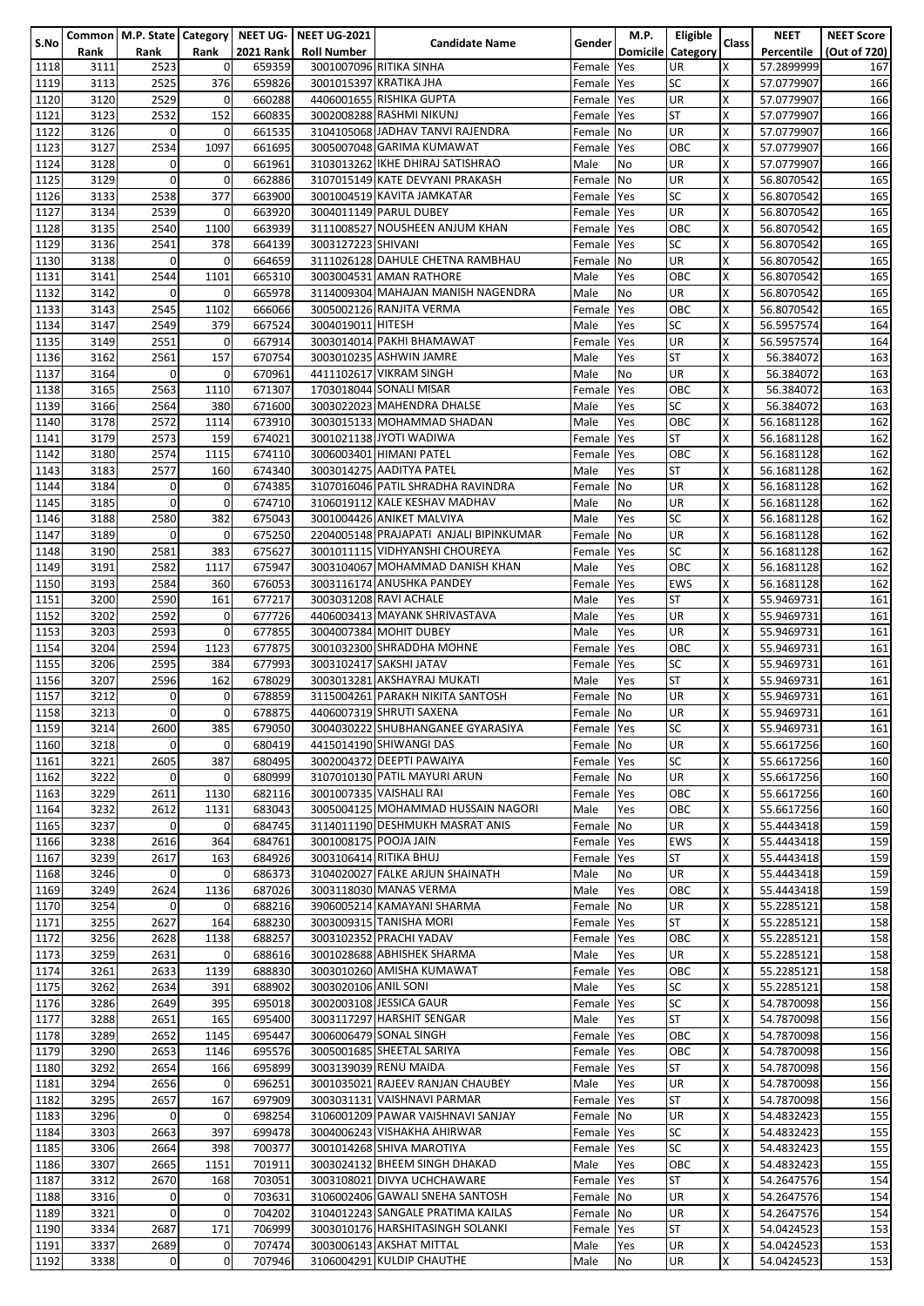|      |      |                |              |                  | Common   M.P. State   Category   NEET UG-   NEET UG-2021 |                                        |            | M.P.       | Eligible          |       | <b>NEET</b> | <b>NEET Score</b> |
|------|------|----------------|--------------|------------------|----------------------------------------------------------|----------------------------------------|------------|------------|-------------------|-------|-------------|-------------------|
| S.No |      |                | Rank         | <b>2021 Rank</b> | <b>Roll Number</b>                                       | <b>Candidate Name</b>                  | Gender     |            | Domicile Category | Class | Percentile  |                   |
|      | Rank | Rank           |              |                  |                                                          |                                        |            |            |                   |       |             | (Out of 720)      |
| 1118 | 3111 | 2523           | $\mathbf 0$  | 659359           |                                                          | 3001007096 RITIKA SINHA                | Female     | <b>Yes</b> | <b>UR</b>         | X     | 57.2899999  | 167               |
| 1119 | 3113 | 2525           | 376          | 659826           |                                                          | 3001015397 KRATIKA JHA                 | Female Yes |            | <b>SC</b>         | X     | 57.0779907  | 166               |
| 1120 | 3120 | 2529           | 0            | 660288           |                                                          | 4406001655 RISHIKA GUPTA               | Female Yes |            | UR                | X     | 57.0779907  | 166               |
|      |      |                |              |                  |                                                          |                                        |            |            |                   |       |             |                   |
| 1121 | 3123 | 2532           | 152          | 660835           |                                                          | 3002008288 RASHMI NIKUNJ               | Female Yes |            | <b>ST</b>         | X     | 57.0779907  | 166               |
| 1122 | 3126 | $\mathbf 0$    | 0            | 661535           |                                                          | 3104105068 JADHAV TANVI RAJENDRA       | Female No  |            | <b>UR</b>         | X     | 57.0779907  | 166               |
| 1123 | 3127 | 2534           | 1097         | 661695           |                                                          | 3005007048 GARIMA KUMAWAT              | Female Yes |            | OBC               | X     | 57.0779907  | 166               |
|      |      |                |              |                  |                                                          |                                        |            |            |                   |       |             |                   |
| 1124 | 3128 | $\mathbf 0$    | 0            | 661961           |                                                          | 3103013262 IKHE DHIRAJ SATISHRAO       | Male       | No         | <b>UR</b>         | X     | 57.0779907  | 166               |
| 1125 | 3129 | $\mathbf 0$    | 0            | 662886           |                                                          | 3107015149 KATE DEVYANI PRAKASH        | Female No  |            | <b>UR</b>         | X     | 56.8070542  | 165               |
| 1126 | 3133 | 2538           | 377          | 663900           |                                                          | 3001004519 KAVITA JAMKATAR             | Female Yes |            | <b>SC</b>         | X     | 56.8070542  | 165               |
|      |      |                |              |                  |                                                          |                                        |            |            |                   | X     |             |                   |
| 1127 | 3134 | 2539           | 0            | 663920           |                                                          | 3004011149 PARUL DUBEY                 | Female Yes |            | <b>UR</b>         |       | 56.8070542  | 165               |
| 1128 | 3135 | 2540           | 1100         | 663939           |                                                          | 3111008527 NOUSHEEN ANJUM KHAN         | Female Yes |            | OBC               | X     | 56.8070542  | 165               |
| 1129 | 3136 | 2541           | 378          | 664139           | 3003127223 SHIVANI                                       |                                        | Female Yes |            | SC                | X     | 56.8070542  | 165               |
|      |      |                |              |                  |                                                          | 3111026128 DAHULE CHETNA RAMBHAU       |            |            |                   |       |             |                   |
| 1130 | 3138 | $\mathbf 0$    | 0            | 664659           |                                                          |                                        | Female No  |            | <b>UR</b>         | X     | 56.8070542  | 165               |
| 1131 | 3141 | 2544           | 1101         | 665310           |                                                          | 3003004531 AMAN RATHORE                | Male       | Yes        | OBC               | X     | 56.8070542  | 165               |
| 1132 | 3142 | $\mathbf 0$    | 0            | 665978           |                                                          | 3114009304 MAHAJAN MANISH NAGENDRA     | Male       | <b>No</b>  | <b>UR</b>         | X     | 56.8070542  | 165               |
|      |      |                |              |                  |                                                          |                                        |            |            |                   |       |             |                   |
| 1133 | 3143 | 2545           | 1102         | 666066           |                                                          | 3005002126 RANJITA VERMA               | Female     | <b>Yes</b> | OBC               | X     | 56.8070542  | 165               |
| 1134 | 3147 | 2549           | 379          | 667524           | 3004019011 HITESH                                        |                                        | Male       | Yes        | <b>SC</b>         | X     | 56.5957574  | 164               |
| 1135 | 3149 | 2551           | 0            | 667914           |                                                          | 3003014014 PAKHI BHAMAWAT              | Female     | Yes        | UR                | X     | 56.5957574  | 164               |
|      |      |                |              |                  |                                                          |                                        |            |            |                   | X     |             |                   |
| 1136 | 3162 | 2561           | 157          | 670754           |                                                          | 3003010235 ASHWIN JAMRE                | Male       | Yes        | <b>ST</b>         |       | 56.384072   | 163               |
| 1137 | 3164 | $\mathbf 0$    | 0            | 670961           |                                                          | 4411102617 VIKRAM SINGH                | Male       | <b>No</b>  | <b>UR</b>         | X     | 56.384072   | 163               |
| 1138 | 3165 | 2563           | 1110         | 671307           |                                                          | 1703018044 SONALI MISAR                | Female     | Yes        | OBC               | X     | 56.384072   | 163               |
|      |      |                |              |                  |                                                          |                                        |            |            |                   |       |             |                   |
| 1139 | 3166 | 2564           | 380          | 671600           |                                                          | 3003022023 MAHENDRA DHALSE             | Male       | Yes        | <b>SC</b>         | X     | 56.384072   | 163               |
| 1140 | 3178 | 2572           | 1114         | 673910           |                                                          | 3003015133 MOHAMMAD SHADAN             | Male       | Yes        | OBC               | X     | 56.1681128  | 162               |
| 1141 | 3179 | 2573           | 159          | 674021           |                                                          | 3001021138 JYOTI WADIWA                | Female     | Yes        | <b>ST</b>         | X     | 56.1681128  | 162               |
|      |      |                |              |                  |                                                          |                                        |            |            |                   |       |             |                   |
| 1142 | 3180 | 2574           | 1115         | 674110           |                                                          | 3006003401 HIMANI PATEL                | Female Yes |            | OBC               | X     | 56.1681128  | 162               |
| 1143 | 3183 | 2577           | 160          | 674340           |                                                          | 3003014275 AADITYA PATEL               | Male       | Yes        | <b>ST</b>         | X     | 56.1681128  | 162               |
| 1144 | 3184 | 0              | 0            | 674385           |                                                          | 3107016046 PATIL SHRADHA RAVINDRA      | Female     | No         | UR                | Χ     | 56.1681128  | 162               |
|      |      |                |              |                  |                                                          |                                        |            |            |                   |       |             |                   |
| 1145 | 3185 | $\Omega$       | 0            | 674710           |                                                          | 3106019112 KALE KESHAV MADHAV          | Male       | <b>No</b>  | <b>UR</b>         | X     | 56.1681128  | 162               |
| 1146 | 3188 | 2580           | 382          | 675043           |                                                          | 3001004426 ANIKET MALVIYA              | Male       | Yes        | <b>SC</b>         | X     | 56.1681128  | 162               |
| 1147 | 3189 | $\mathbf 0$    | 0            | 675250           |                                                          | 2204005148 PRAJAPATI ANJALI BIPINKUMAR | Female     | <b>No</b>  | <b>UR</b>         | X     | 56.1681128  | 162               |
|      |      |                |              |                  |                                                          |                                        |            |            |                   |       |             |                   |
| 1148 | 3190 | 2581           | 383          | 675627           |                                                          | 3001011115 VIDHYANSHI CHOUREYA         | Female Yes |            | <b>SC</b>         | Χ     | 56.1681128  | 162               |
| 1149 | 3191 | 2582           | 1117         | 675947           |                                                          | 3003104067 MOHAMMAD DANISH KHAN        | Male       | Yes        | OBC               | X     | 56.1681128  | 162               |
| 1150 | 3193 | 2584           | 360          | 676053           |                                                          | 3003116174 ANUSHKA PANDEY              | Female     | Yes        | <b>EWS</b>        | X     | 56.1681128  | 162               |
|      | 3200 | 2590           | 161          |                  |                                                          |                                        |            |            |                   | Χ     |             |                   |
| 1151 |      |                |              | 677217           |                                                          | 3003031208 RAVI ACHALE                 | Male       | Yes        | <b>ST</b>         |       | 55.9469731  | 161               |
| 1152 | 3202 | 2592           | 0            | 677726           |                                                          | 4406003413 MAYANK SHRIVASTAVA          | Male       | Yes        | UR                | X     | 55.9469731  | 161               |
| 1153 | 3203 | 2593           | 0            | 677855           |                                                          | 3004007384 MOHIT DUBEY                 | Male       | Yes        | <b>UR</b>         | X     | 55.9469731  | 161               |
| 1154 | 3204 | 2594           | 1123         | 677875           |                                                          | 3001032300 SHRADDHA MOHNE              |            | Yes        | OBC               | X     | 55.9469731  | 161               |
|      |      |                |              |                  |                                                          |                                        | Female     |            |                   |       |             |                   |
| 1155 | 3206 | 2595           | 384          | 677993           |                                                          | 3003102417 SAKSHI JATAV                | Female Yes |            | SC                | X     | 55.9469731  | 161               |
| 1156 | 3207 | 2596           | 162          | 678029           |                                                          | 3003013281 AKSHAYRAJ MUKATI            | Male       | Yes        | <b>ST</b>         | X     | 55.9469731  | 161               |
|      | 3212 | 0              | 0            | 678859           |                                                          | 3115004261 PARAKH NIKITA SANTOSH       |            | <b>No</b>  | <b>UR</b>         | X     |             |                   |
| 1157 |      |                |              |                  |                                                          |                                        | Female     |            |                   |       | 55.9469731  | 161               |
| 1158 | 3213 | $\mathbf 0$    | 0            | 678875           |                                                          | 4406007319 SHRUTI SAXENA               | Female No  |            | <b>UR</b>         | Χ     | 55.9469731  | 161               |
| 1159 | 3214 | 2600           | 385          | 679050           |                                                          | 3004030222 SHUBHANGANEE GYARASIYA      | Female Yes |            | ßС                | ΙX.   | 55.9469731  | 161               |
| 1160 | 3218 | $\mathbf 0$    | 0            | 680419           |                                                          | 4415014190 SHIWANGI DAS                | Female No  |            | UR                | X     | 55.6617256  | 160               |
|      |      |                |              |                  |                                                          |                                        |            |            |                   |       |             |                   |
| 1161 | 3221 | 2605           | 387          | 680495           |                                                          | 3002004372 DEEPTI PAWAIYA              | Female Yes |            | <b>SC</b>         | Χ     | 55.6617256  | 160               |
| 1162 | 3222 | $\Omega$       | 0            | 680999           |                                                          | 3107010130 PATIL MAYURI ARUN           | Female No  |            | UR                | X     | 55.6617256  | 160               |
| 1163 | 3229 | 2611           | 1130         | 682116           |                                                          | 3001007335 VAISHALI RAI                | Female Yes |            | OBC               | X     | 55.6617256  | 160               |
|      |      |                |              |                  |                                                          |                                        |            |            |                   |       |             |                   |
| 1164 | 3232 | 2612           | 1131         | 683043           |                                                          | 3005004125 MOHAMMAD HUSSAIN NAGORI     | Male       | Yes        | OBC               | Χ     | 55.6617256  | 160               |
| 1165 | 3237 | $\mathbf 0$    | $\mathbf{0}$ | 684745           |                                                          | 3114011190 DESHMUKH MASRAT ANIS        | Female No  |            | UR                | X     | 55.4443418  | 159               |
| 1166 | 3238 | 2616           | 364          | 684761           | 3001008175 POOJA JAIN                                    |                                        | Female Yes |            | <b>EWS</b>        | X     | 55.4443418  | 159               |
|      |      |                |              |                  |                                                          |                                        |            |            |                   |       |             |                   |
| 1167 | 3239 | 2617           | 163          | 684926           |                                                          | 3003106414 RITIKA BHUJ                 | Female Yes |            | ST                | X     | 55.4443418  | 159               |
| 1168 | 3246 | $\mathbf 0$    | 0            | 686373           |                                                          | 3104020027 FALKE ARJUN SHAINATH        | Male       | No         | <b>UR</b>         | X     | 55.4443418  | 159               |
| 1169 | 3249 | 2624           | 1136         | 687026           |                                                          | 3003118030 MANAS VERMA                 | Male       | Yes        | OBC               | X     | 55.4443418  | 159               |
|      |      |                |              |                  |                                                          |                                        |            |            |                   |       |             |                   |
| 1170 | 3254 | $\mathbf 0$    | 0            | 688216           |                                                          | 3906005214 KAMAYANI SHARMA             | Female No  |            | UR                | X     | 55.2285121  | 158               |
| 1171 | 3255 | 2627           | 164          | 688230           |                                                          | 3003009315 TANISHA MORI                | Female Yes |            | <b>ST</b>         | X     | 55.2285121  | 158               |
| 1172 | 3256 | 2628           | 1138         | 688257           |                                                          | 3003102352 PRACHI YADAV                | Female Yes |            | OBC               | Χ     | 55.2285121  | 158               |
|      |      |                |              |                  |                                                          |                                        |            |            |                   |       |             |                   |
| 1173 | 3259 | 2631           | 0            | 688616           |                                                          | 3001028688 ABHISHEK SHARMA             | Male       | Yes        | UR                | X     | 55.2285121  | 158               |
| 1174 | 3261 | 2633           | 1139         | 688830           |                                                          | 3003010260 AMISHA KUMAWAT              | Female Yes |            | <b>OBC</b>        | X     | 55.2285121  | 158               |
| 1175 | 3262 | 2634           | 391          | 688902           | 3003020106 ANIL SONI                                     |                                        | Male       | Yes        | SC                | X     | 55.2285121  | 158               |
|      |      |                |              |                  |                                                          |                                        |            |            |                   |       |             |                   |
| 1176 | 3286 | 2649           | 395          | 695018           |                                                          | 3002003108 JESSICA GAUR                | Female Yes |            | <b>SC</b>         | X     | 54.7870098  | 156               |
| 1177 | 3288 | 2651           | 165          | 695400           |                                                          | 3003117297 HARSHIT SENGAR              | Male       | Yes        | ST                | X     | 54.7870098  | 156               |
| 1178 | 3289 | 2652           | 1145         | 695447           |                                                          | 3006006479 SONAL SINGH                 | Female Yes |            | OBC               | X     | 54.7870098  | 156               |
|      |      |                |              |                  |                                                          | 3005001685 SHEETAL SARIYA              |            |            |                   |       |             |                   |
| 1179 | 3290 | 2653           | 1146         | 695576           |                                                          |                                        | Female Yes |            | OBC               | X     | 54.7870098  | 156               |
| 1180 | 3292 | 2654           | 166          | 695899           |                                                          | 3003139039 RENU MAIDA                  | Female Yes |            | <b>ST</b>         | X     | 54.7870098  | 156               |
| 1181 | 3294 | 2656           | 0            | 696251           |                                                          | 3001035021 RAJEEV RANJAN CHAUBEY       | Male       | Yes        | UR                | X     | 54.7870098  | 156               |
|      | 3295 | 2657           | 167          | 697909           |                                                          |                                        |            |            | <b>ST</b>         | X     |             |                   |
| 1182 |      |                |              |                  |                                                          | 3003031131 VAISHNAVI PARMAR            | Female Yes |            |                   |       | 54.7870098  | 156               |
| 1183 | 3296 | $\mathbf 0$    | 0            | 698254           |                                                          | 3106001209 PAWAR VAISHNAVI SANJAY      | Female No  |            | UR                | X     | 54.4832423  | 155               |
| 1184 | 3303 | 2663           | 397          | 699478           |                                                          | 3004006243 VISHAKHA AHIRWAR            | Female Yes |            | <b>SC</b>         | X     | 54.4832423  | 155               |
| 1185 | 3306 | 2664           | 398          | 700377           |                                                          | 3001014268 SHIVA MAROTIYA              | Female Yes |            | <b>SC</b>         | X     | 54.4832423  | 155               |
|      |      |                |              |                  |                                                          |                                        |            |            |                   |       |             |                   |
| 1186 | 3307 | 2665           | 1151         | 701911           |                                                          | 3003024132 BHEEM SINGH DHAKAD          | Male       | Yes        | OBC               | X     | 54.4832423  | 155               |
| 1187 | 3312 | 2670           | 168          | 703051           |                                                          | 3003108021 DIVYA UCHCHAWARE            | Female Yes |            | ST                | X     | 54.2647576  | 154               |
| 1188 | 3316 | $\mathbf 0$    | $\mathbf 0$  | 703631           |                                                          | 3106002406 GAWALI SNEHA SANTOSH        | Female No  |            | UR                | X     | 54.2647576  | 154               |
|      |      |                |              |                  |                                                          |                                        |            |            |                   |       |             |                   |
| 1189 | 3321 | $\mathbf 0$    | $\mathbf 0$  | 704202           |                                                          | 3104012243 SANGALE PRATIMA KAILAS      | Female No  |            | UR                | X     | 54.2647576  | 154               |
| 1190 | 3334 | 2687           | 171          | 706999           |                                                          | 3003010176 HARSHITASINGH SOLANKI       | Female Yes |            | <b>ST</b>         | X     | 54.0424523  | 153               |
| 1191 | 3337 | 2689           | 0            | 707474           |                                                          | 3003006143 AKSHAT MITTAL               | Male       | Yes        | UR                | X     | 54.0424523  | 153               |
|      |      |                |              |                  |                                                          |                                        |            |            |                   |       |             |                   |
| 1192 | 3338 | $\overline{0}$ | $\mathbf 0$  | 707946           |                                                          | 3106004291 KULDIP CHAUTHE              | Male       | No         | <b>UR</b>         | X     | 54.0424523  | 153               |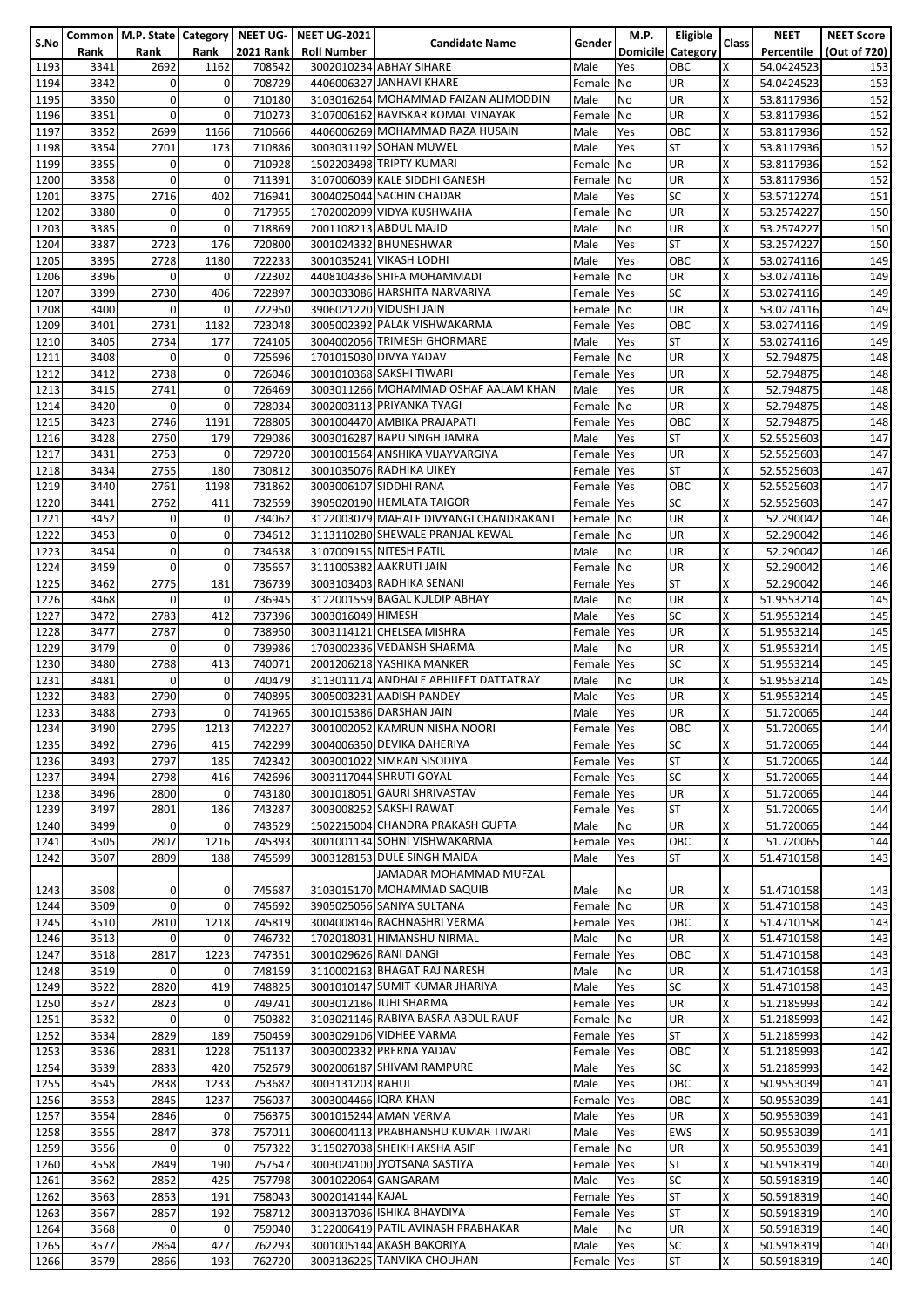| S.No         |              |                  |                    |                  | Common   M.P. State   Category   NEET UG-   NEET UG-2021 | <b>Candidate Name</b>                                          | Gender                   | M.P.                  | Eligible               | <b>Class</b>              | <b>NEET</b>              | <b>NEET Score</b> |
|--------------|--------------|------------------|--------------------|------------------|----------------------------------------------------------|----------------------------------------------------------------|--------------------------|-----------------------|------------------------|---------------------------|--------------------------|-------------------|
|              | Rank         | Rank             | Rank               | <b>2021 Rank</b> | <b>Roll Number</b>                                       |                                                                |                          | <b>Domicile</b>       | Category               |                           | Percentile               | (Out of 720)      |
| 1193         | 3341         | 2692             | 1162               | 708542           |                                                          | 3002010234 ABHAY SIHARE                                        | Male                     | Yes                   | OBC                    | X                         | 54.0424523               | 153               |
| 1194         | 3342         | $\Omega$         | 0                  | 708729           |                                                          | 4406006327 JANHAVI KHARE                                       | Female No                |                       | <b>UR</b>              | X                         | 54.0424523               | 153               |
| 1195         | 3350         | $\Omega$         | $\pmb{0}$          | 710180           |                                                          | 3103016264 MOHAMMAD FAIZAN ALIMODDIN                           | Male                     | <b>No</b>             | <b>UR</b>              | X                         | 53.8117936               | 152               |
| 1196         | 3351         | $\mathbf 0$      | 0                  | 710273           |                                                          | 3107006162 BAVISKAR KOMAL VINAYAK                              | Female No                |                       | <b>UR</b>              | Χ                         | 53.8117936               | 152               |
| 1197         | 3352         | 2699             | 1166               | 710666           |                                                          | 4406006269 MOHAMMAD RAZA HUSAIN                                | Male                     | Yes                   | OBC                    | X<br>X                    | 53.8117936               | 152               |
| 1198<br>1199 | 3354<br>3355 | 2701<br>$\Omega$ | 173<br>0           | 710886<br>710928 |                                                          | 3003031192 SOHAN MUWEL<br>1502203498 TRIPTY KUMARI             | Male<br>Female           | Yes<br>N <sub>O</sub> | <b>ST</b><br><b>UR</b> | X                         | 53.8117936<br>53.8117936 | 152<br>152        |
| 1200         | 3358         | $\mathbf 0$      | 0                  | 711391           |                                                          | 3107006039 KALE SIDDHI GANESH                                  | Female No                |                       | <b>UR</b>              | X                         | 53.8117936               | 152               |
| 1201         | 3375         | 2716             | 402                | 716941           |                                                          | 3004025044 SACHIN CHADAR                                       | Male                     | Yes                   | <b>SC</b>              | X                         | 53.5712274               | 151               |
| 1202         | 3380         | $\Omega$         | 0                  | 717955           |                                                          | 1702002099 VIDYA KUSHWAHA                                      | Female No                |                       | <b>UR</b>              | X                         | 53.2574227               | 150               |
| 1203         | 3385         | $\mathbf{0}$     | $\mathbf 0$        | 718869           |                                                          | 2001108213 ABDUL MAJID                                         | Male                     | No                    | <b>UR</b>              | X                         | 53.2574227               | 150               |
| 1204         | 3387         | 2723             | 176                | 720800           |                                                          | 3001024332 BHUNESHWAR                                          | Male                     | Yes                   | ST                     | X                         | 53.2574227               | 150               |
| 1205         | 3395         | 2728             | 1180               | 722233           |                                                          | 3001035241 VIKASH LODHI                                        | Male                     | Yes                   | OBC                    | X                         | 53.0274116               | 149               |
| 1206         | 3396         | $\Omega$         | 0                  | 722302           |                                                          | 4408104336 SHIFA MOHAMMADI                                     | Female No                |                       | <b>UR</b>              | X                         | 53.0274116               | 149               |
| 1207         | 3399         | 2730             | 406                | 722897           |                                                          | 3003033086 HARSHITA NARVARIYA                                  | Female Yes               |                       | <b>SC</b>              | X                         | 53.0274116               | 149               |
| 1208         | 3400         | $\Omega$         | 0                  | 722950           |                                                          | 3906021220 VIDUSHI JAIN                                        | Female No                |                       | <b>UR</b>              | X                         | 53.0274116               | 149               |
| 1209         | 3401         | 2731             | 1182               | 723048           |                                                          | 3005002392 PALAK VISHWAKARMA                                   | Female Yes               |                       | OBC                    | X                         | 53.0274116               | 149               |
| 1210         | 3405         | 2734             | 177                | 724105           |                                                          | 3004002056 TRIMESH GHORMARE                                    | Male                     | Yes                   | <b>ST</b>              | X                         | 53.0274116               | 149               |
| 1211         | 3408         | $\Omega$         | 0                  | 725696           |                                                          | 1701015030 DIVYA YADAV                                         | Female No                |                       | <b>UR</b>              | Χ                         | 52.794875                | 148               |
| 1212         | 3412         | 2738             | $\pmb{0}$          | 726046           |                                                          | 3001010368 SAKSHI TIWARI                                       | Female Yes               |                       | <b>UR</b>              | X                         | 52.794875                | 148               |
| 1213         | 3415         | 2741             | $\mathbf 0$        | 726469           |                                                          | 3003011266 MOHAMMAD OSHAF AALAM KHAN                           | Male                     | Yes                   | <b>UR</b>              | X                         | 52.794875                | 148               |
| 1214         | 3420         | $\Omega$         | $\mathbf 0$        | 728034           |                                                          | 3002003113 PRIYANKA TYAGI                                      | Female No                |                       | <b>UR</b>              | X                         | 52.794875                | 148               |
| 1215         | 3423         | 2746             | 1191               | 728805           |                                                          | 3001004470 AMBIKA PRAJAPATI                                    | Female Yes               |                       | OBC                    | X                         | 52.794875                | 148               |
| 1216         | 3428         | 2750             | 179                | 729086           |                                                          | 3003016287 BAPU SINGH JAMRA<br>3001001564 ANSHIKA VIJAYVARGIYA | Male                     | Yes                   | ST                     | X                         | 52.5525603               | 147               |
| 1217<br>1218 | 3431<br>3434 | 2753<br>2755     | $\mathbf 0$<br>180 | 729720<br>730812 |                                                          | 3001035076 RADHIKA UIKEY                                       | Female Yes<br>Female Yes |                       | <b>UR</b><br><b>ST</b> | X<br>X                    | 52.5525603<br>52.5525603 | 147<br>147        |
| 1219         | 3440         | 2761             | 1198               | 731862           |                                                          | 3003006107 SIDDHI RANA                                         | Female Yes               |                       | ОВС                    | X                         | 52.5525603               | 147               |
| 1220         | 3441         | 2762             | 411                | 732559           |                                                          | 3905020190 HEMLATA TAIGOR                                      | Female Yes               |                       | SC                     | X                         | 52.5525603               | 147               |
| 1221         | 3452         | $\mathbf 0$      | 0                  | 734062           |                                                          | 3122003079 MAHALE DIVYANGI CHANDRAKANT                         | Female No                |                       | <b>UR</b>              | X                         | 52.290042                | 146               |
| 1222         | 3453         | $\mathbf 0$      | 0                  | 734612           |                                                          | 3113110280 SHEWALE PRANJAL KEWAL                               | Female No                |                       | <b>UR</b>              | X                         | 52.290042                | 146               |
| 1223         | 3454         | $\mathbf 0$      | 0                  | 734638           |                                                          | 3107009155 NITESH PATIL                                        | Male                     | No                    | <b>UR</b>              | X                         | 52.290042                | 146               |
| 1224         | 3459         | $\Omega$         | $\mathbf 0$        | 735657           |                                                          | 3111005382 AAKRUTI JAIN                                        | Female No                |                       | <b>UR</b>              | X                         | 52.290042                | 146               |
| 1225         | 3462         | 2775             | 181                | 736739           |                                                          | 3003103403 RADHIKA SENANI                                      | Female Yes               |                       | <b>ST</b>              | X                         | 52.290042                | 146               |
| 1226         | 3468         | 0                | 0                  | 736945           |                                                          | 3122001559 BAGAL KULDIP ABHAY                                  | Male                     | No                    | <b>UR</b>              | Χ                         | 51.9553214               | 145               |
| 1227         | 3472         | 2783             | 412                | 737396           | 3003016049 HIMESH                                        |                                                                | Male                     | Yes                   | <b>SC</b>              | X                         | 51.9553214               | 145               |
| 1228         | 3477         | 2787             | $\mathbf 0$        | 738950           |                                                          | 3003114121 CHELSEA MISHRA                                      | Female Yes               |                       | <b>UR</b>              | $\boldsymbol{\mathsf{x}}$ | 51.9553214               | 145               |
| 1229         | 3479         | $\mathbf 0$      | $\mathbf 0$        | 739986           |                                                          | 1703002336 VEDANSH SHARMA                                      | Male                     | No                    | <b>UR</b>              | X                         | 51.9553214               | 145               |
| 1230         | 3480         | 2788             | 413                | 740071           |                                                          | 2001206218 YASHIKA MANKER                                      | Female                   | Yes                   | <b>SC</b>              | X                         | 51.9553214               | 145               |
| 1231         | 3481         | $\mathbf 0$      | 0                  | 740479           |                                                          | 3113011174 ANDHALE ABHIJEET DATTATRAY                          | Male                     | No                    | <b>UR</b>              | X                         | 51.9553214               | 145               |
| 1232         | 3483         | 2790             | 0                  | 740895           |                                                          | 3005003231 AADISH PANDEY                                       | Male                     | Yes                   | <b>UR</b>              | X                         | 51.9553214               | 145               |
| 1233         | 3488         | 2793             | 0                  | 741965           |                                                          | 3001015386 DARSHAN JAIN                                        | Male                     | Yes                   | <b>UR</b>              | X                         | 51.720065                | 144               |
| 1234         | 3490         | 2795             | 1213               | 742227           |                                                          | 3001002052 KAMRUN NISHA NOORI                                  | Female Yes               |                       | OBC                    | x                         | 51.720065                | 144               |
| 1235         | 3492         | 2796             | 415                | 742299           |                                                          | 3004006350 DEVIKA DAHERIYA                                     | Female Yes               |                       | SC                     | X                         | 51.720065                | 144               |
| 1236<br>1237 | 3493<br>3494 | 2797<br>2798     | 185<br>416         | 742342<br>742696 |                                                          | 3003001022 SIMRAN SISODIYA<br>3003117044 SHRUTI GOYAL          | Female Yes               |                       | <b>ST</b><br><b>SC</b> | X<br>X                    | 51.720065<br>51.720065   | 144               |
| 1238         | 3496         | 2800             | 0                  | 743180           |                                                          | 3001018051 GAURI SHRIVASTAV                                    | Female Yes<br>Female Yes |                       | <b>UR</b>              | X                         | 51.720065                | 144<br>144        |
| 1239         | 3497         | 2801             | 186                | 743287           |                                                          | 3003008252 SAKSHI RAWAT                                        | Female Yes               |                       | <b>ST</b>              | X                         | 51.720065                | 144               |
| 1240         | 3499         | $\mathbf 0$      | 0                  | 743529           |                                                          | 1502215004 CHANDRA PRAKASH GUPTA                               | Male                     | No                    | <b>UR</b>              | X                         | 51.720065                | 144               |
| 1241         | 3505         | 2807             | 1216               | 745393           |                                                          | 3001001134 SOHNI VISHWAKARMA                                   | Female Yes               |                       | OBC                    | X                         | 51.720065                | 144               |
| 1242         | 3507         | 2809             | 188                | 745599           |                                                          | 3003128153 DULE SINGH MAIDA                                    | Male                     | Yes                   | ST                     | X                         | 51.4710158               | 143               |
|              |              |                  |                    |                  |                                                          | JAMADAR MOHAMMAD MUFZAL                                        |                          |                       |                        |                           |                          |                   |
| 1243         | 3508         | $\mathbf{0}$     | 0                  | 745687           |                                                          | 3103015170 MOHAMMAD SAQUIB                                     | Male                     | No                    | <b>UR</b>              | х                         | 51.4710158               | 143               |
| 1244         | 3509         | $\mathbf 0$      | 0                  | 745692           |                                                          | 3905025056 SANIYA SULTANA                                      | Female No                |                       | <b>UR</b>              | X                         | 51.4710158               | 143               |
| 1245         | 3510         | 2810             | 1218               | 745819           |                                                          | 3004008146 RACHNASHRI VERMA                                    | Female Yes               |                       | OBC                    | X                         | 51.4710158               | 143               |
| 1246         | 3513         | $\mathbf 0$      | 0                  | 746732           |                                                          | 1702018031 HIMANSHU NIRMAL                                     | Male                     | No                    | <b>UR</b>              | X                         | 51.4710158               | 143               |
| 1247         | 3518         | 2817             | 1223               | 747351           |                                                          | 3001029626 RANI DANGI                                          | Female Yes               |                       | OBC                    | X                         | 51.4710158               | 143               |
| 1248         | 3519         | $\mathbf{0}$     | 0                  | 748159           |                                                          | 3110002163 BHAGAT RAJ NARESH                                   | Male                     | No                    | <b>UR</b>              | X                         | 51.4710158               | 143               |
| 1249         | 3522         | 2820             | 419                | 748825           |                                                          | 3001010147 SUMIT KUMAR JHARIYA                                 | Male                     | Yes                   | <b>SC</b>              | X                         | 51.4710158               | 143               |
| 1250         | 3527         | 2823             | 0                  | 749741           |                                                          | 3003012186 JUHI SHARMA<br>3103021146 RABIYA BASRA ABDUL RAUF   | Female Yes               |                       | UR                     | X                         | 51.2185993               | 142               |
| 1251         | 3532         | $\mathbf{0}$     | 0                  | 750382           |                                                          | 3003029106 VIDHEE VARMA                                        | Female No                |                       | <b>UR</b><br><b>ST</b> | X<br>X                    | 51.2185993               | 142               |
| 1252<br>1253 | 3534<br>3536 | 2829<br>2831     | 189<br>1228        | 750459<br>751137 |                                                          | 3003002332 PRERNA YADAV                                        | Female Yes<br>Female Yes |                       | OBC                    | X                         | 51.2185993<br>51.2185993 | 142<br>142        |
| 1254         | 3539         | 2833             | 420                | 752679           |                                                          | 3002006187 SHIVAM RAMPURE                                      | Male                     | Yes                   | SC                     | X                         | 51.2185993               | 142               |
| 1255         | 3545         | 2838             | 1233               | 753682           | 3003131203 RAHUL                                         |                                                                | Male                     | Yes                   | OBC                    | X                         | 50.9553039               | 141               |
| 1256         | 3553         | 2845             | 1237               | 756037           | 3003004466 IQRA KHAN                                     |                                                                | Female Yes               |                       | OBC                    | X                         | 50.9553039               | 141               |
| 1257         | 3554         | 2846             | 0                  | 756375           |                                                          | 3001015244 AMAN VERMA                                          | Male                     | Yes                   | UR                     | X                         | 50.9553039               | 141               |
| 1258         | 3555         | 2847             | 378                | 757011           |                                                          | 3006004113 PRABHANSHU KUMAR TIWARI                             | Male                     | Yes                   | <b>EWS</b>             | X                         | 50.9553039               | 141               |
| 1259         | 3556         | $\Omega$         | 0                  | 757322           |                                                          | 3115027038 SHEIKH AKSHA ASIF                                   | Female No                |                       | <b>UR</b>              | X                         | 50.9553039               | 141               |
| 1260         | 3558         | 2849             | 190                | 757547           |                                                          | 3003024100 JYOTSANA SASTIYA                                    | Female Yes               |                       | <b>ST</b>              | X                         | 50.5918319               | 140               |
| 1261         | 3562         | 2852             | 425                | 757798           |                                                          | 3001022064 GANGARAM                                            | Male                     | Yes                   | <b>SC</b>              | X                         | 50.5918319               | 140               |
| 1262         | 3563         | 2853             | 191                | 758043           | 3002014144 KAJAL                                         |                                                                | Female Yes               |                       | <b>ST</b>              | X                         | 50.5918319               | 140               |
| 1263         | 3567         | 2857             | 192                | 758712           |                                                          | 3003137036 ISHIKA BHAYDIYA                                     | Female Yes               |                       | <b>ST</b>              | X                         | 50.5918319               | 140               |
| 1264         | 3568         | $\mathbf{0}$     | 0                  | 759040           |                                                          | 3122006419 PATIL AVINASH PRABHAKAR                             | Male                     | No                    | UR                     | X                         | 50.5918319               | 140               |
| 1265         | 3577         | 2864             | 427                | 762293           |                                                          | 3001005144 AKASH BAKORIYA                                      | Male                     | Yes                   | <b>SC</b>              | X                         | 50.5918319               | 140               |
| 1266         | 3579         | 2866             | 193                | 762720           |                                                          | 3003136225 TANVIKA CHOUHAN                                     | Female Yes               |                       | ST                     | X                         | 50.5918319               | 140               |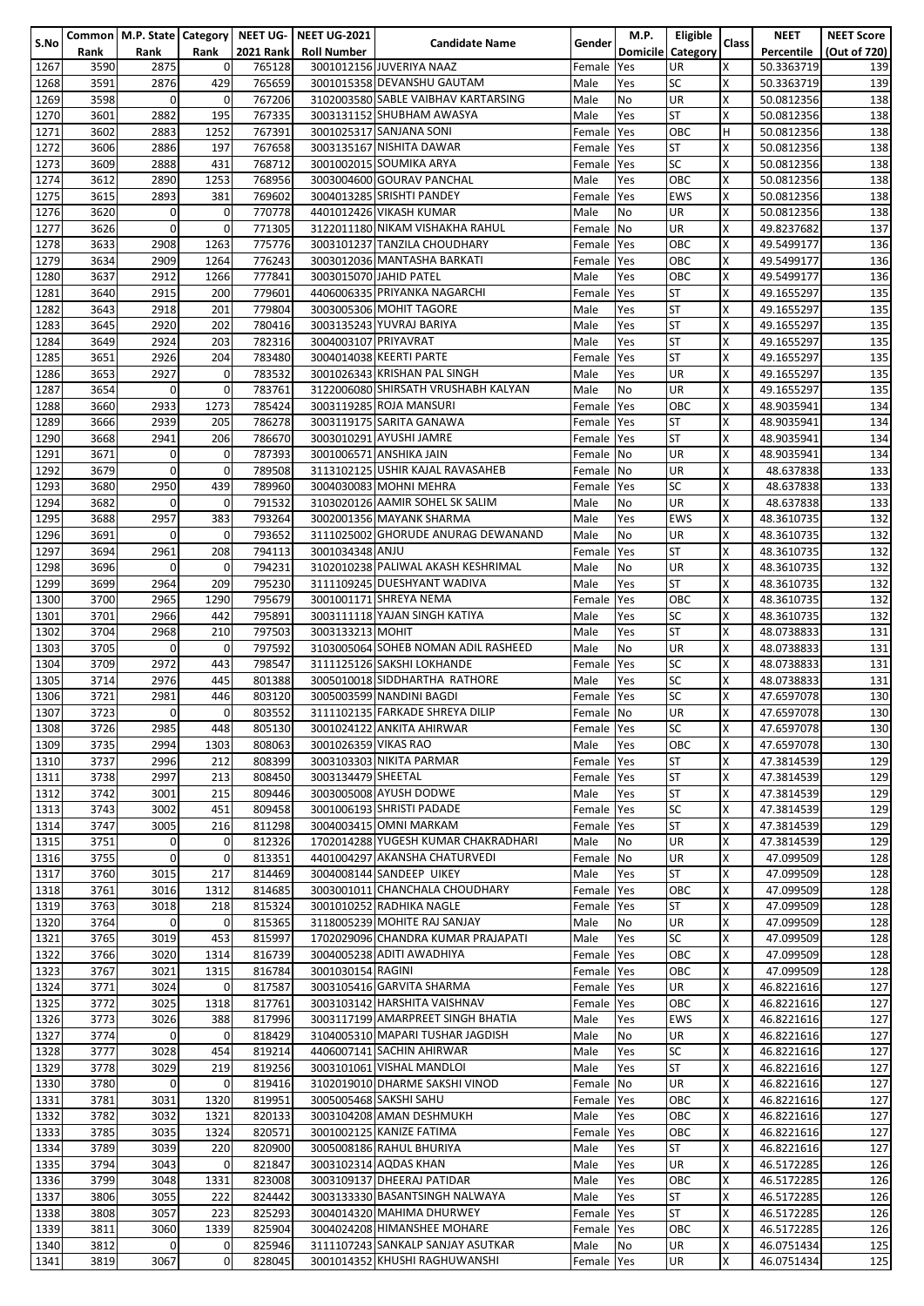|      |      |              |             |                  | Common   M.P. State   Category   NEET UG-   NEET UG-2021 |                                     |            | M.P.       | Eligible                 |       | <b>NEET</b> | <b>NEET Score</b> |
|------|------|--------------|-------------|------------------|----------------------------------------------------------|-------------------------------------|------------|------------|--------------------------|-------|-------------|-------------------|
| S.No | Rank | Rank         | Rank        | <b>2021 Rank</b> | <b>Roll Number</b>                                       | <b>Candidate Name</b>               | Gender     |            | <b>Domicile Category</b> | Class | Percentile  |                   |
|      |      |              |             |                  |                                                          |                                     |            |            |                          |       |             | (Out of 720)      |
| 1267 | 3590 | 2875         | 0           | 765128           |                                                          | 3001012156 JUVERIYA NAAZ            | Female Yes |            | <b>UR</b>                | X     | 50.3363719  | 139               |
| 1268 | 3591 | 2876         | 429         | 765659           |                                                          | 3001015358 DEVANSHU GAUTAM          | Male       | Yes        | <b>SC</b>                | X     | 50.3363719  | 139               |
| 1269 | 3598 | $\mathbf 0$  | 0           | 767206           |                                                          | 3102003580 SABLE VAIBHAV KARTARSING | Male       | No         | UR                       | X     | 50.0812356  | 138               |
|      |      |              |             |                  |                                                          |                                     |            |            |                          |       |             |                   |
| 1270 | 3601 | 2882         | 195         | 767335           |                                                          | 3003131152 SHUBHAM AWASYA           | Male       | Yes        | ST                       | X     | 50.0812356  | 138               |
| 1271 | 3602 | 2883         | 1252        | 767391           |                                                          | 3001025317 SANJANA SONI             | Female     | Yes        | OBC                      | H     | 50.0812356  | 138               |
| 1272 | 3606 | 2886         | 197         | 767658           |                                                          | 3003135167 NISHITA DAWAR            | Female Yes |            | <b>ST</b>                | X     | 50.0812356  | 138               |
|      |      |              |             |                  |                                                          |                                     |            |            |                          | X     |             |                   |
| 1273 | 3609 | 2888         | 431         | 768712           |                                                          | 3001002015 SOUMIKA ARYA             | Female Yes |            | SC                       |       | 50.0812356  | 138               |
| 1274 | 3612 | 2890         | 1253        | 768956           |                                                          | 3003004600 GOURAV PANCHAL           | Male       | Yes        | OBC                      | X     | 50.0812356  | 138               |
| 1275 | 3615 | 2893         | 381         | 769602           |                                                          | 3004013285 SRISHTI PANDEY           | Female Yes |            | <b>EWS</b>               | X     | 50.0812356  | 138               |
|      |      | $\mathbf 0$  |             |                  |                                                          | 4401012426 VIKASH KUMAR             |            |            |                          | X     |             |                   |
| 1276 | 3620 |              | 0           | 770778           |                                                          |                                     | Male       | No         | <b>UR</b>                |       | 50.0812356  | 138               |
| 1277 | 3626 | $\mathbf 0$  | $\mathbf 0$ | 771305           |                                                          | 3122011180 NIKAM VISHAKHA RAHUL     | Female No  |            | <b>UR</b>                | X     | 49.8237682  | 137               |
| 1278 | 3633 | 2908         | 1263        | 775776           |                                                          | 3003101237 TANZILA CHOUDHARY        | Female Yes |            | OBC                      | X     | 49.5499177  | 136               |
|      |      |              |             |                  |                                                          | 3003012036 MANTASHA BARKATI         |            |            |                          |       |             |                   |
| 1279 | 3634 | 2909         | 1264        | 776243           |                                                          |                                     | Female Yes |            | OBC                      | X     | 49.5499177  | 136               |
| 1280 | 3637 | 2912         | 1266        | 777841           |                                                          | 3003015070 JAHID PATEL              | Male       | Yes        | OBC                      | X     | 49.5499177  | 136               |
| 1281 | 3640 | 2915         | 200         | 779601           |                                                          | 4406006335 PRIYANKA NAGARCHI        | Female Yes |            | <b>ST</b>                | X     | 49.1655297  | 135               |
|      |      |              |             |                  |                                                          |                                     |            |            |                          |       |             |                   |
| 1282 | 3643 | 2918         | 201         | 779804           |                                                          | 3003005306 MOHIT TAGORE             | Male       | Yes        | <b>ST</b>                | X     | 49.1655297  | 135               |
| 1283 | 3645 | 2920         | 202         | 780416           |                                                          | 3003135243 YUVRAJ BARIYA            | Male       | Yes        | <b>ST</b>                | X     | 49.1655297  | 135               |
| 1284 | 3649 | 2924         | 203         | 782316           | 3004003107 PRIYAVRAT                                     |                                     | Male       | Yes        | <b>ST</b>                | X     | 49.1655297  | 135               |
|      |      |              |             |                  |                                                          |                                     |            |            |                          |       |             |                   |
| 1285 | 3651 | 2926         | 204         | 783480           |                                                          | 3004014038 KEERTI PARTE             | Female     | <b>Yes</b> | <b>ST</b>                | X     | 49.1655297  | 135               |
| 1286 | 3653 | 2927         | 0           | 783532           |                                                          | 3001026343 KRISHAN PAL SINGH        | Male       | Yes        | <b>UR</b>                | X     | 49.1655297  | 135               |
| 1287 | 3654 | $\Omega$     | 0           | 783761           |                                                          | 3122006080 SHIRSATH VRUSHABH KALYAN | Male       | <b>No</b>  | <b>UR</b>                | X     | 49.1655297  | 135               |
|      |      |              |             |                  |                                                          |                                     |            |            |                          | X     |             |                   |
| 1288 | 3660 | 2933         | 1273        | 785424           |                                                          | 3003119285 ROJA MANSURI             | Female Yes |            | OBC                      |       | 48.9035941  | 134               |
| 1289 | 3666 | 2939         | 205         | 786278           |                                                          | 3003119175 SARITA GANAWA            | Female Yes |            | <b>ST</b>                | X     | 48.9035941  | 134               |
| 1290 | 3668 | 2941         | 206         | 786670           |                                                          | 3003010291 AYUSHI JAMRE             | Female Yes |            | <b>ST</b>                | X     | 48.9035941  | 134               |
|      |      |              |             |                  |                                                          |                                     |            |            |                          |       |             |                   |
| 1291 | 3671 | $\mathbf 0$  | 0           | 787393           |                                                          | 3001006571 ANSHIKA JAIN             | Female No  |            | <b>UR</b>                | X     | 48.9035941  | 134               |
| 1292 | 3679 | $\mathbf 0$  | $\mathbf 0$ | 789508           |                                                          | 3113102125 USHIR KAJAL RAVASAHEB    | Female No  |            | <b>UR</b>                | X     | 48.637838   | 133               |
| 1293 | 3680 | 2950         | 439         | 789960           |                                                          | 3004030083 MOHNI MEHRA              | Female Yes |            | <b>SC</b>                | X     | 48.637838   | 133               |
|      |      |              |             |                  |                                                          |                                     |            |            |                          |       |             |                   |
| 1294 | 3682 | $\mathbf 0$  | $\mathbf 0$ | 791532           |                                                          | 3103020126 AAMIR SOHEL SK SALIM     | Male       | <b>No</b>  | <b>UR</b>                | X     | 48.637838   | 133               |
| 1295 | 3688 | 2957         | 383         | 793264           |                                                          | 3002001356 MAYANK SHARMA            | Male       | Yes        | <b>EWS</b>               | X     | 48.3610735  | 132               |
| 1296 | 3691 | $\Omega$     | 0           | 793652           |                                                          | 3111025002 GHORUDE ANURAG DEWANAND  | Male       | <b>No</b>  | <b>UR</b>                | X     | 48.3610735  | 132               |
|      |      |              |             |                  |                                                          |                                     |            |            |                          |       |             |                   |
| 1297 | 3694 | 2961         | 208         | 794113           | 3001034348 ANJU                                          |                                     | Female     | <b>Yes</b> | <b>ST</b>                | X     | 48.3610735  | 132               |
| 1298 | 3696 | $\Omega$     | $\mathbf 0$ | 794231           |                                                          | 3102010238 PALIWAL AKASH KESHRIMAL  | Male       | <b>No</b>  | <b>UR</b>                | X     | 48.3610735  | 132               |
| 1299 | 3699 | 2964         | 209         | 795230           |                                                          | 3111109245 DUESHYANT WADIVA         | Male       | Yes        | <b>ST</b>                | X     | 48.3610735  | 132               |
|      |      | 2965         | 1290        | 795679           |                                                          | 3001001171 SHREYA NEMA              |            |            |                          | X     |             | 132               |
| 1300 | 3700 |              |             |                  |                                                          |                                     | Female     | Yes        | OBC                      |       | 48.3610735  |                   |
| 1301 | 3701 | 2966         | 442         | 795891           |                                                          | 3003111118 YAJAN SINGH KATIYA       | Male       | Yes        | SC                       | X     | 48.3610735  | 132               |
| 1302 | 3704 | 2968         | 210         | 797503           | 3003133213 MOHIT                                         |                                     | Male       | Yes        | <b>ST</b>                | X     | 48.0738833  | 131               |
|      |      | $\Omega$     | 0           |                  |                                                          | 3103005064 SOHEB NOMAN ADIL RASHEED |            |            |                          | X     |             |                   |
| 1303 | 3705 |              |             | 797592           |                                                          |                                     | Male       | No         | <b>UR</b>                |       | 48.0738833  | 131               |
| 1304 | 3709 | 2972         | 443         | 798547           |                                                          | 3111125126 SAKSHI LOKHANDE          | Female Yes |            | <b>SC</b>                | X     | 48.0738833  | 131               |
| 1305 | 3714 | 2976         | 445         | 801388           |                                                          | 3005010018 SIDDHARTHA RATHORE       | Male       | Yes        | <b>SC</b>                | X     | 48.0738833  | 131               |
|      |      |              |             |                  |                                                          |                                     |            |            |                          | X     |             |                   |
| 1306 | 3721 | 2981         | 446         | 803120           |                                                          | 3005003599 NANDINI BAGDI            | Female Yes |            | <b>SC</b>                |       | 47.6597078  | 130               |
| 1307 | 3723 | $\mathbf{0}$ | 0           | 803552           |                                                          | 3111102135 FARKADE SHREYA DILIP     | Female No  |            | <b>UR</b>                | Χ     | 47.6597078  | 130               |
| 1308 | 3726 | 2985         | 448         | 805130           |                                                          | 3001024122 ANKITA AHIRWAR           | Female Yes |            | ISC                      | х     | 47.6597078  | 130               |
| 1309 |      |              |             |                  |                                                          |                                     |            |            |                          | X     |             |                   |
|      | 3735 | 2994         | 1303        | 808063           | 3001026359 VIKAS RAO                                     |                                     | Male       | Yes        | OBC                      |       | 47.6597078  | 130               |
| 1310 | 3737 | 2996         | 212         | 808399           |                                                          | 3003103303 NIKITA PARMAR            | Female Yes |            | <b>ST</b>                | X     | 47.3814539  | 129               |
| 1311 | 3738 | 2997         | 213         | 808450           | 3003134479 SHEETAL                                       |                                     | Female Yes |            | <b>ST</b>                | X     | 47.3814539  | 129               |
|      |      |              |             |                  |                                                          |                                     |            |            |                          | X     |             |                   |
| 1312 | 3742 | 3001         | 215         | 809446           |                                                          | 3003005008 AYUSH DODWE              | Male       | Yes        | <b>ST</b>                |       | 47.3814539  | 129               |
| 1313 | 3743 | 3002         | 451         | 809458           |                                                          | 3001006193 SHRISTI PADADE           | Female Yes |            | <b>SC</b>                | X     | 47.3814539  | 129               |
| 1314 | 3747 | 3005         | 216         | 811298           |                                                          | 3004003415 OMNI MARKAM              | Female Yes |            | <b>ST</b>                | X     | 47.3814539  | 129               |
| 1315 | 3751 | $\mathbf{0}$ | 0           | 812326           |                                                          | 1702014288 YUGESH KUMAR CHAKRADHARI |            |            | <b>UR</b>                | X     |             |                   |
|      |      |              |             |                  |                                                          |                                     | Male       | No         |                          |       | 47.3814539  | 129               |
| 1316 | 3755 | $\mathbf{0}$ | $\mathbf 0$ | 813351           |                                                          | 4401004297 AKANSHA CHATURVEDI       | Female No  |            | UR                       | X     | 47.099509   | 128               |
| 1317 | 3760 | 3015         | 217         | 814469           |                                                          | 3004008144 SANDEEP UIKEY            | Male       | Yes        | <b>ST</b>                | X     | 47.099509   | 128               |
|      |      |              |             |                  |                                                          |                                     |            |            |                          | X     |             |                   |
| 1318 | 3761 | 3016         | 1312        | 814685           |                                                          | 3003001011 CHANCHALA CHOUDHARY      | Female Yes |            | OBC                      |       | 47.099509   | 128               |
| 1319 | 3763 | 3018         | 218         | 815324           |                                                          | 3001010252 RADHIKA NAGLE            | Female Yes |            | ST                       | X     | 47.099509   | 128               |
| 1320 | 3764 | $\mathbf 0$  | 0           | 815365           |                                                          | 3118005239 MOHITE RAJ SANJAY        | Male       | No         | UR                       | X     | 47.099509   | 128               |
|      |      |              |             |                  |                                                          | 1702029096 CHANDRA KUMAR PRAJAPATI  |            |            | <b>SC</b>                | X     |             |                   |
| 1321 | 3765 | 3019         | 453         | 815997           |                                                          |                                     | Male       | Yes        |                          |       | 47.099509   | 128               |
| 1322 | 3766 | 3020         | 1314        | 816739           |                                                          | 3004005238 ADITI AWADHIYA           | Female Yes |            | OBC                      | X     | 47.099509   | 128               |
| 1323 | 3767 | 3021         | 1315        | 816784           | 3001030154 RAGINI                                        |                                     | Female Yes |            | OBC                      | X     | 47.099509   | 128               |
|      |      | 3024         | 0           |                  |                                                          | 3003105416 GARVITA SHARMA           |            |            | UR                       | X     |             |                   |
| 1324 | 3771 |              |             | 817587           |                                                          |                                     | Female Yes |            |                          |       | 46.8221616  | 127               |
| 1325 | 3772 | 3025         | 1318        | 817761           |                                                          | 3003103142 HARSHITA VAISHNAV        | Female Yes |            | OBC                      | x     | 46.8221616  | 127               |
| 1326 | 3773 | 3026         | 388         | 817996           |                                                          | 3003117199 AMARPREET SINGH BHATIA   | Male       | Yes        | <b>EWS</b>               | X     | 46.8221616  | 127               |
| 1327 | 3774 | $\mathbf 0$  | $\mathbf 0$ | 818429           |                                                          | 3104005310 MAPARI TUSHAR JAGDISH    |            | No         | UR                       | X     |             | 127               |
|      |      |              |             |                  |                                                          |                                     | Male       |            |                          |       | 46.8221616  |                   |
| 1328 | 3777 | 3028         | 454         | 819214           |                                                          | 4406007141 SACHIN AHIRWAR           | Male       | Yes        | <b>SC</b>                | X     | 46.8221616  | 127               |
| 1329 | 3778 | 3029         | 219         | 819256           |                                                          | 3003101061 VISHAL MANDLOI           | Male       | Yes        | <b>ST</b>                | X     | 46.8221616  | 127               |
| 1330 |      | $\Omega$     |             |                  |                                                          | 3102019010 DHARME SAKSHI VINOD      |            |            |                          | X     |             |                   |
|      | 3780 |              | 0           | 819416           |                                                          |                                     | Female No  |            | UR                       |       | 46.8221616  | 127               |
| 1331 | 3781 | 3031         | 1320        | 819951           |                                                          | 3005005468 SAKSHI SAHU              | Female Yes |            | OBC                      | X     | 46.8221616  | 127               |
| 1332 | 3782 | 3032         | 1321        | 820133           |                                                          | 3003104208 AMAN DESHMUKH            | Male       | Yes        | OBC                      | X     | 46.8221616  | 127               |
|      |      |              |             |                  |                                                          | 3001002125 KANIZE FATIMA            |            |            |                          | X     |             |                   |
| 1333 | 3785 | 3035         | 1324        | 820571           |                                                          |                                     | Female Yes |            | OBC                      |       | 46.8221616  | 127               |
| 1334 | 3789 | 3039         | 220         | 820900           |                                                          | 3005008186 RAHUL BHURIYA            | Male       | Yes        | ST                       | X     | 46.8221616  | 127               |
| 1335 | 3794 | 3043         | 0           | 821847           |                                                          | 3003102314 AQDAS KHAN               | Male       | Yes        | <b>UR</b>                | X     | 46.5172285  | 126               |
|      | 3799 | 3048         | 1331        | 823008           |                                                          | 3003109137 DHEERAJ PATIDAR          | Male       | Yes        | OBC                      | X     |             |                   |
| 1336 |      |              |             |                  |                                                          |                                     |            |            |                          |       | 46.5172285  | 126               |
| 1337 | 3806 | 3055         | 222         | 824442           |                                                          | 3003133330 BASANTSINGH NALWAYA      | Male       | Yes        | <b>ST</b>                | X     | 46.5172285  | 126               |
| 1338 | 3808 | 3057         | 223         | 825293           |                                                          | 3004014320 MAHIMA DHURWEY           | Female Yes |            | <b>ST</b>                | X     | 46.5172285  | 126               |
| 1339 | 3811 | 3060         | 1339        | 825904           |                                                          | 3004024208 HIMANSHEE MOHARE         | Female Yes |            | OBC                      | Χ     | 46.5172285  | 126               |
|      |      |              |             |                  |                                                          |                                     |            |            |                          |       |             |                   |
| 1340 | 3812 | $\mathbf 0$  | $\mathbf 0$ | 825946           |                                                          | 3111107243 SANKALP SANJAY ASUTKAR   | Male       | No         | UR                       | X     | 46.0751434  | 125               |
| 1341 | 3819 | 3067         | $\mathbf 0$ | 828045           |                                                          | 3001014352 KHUSHI RAGHUWANSHI       | Female Yes |            | UR                       | X     | 46.0751434  | 125               |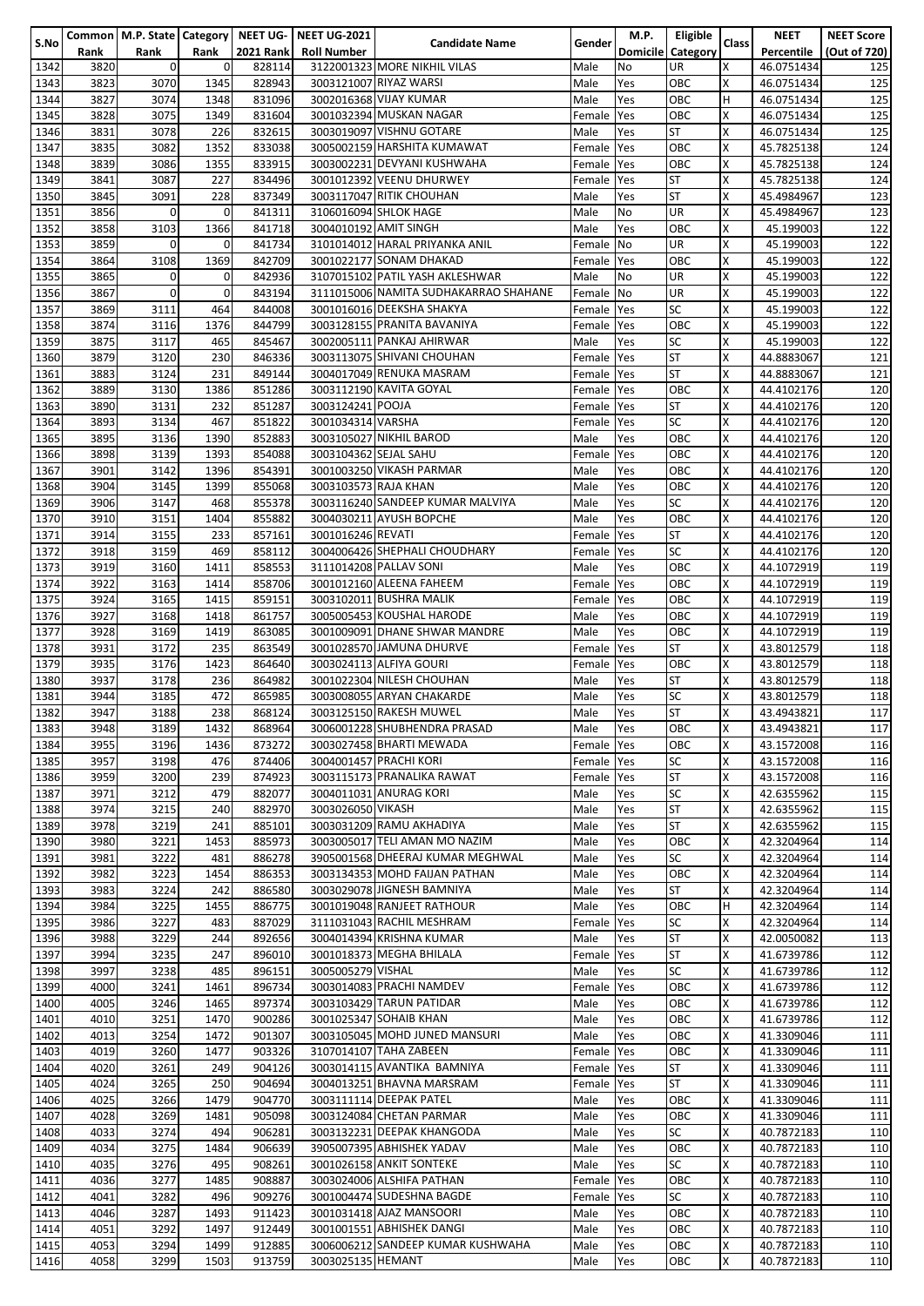|      |      |                |              |                  | Common   M.P. State   Category   NEET UG-   NEET UG-2021 |                                       |               | M.P.            | <b>Eligible</b> |       | <b>NEET</b> | <b>NEET Score</b> |
|------|------|----------------|--------------|------------------|----------------------------------------------------------|---------------------------------------|---------------|-----------------|-----------------|-------|-------------|-------------------|
| S.No | Rank | Rank           | Rank         | <b>2021 Rank</b> | <b>Roll Number</b>                                       | <b>Candidate Name</b>                 | <b>Gender</b> | <b>Domicile</b> | Category        | Class | Percentile  | (Out of 720)      |
| 1342 | 3820 | $\overline{0}$ | $\mathbf{0}$ | 828114           |                                                          | 3122001323 MORE NIKHIL VILAS          | Male          | No              | UR.             | x     | 46.0751434  | 125               |
| 1343 | 3823 | 3070           | 1345         | 828943           |                                                          | 3003121007 RIYAZ WARSI                | Male          | Yes             | OBC             | Χ     |             | 125               |
|      |      |                |              |                  |                                                          |                                       |               |                 |                 |       | 46.0751434  |                   |
| 1344 | 3827 | 3074           | 1348         | 831096           |                                                          | 3002016368 VIJAY KUMAR                | Male          | Yes             | OBC             | н     | 46.0751434  | 125               |
| 1345 | 3828 | 3075           | 1349         | 831604           |                                                          | 3001032394 MUSKAN NAGAR               | Female        | Yes             | ОВС             | Χ     | 46.0751434  | 125               |
| 1346 | 3831 | 3078           | 226          | 832615           |                                                          | 3003019097 VISHNU GOTARE              | Male          | Yes             | ST              | X     | 46.0751434  | 125               |
| 1347 | 3835 | 3082           | 1352         | 833038           |                                                          | 3005002159 HARSHITA KUMAWAT           | Female        | Yes             | OBC             | Χ     | 45.7825138  | 124               |
| 1348 |      | 3086           | 1355         | 833915           |                                                          | 3003002231 DEVYANI KUSHWAHA           |               |                 | OBC             | X     | 45.7825138  | 124               |
|      | 3839 |                |              |                  |                                                          |                                       | Female        | Yes             |                 |       |             |                   |
| 1349 | 3841 | 3087           | 227          | 834496           |                                                          | 3001012392 VEENU DHURWEY              | Female        | Yes             | ST              | Χ     | 45.7825138  | 124               |
| 1350 | 3845 | 3091           | 228          | 837349           |                                                          | 3003117047 RITIK CHOUHAN              | Male          | Yes             | ST              | Χ     | 45.4984967  | 123               |
| 1351 | 3856 | $\mathbf 0$    | $\mathbf{0}$ | 841311           |                                                          | 3106016094 SHLOK HAGE                 | Male          | No              | UR              | X     | 45.4984967  | 123               |
| 1352 | 3858 | 3103           | 1366         | 841718           |                                                          | 3004010192 AMIT SINGH                 | Male          | Yes             | OBC             | Χ     | 45.199003   | 122               |
|      |      | $\mathbf 0$    |              | 841734           |                                                          | 3101014012 HARAL PRIYANKA ANIL        |               |                 |                 |       |             | 122               |
| 1353 | 3859 |                | $\mathbf 0$  |                  |                                                          |                                       | Female        | <b>No</b>       | UR              | X     | 45.199003   |                   |
| 1354 | 3864 | 3108           | 1369         | 842709           |                                                          | 3001022177 SONAM DHAKAD               | Female        | Yes             | ОВС             | X     | 45.199003   | 122               |
| 1355 | 3865 | $\mathbf 0$    | $\mathbf 0$  | 842936           |                                                          | 3107015102 PATIL YASH AKLESHWAR       | Male          | No              | UR              | X     | 45.199003   | 122               |
| 1356 | 3867 | $\mathbf 0$    | $\mathbf{O}$ | 843194           |                                                          | 3111015006 NAMITA SUDHAKARRAO SHAHANE | Female        | <b>No</b>       | UR              | X     | 45.199003   | 122               |
| 1357 | 3869 | 3111           | 464          | 844008           |                                                          | 3001016016 DEEKSHA SHAKYA             | Female        | Yes             | SC              | X     | 45.199003   | 122               |
|      |      |                |              |                  |                                                          |                                       | Female Yes    |                 |                 | X     |             | 122               |
| 1358 | 3874 | 3116           | 1376         | 844799           |                                                          | 3003128155 PRANITA BAVANIYA           |               |                 | OBC             |       | 45.199003   |                   |
| 1359 | 3875 | 3117           | 465          | 845467           |                                                          | 3002005111 PANKAJ AHIRWAR             | Male          | Yes             | SC              | X     | 45.199003   | 122               |
| 1360 | 3879 | 3120           | 230          | 846336           |                                                          | 3003113075 SHIVANI CHOUHAN            | Female        | <b>Yes</b>      | ST              | X     | 44.8883067  | 121               |
| 1361 | 3883 | 3124           | 231          | 849144           |                                                          | 3004017049 RENUKA MASRAM              | Female        | Yes             | ST              | X     | 44.8883067  | 121               |
| 1362 | 3889 | 3130           | 1386         | 851286           |                                                          | 3003112190 KAVITA GOYAL               | Female        | Yes             | OBC             | X     | 44.4102176  | 120               |
|      |      |                |              |                  |                                                          |                                       |               |                 |                 |       |             |                   |
| 1363 | 3890 | 3131           | 232          | 851287           | 3003124241 POOJA                                         |                                       | Female        | Yes             | ST              | Χ     | 44.4102176  | 120               |
| 1364 | 3893 | 3134           | 467          | 851822           | 3001034314 VARSHA                                        |                                       | Female        | Yes             | SC              | Χ     | 44.4102176  | 120               |
| 1365 | 3895 | 3136           | 1390         | 852883           |                                                          | 3003105027 NIKHIL BAROD               | Male          | Yes             | OBC             | X     | 44.4102176  | 120               |
| 1366 | 3898 | 3139           | 1393         | 854088           | 3003104362 SEJAL SAHU                                    |                                       | Female        | Yes             | OBC             | X     | 44.4102176  | 120               |
| 1367 | 3901 | 3142           | 1396         | 854391           |                                                          | 3001003250 VIKASH PARMAR              | Male          | Yes             | OBC             | Χ     | 44.4102176  | 120               |
|      |      |                |              |                  |                                                          |                                       |               |                 |                 |       |             |                   |
| 1368 | 3904 | 3145           | 1399         | 855068           | 3003103573 RAJA KHAN                                     |                                       | Male          | Yes             | ОВС             | X     | 44.4102176  | 120               |
| 1369 | 3906 | 3147           | 468          | 855378           |                                                          | 3003116240 SANDEEP KUMAR MALVIYA      | Male          | Yes             | SC              | X     | 44.4102176  | 120               |
| 1370 | 3910 | 3151           | 1404         | 855882           |                                                          | 3004030211 AYUSH BOPCHE               | Male          | Yes             | OBC             | X     | 44.4102176  | 120               |
| 1371 | 3914 | 3155           | 233          | 857161           | 3001016246 REVATI                                        |                                       | Female        | Yes             | ST              | X     | 44.4102176  | 120               |
| 1372 | 3918 | 3159           | 469          | 858112           |                                                          | 3004006426 SHEPHALI CHOUDHARY         |               | Yes             | SC              | X     | 44.4102176  | 120               |
|      |      |                |              |                  |                                                          |                                       | Female        |                 |                 |       |             |                   |
| 1373 | 3919 | 3160           | 1411         | 858553           |                                                          | 3111014208 PALLAV SONI                | Male          | Yes             | OBC             | Χ     | 44.1072919  | 119               |
| 1374 | 3922 | 3163           | 1414         | 858706           |                                                          | 3001012160 ALEENA FAHEEM              | Female        | Yes             | OBC             | X     | 44.1072919  | 119               |
| 1375 | 3924 | 3165           | 1415         | 859151           |                                                          | 3003102011 BUSHRA MALIK               | Female        | Yes             | OBC             | Χ     | 44.1072919  | 119               |
| 1376 | 3927 | 3168           | 1418         | 861757           |                                                          | 3005005453 KOUSHAL HARODE             | Male          | Yes             | ОВС             | X     | 44.1072919  | 119               |
|      |      |                |              |                  |                                                          | 3001009091 DHANE SHWAR MANDRE         |               |                 |                 | Χ     |             |                   |
| 1377 | 3928 | 3169           | 1419         | 863085           |                                                          |                                       | Male          | Yes             | OBC             |       | 44.1072919  | 119               |
| 1378 | 3931 | 3172           | 235          | 863549           |                                                          | 3001028570 JAMUNA DHURVE              | Female        | Yes             | ST              | Χ     | 43.8012579  | 118               |
| 1379 | 3935 | 3176           | 1423         | 864640           |                                                          | 3003024113 ALFIYA GOURI               | Female        | Yes             | ОВС             | Χ     | 43.8012579  | 118               |
| 1380 | 3937 | 3178           | 236          | 864982           |                                                          | 3001022304 NILESH CHOUHAN             | Male          | Yes             | ST              | Χ     | 43.8012579  | 118               |
| 1381 | 3944 | 3185           | 472          | 865985           |                                                          | 3003008055 ARYAN CHAKARDE             | Male          | Yes             | SC              | Χ     | 43.8012579  | 118               |
| 1382 | 3947 | 3188           | 238          | 868124           |                                                          | 3003125150 RAKESH MUWEL               | Male          |                 | <b>ST</b>       | X     | 43.4943821  |                   |
|      |      |                |              |                  |                                                          |                                       |               | Yes             |                 |       |             | 117               |
| 1383 | 3948 | 3189           | 1432         | 868964           |                                                          | 3006001228 SHUBHENDRA PRASAD          | Male          | Yes             | <b>OBC</b>      | x     | 43.4943821  | 117               |
| 1384 | 3955 | 3196           | 1436         | 873272           |                                                          | 3003027458 BHARTI MEWADA              | Female Yes    |                 | ОВС             | Χ     | 43.1572008  | 116               |
| 1385 | 3957 | 3198           | 476          | 874406           |                                                          | 3004001457 PRACHI KORI                | Female        | <b>P</b> Yes    | SC              | x     | 43.1572008  | 116               |
| 1386 | 3959 | 3200           | 239          | 874923           |                                                          | 3003115173 PRANALIKA RAWAT            | Female        | <b>Yes</b>      | ST              | X     | 43.1572008  | 116               |
|      |      |                |              | 882077           |                                                          |                                       |               |                 |                 | X     |             |                   |
| 1387 | 3971 | 3212           | 479          |                  |                                                          | 3004011031 ANURAG KORI                | Male          | Yes             | <b>SC</b>       |       | 42.6355962  | 115               |
| 1388 | 3974 | 3215           | 240          | 882970           | 3003026050 VIKASH                                        |                                       | Male          | Yes             | <b>ST</b>       | X     | 42.6355962  | 115               |
| 1389 | 3978 | 3219           | 241          | 885101           |                                                          | 3003031209 RAMU AKHADIYA              | Male          | Yes             | ST              | X     | 42.6355962  | 115               |
| 1390 | 3980 | 3221           | 1453         | 885973           |                                                          | 3003005017 TELI AMAN MO NAZIM         | Male          | Yes             | ОВС             | x     | 42.3204964  | 114               |
| 1391 | 3981 | 3222           | 481          | 886278           |                                                          | 3905001568 DHEERAJ KUMAR MEGHWAL      | Male          | Yes             | SC              | x     | 42.3204964  | 114               |
|      | 3982 | 3223           |              | 886353           |                                                          | 3003134353 MOHD FAIJAN PATHAN         | Male          | Yes             | OBC             | Χ     |             |                   |
| 1392 |      |                | 1454         |                  |                                                          |                                       |               |                 |                 |       | 42.3204964  | 114               |
| 1393 | 3983 | 3224           | 242          | 886580           |                                                          | 3003029078 JIGNESH BAMNIYA            | Male          | Yes             | ST              | X     | 42.3204964  | 114               |
| 1394 | 3984 | 3225           | 1455         | 886775           |                                                          | 3001019048 RANJEET RATHOUR            | Male          | Yes             | ОВС             | H     | 42.3204964  | 114               |
| 1395 | 3986 | 3227           | 483          | 887029           |                                                          | 3111031043 RACHIL MESHRAM             | Female        | Yes             | SC              | X     | 42.3204964  | 114               |
| 1396 | 3988 | 3229           | 244          | 892656           |                                                          | 3004014394 KRISHNA KUMAR              | Male          | Yes             | ST              | X     | 42.0050082  | 113               |
| 1397 | 3994 | 3235           | 247          | 896010           |                                                          | 3001018373 MEGHA BHILALA              | Female        | Yes             | ST              | Χ     | 41.6739786  | 112               |
|      |      |                |              |                  |                                                          |                                       |               |                 |                 |       |             |                   |
| 1398 | 3997 | 3238           | 485          | 896151           | 3005005279 VISHAL                                        |                                       | Male          | Yes             | SC              | Χ     | 41.6739786  | 112               |
| 1399 | 4000 | 3241           | 1461         | 896734           |                                                          | 3003014083 PRACHI NAMDEV              | Female        | Yes             | ОВС             | Χ     | 41.6739786  | 112               |
| 1400 | 4005 | 3246           | 1465         | 897374           |                                                          | 3003103429 TARUN PATIDAR              | Male          | Yes             | OBC             | x     | 41.6739786  | 112               |
| 1401 | 4010 | 3251           | 1470         | 900286           |                                                          | 3001025347 SOHAIB KHAN                | Male          | Yes             | OBC             | Χ     | 41.6739786  | 112               |
| 1402 | 4013 | 3254           | 1472         | 901307           |                                                          | 3003105045 MOHD JUNED MANSURI         | Male          | Yes             | ОВС             | X     | 41.3309046  | 111               |
|      |      |                |              |                  |                                                          | 3107014107 TAHA ZABEEN                |               |                 |                 | X     |             |                   |
| 1403 | 4019 | 3260           | 1477         | 903326           |                                                          |                                       | Female        | Yes             | OBC             |       | 41.3309046  | 111               |
| 1404 | 4020 | 3261           | 249          | 904126           |                                                          | 3003014115 AVANTIKA BAMNIYA           | Female        | <b>Yes</b>      | ST              | X     | 41.3309046  | 111               |
| 1405 | 4024 | 3265           | 250          | 904694           |                                                          | 3004013251 BHAVNA MARSRAM             | Female        | <b>Yes</b>      | ST              | X     | 41.3309046  | 111               |
| 1406 | 4025 | 3266           | 1479         | 904770           |                                                          | 3003111114 DEEPAK PATEL               | Male          | Yes             | ОВС             | X     | 41.3309046  | 111               |
| 1407 | 4028 | 3269           | 1481         | 905098           |                                                          | 3003124084 CHETAN PARMAR              | Male          | Yes             | OBC             | Χ     | 41.3309046  | 111               |
|      |      |                |              |                  |                                                          |                                       |               |                 |                 | X     |             |                   |
| 1408 | 4033 | 3274           | 494          | 906281           |                                                          | 3003132231 DEEPAK KHANGODA            | Male          | Yes             | SC              |       | 40.7872183  | 110               |
| 1409 | 4034 | 3275           | 1484         | 906639           |                                                          | 3905007395 ABHISHEK YADAV             | Male          | Yes             | ОВС             | x     | 40.7872183  | 110               |
| 1410 | 4035 | 3276           | 495          | 908261           |                                                          | 3001026158 ANKIT SONTEKE              | Male          | Yes             | SC              | X     | 40.7872183  | 110               |
| 1411 | 4036 | 3277           | 1485         | 908887           |                                                          | 3003024006 ALSHIFA PATHAN             | Female        | Yes             | ОВС             | Χ     | 40.7872183  | 110               |
| 1412 | 4041 | 3282           | 496          | 909276           |                                                          | 3001004474 SUDESHNA BAGDE             | Female        | Yes             | SC              | X     | 40.7872183  | 110               |
|      | 4046 | 3287           | 1493         | 911423           |                                                          | 3001031418 AJAZ MANSOORI              |               |                 | ОВС             | x     | 40.7872183  | 110               |
| 1413 |      |                |              |                  |                                                          |                                       | Male          | Yes             |                 |       |             |                   |
| 1414 | 4051 | 3292           | 1497         | 912449           |                                                          | 3001001551 ABHISHEK DANGI             | Male          | Yes             | ОВС             | Χ     | 40.7872183  | 110               |
| 1415 | 4053 | 3294           | 1499         | 912885           |                                                          | 3006006212 SANDEEP KUMAR KUSHWAHA     | Male          | Yes             | ОВС             | x     | 40.7872183  | 110               |
| 1416 | 4058 | 3299           | 1503         | 913759           | 3003025135 HEMANT                                        |                                       | Male          | Yes             | OBC             | X     | 40.7872183  | 110               |